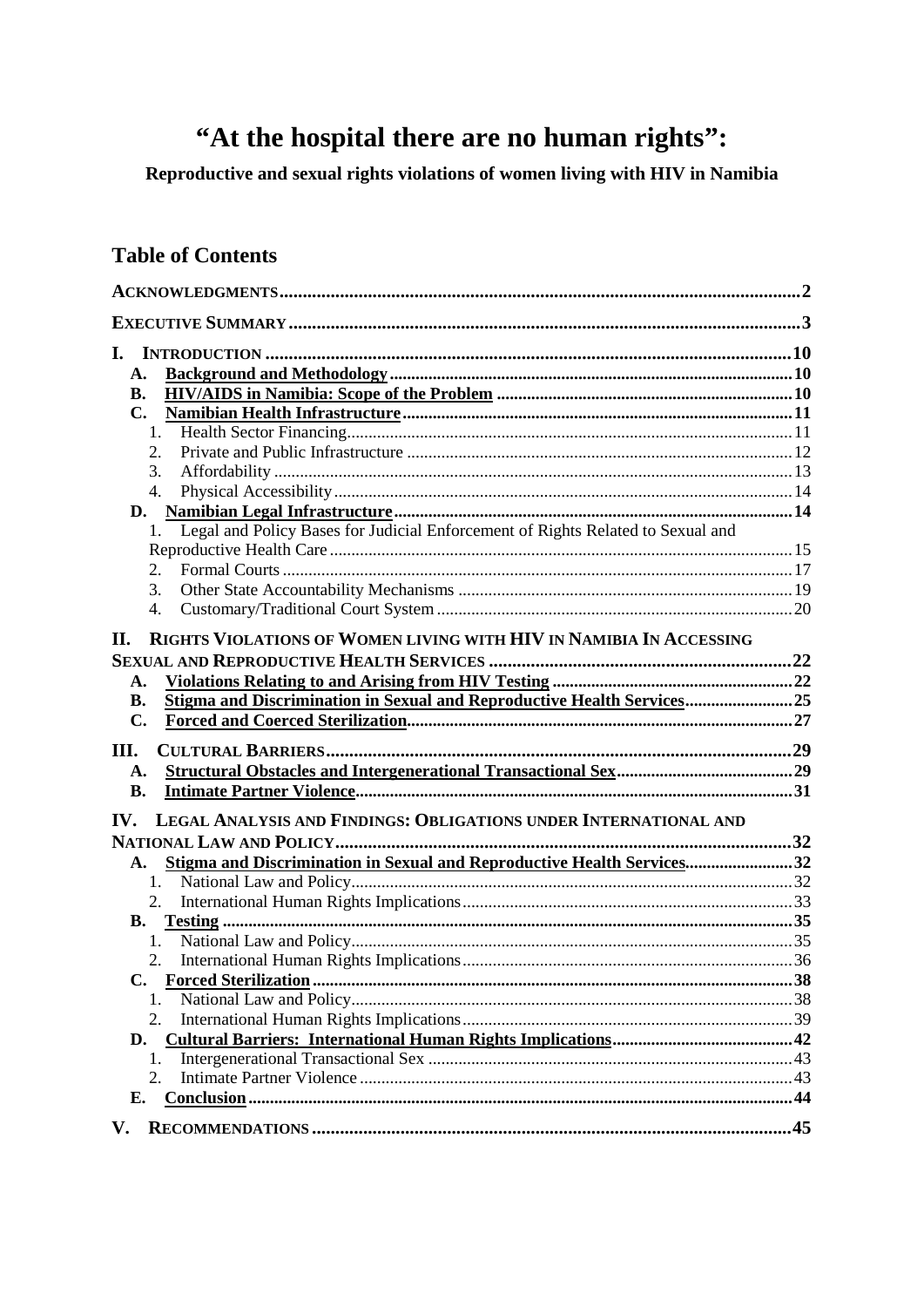# "At the hospital there are no human rights":

Reproductive and sexual rights violations of women living with HIV in Namibia

## **Table of Contents**

| L.                                                                                    |  |
|---------------------------------------------------------------------------------------|--|
| A.                                                                                    |  |
| <b>B.</b>                                                                             |  |
| $\mathbf{C}$ .                                                                        |  |
| 1.                                                                                    |  |
| 2.                                                                                    |  |
| 3.                                                                                    |  |
| 4.                                                                                    |  |
| D.                                                                                    |  |
| Legal and Policy Bases for Judicial Enforcement of Rights Related to Sexual and<br>1. |  |
|                                                                                       |  |
| 2.                                                                                    |  |
| 3.                                                                                    |  |
| 4.                                                                                    |  |
| RIGHTS VIOLATIONS OF WOMEN LIVING WITH HIV IN NAMIBIA IN ACCESSING<br>II.             |  |
|                                                                                       |  |
| A.                                                                                    |  |
| Stigma and Discrimination in Sexual and Reproductive Health Services25<br>В.          |  |
| $\mathbf{C}$ .                                                                        |  |
|                                                                                       |  |
| Ш.                                                                                    |  |
| A.                                                                                    |  |
| <b>B.</b>                                                                             |  |
| LEGAL ANALYSIS AND FINDINGS: OBLIGATIONS UNDER INTERNATIONAL AND<br>IV.               |  |
|                                                                                       |  |
| Stigma and Discrimination in Sexual and Reproductive Health Services32<br>A.          |  |
| 1.                                                                                    |  |
| 2.                                                                                    |  |
| <b>B.</b>                                                                             |  |
| 1.                                                                                    |  |
| 2.                                                                                    |  |
|                                                                                       |  |
| Ι.                                                                                    |  |
| 2.                                                                                    |  |
| D.                                                                                    |  |
| 1.                                                                                    |  |
| 2.                                                                                    |  |
| Е.                                                                                    |  |
|                                                                                       |  |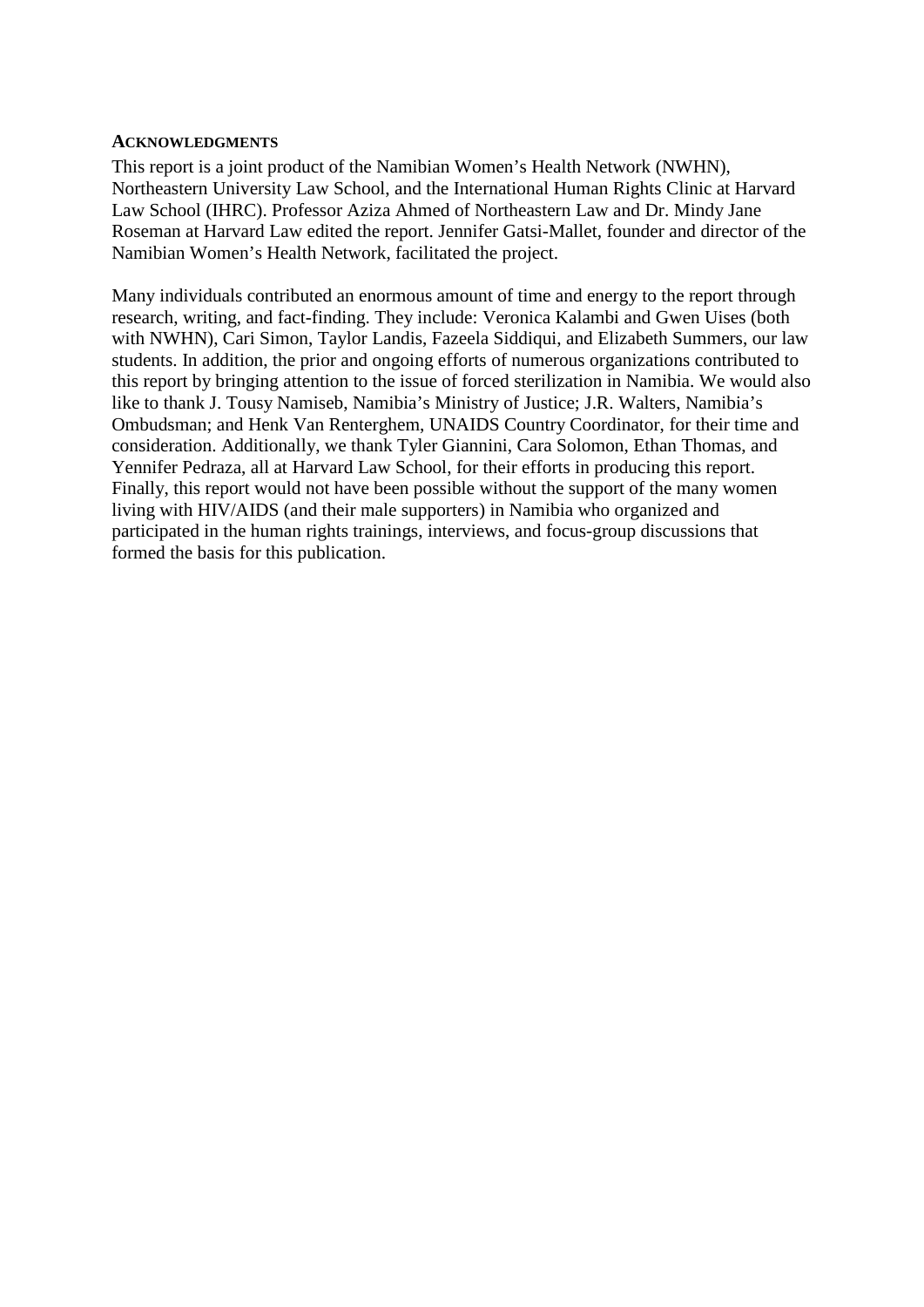#### **ACKNOWLEDGMENTS**

This report is a joint product of the Namibian Women's Health Network (NWHN), Northeastern University Law School, and the International Human Rights Clinic at Harvard Law School (IHRC). Professor Aziza Ahmed of Northeastern Law and Dr. Mindy Jane Roseman at Harvard Law edited the report. Jennifer Gatsi-Mallet, founder and director of the Namibian Women's Health Network, facilitated the project.

Many individuals contributed an enormous amount of time and energy to the report through research, writing, and fact-finding. They include: Veronica Kalambi and Gwen Uises (both with NWHN), Cari Simon, Taylor Landis, Fazeela Siddiqui, and Elizabeth Summers, our law students. In addition, the prior and ongoing efforts of numerous organizations contributed to this report by bringing attention to the issue of forced sterilization in Namibia. We would also like to thank J. Tousy Namiseb, Namibia's Ministry of Justice; J.R. Walters, Namibia's Ombudsman; and Henk Van Renterghem, UNAIDS Country Coordinator, for their time and consideration. Additionally, we thank Tyler Giannini, Cara Solomon, Ethan Thomas, and Yennifer Pedraza, all at Harvard Law School, for their efforts in producing this report. Finally, this report would not have been possible without the support of the many women living with HIV/AIDS (and their male supporters) in Namibia who organized and participated in the human rights trainings, interviews, and focus-group discussions that formed the basis for this publication.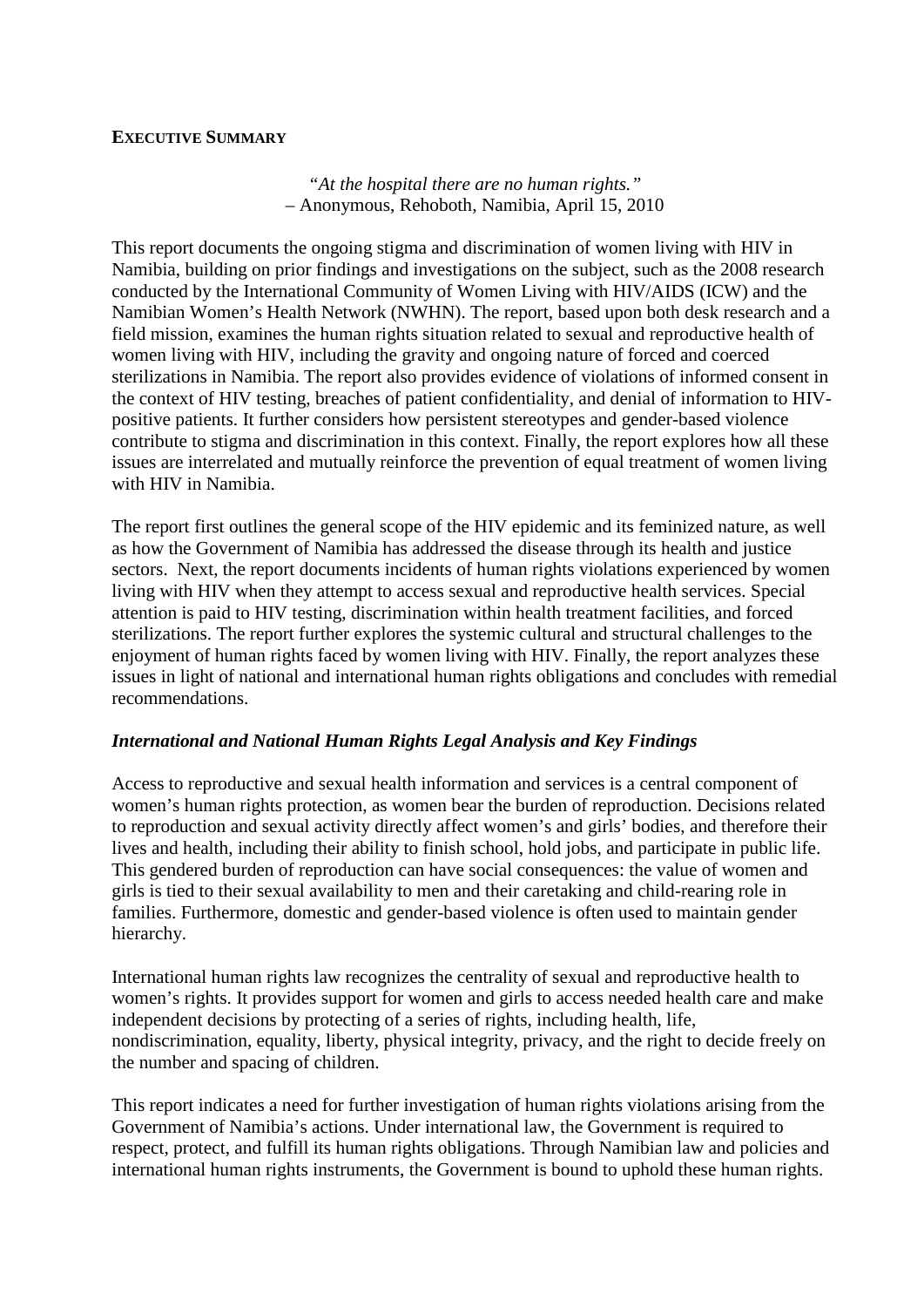#### **EXECUTIVE SUMMARY**

*"At the hospital there are no human rights."* – Anonymous, Rehoboth, Namibia, April 15, 2010

This report documents the ongoing stigma and discrimination of women living with HIV in Namibia, building on prior findings and investigations on the subject, such as the 2008 research conducted by the International Community of Women Living with HIV/AIDS (ICW) and the Namibian Women's Health Network (NWHN). The report, based upon both desk research and a field mission, examines the human rights situation related to sexual and reproductive health of women living with HIV, including the gravity and ongoing nature of forced and coerced sterilizations in Namibia. The report also provides evidence of violations of informed consent in the context of HIV testing, breaches of patient confidentiality, and denial of information to HIVpositive patients. It further considers how persistent stereotypes and gender-based violence contribute to stigma and discrimination in this context. Finally, the report explores how all these issues are interrelated and mutually reinforce the prevention of equal treatment of women living with HIV in Namibia.

The report first outlines the general scope of the HIV epidemic and its feminized nature, as well as how the Government of Namibia has addressed the disease through its health and justice sectors. Next, the report documents incidents of human rights violations experienced by women living with HIV when they attempt to access sexual and reproductive health services. Special attention is paid to HIV testing, discrimination within health treatment facilities, and forced sterilizations. The report further explores the systemic cultural and structural challenges to the enjoyment of human rights faced by women living with HIV. Finally, the report analyzes these issues in light of national and international human rights obligations and concludes with remedial recommendations.

### *International and National Human Rights Legal Analysis and Key Findings*

Access to reproductive and sexual health information and services is a central component of women's human rights protection, as women bear the burden of reproduction. Decisions related to reproduction and sexual activity directly affect women's and girls' bodies, and therefore their lives and health, including their ability to finish school, hold jobs, and participate in public life. This gendered burden of reproduction can have social consequences: the value of women and girls is tied to their sexual availability to men and their caretaking and child-rearing role in families. Furthermore, domestic and gender-based violence is often used to maintain gender hierarchy.

International human rights law recognizes the centrality of sexual and reproductive health to women's rights. It provides support for women and girls to access needed health care and make independent decisions by protecting of a series of rights, including health, life, nondiscrimination, equality, liberty, physical integrity, privacy, and the right to decide freely on the number and spacing of children.

This report indicates a need for further investigation of human rights violations arising from the Government of Namibia's actions. Under international law, the Government is required to respect, protect, and fulfill its human rights obligations. Through Namibian law and policies and international human rights instruments, the Government is bound to uphold these human rights.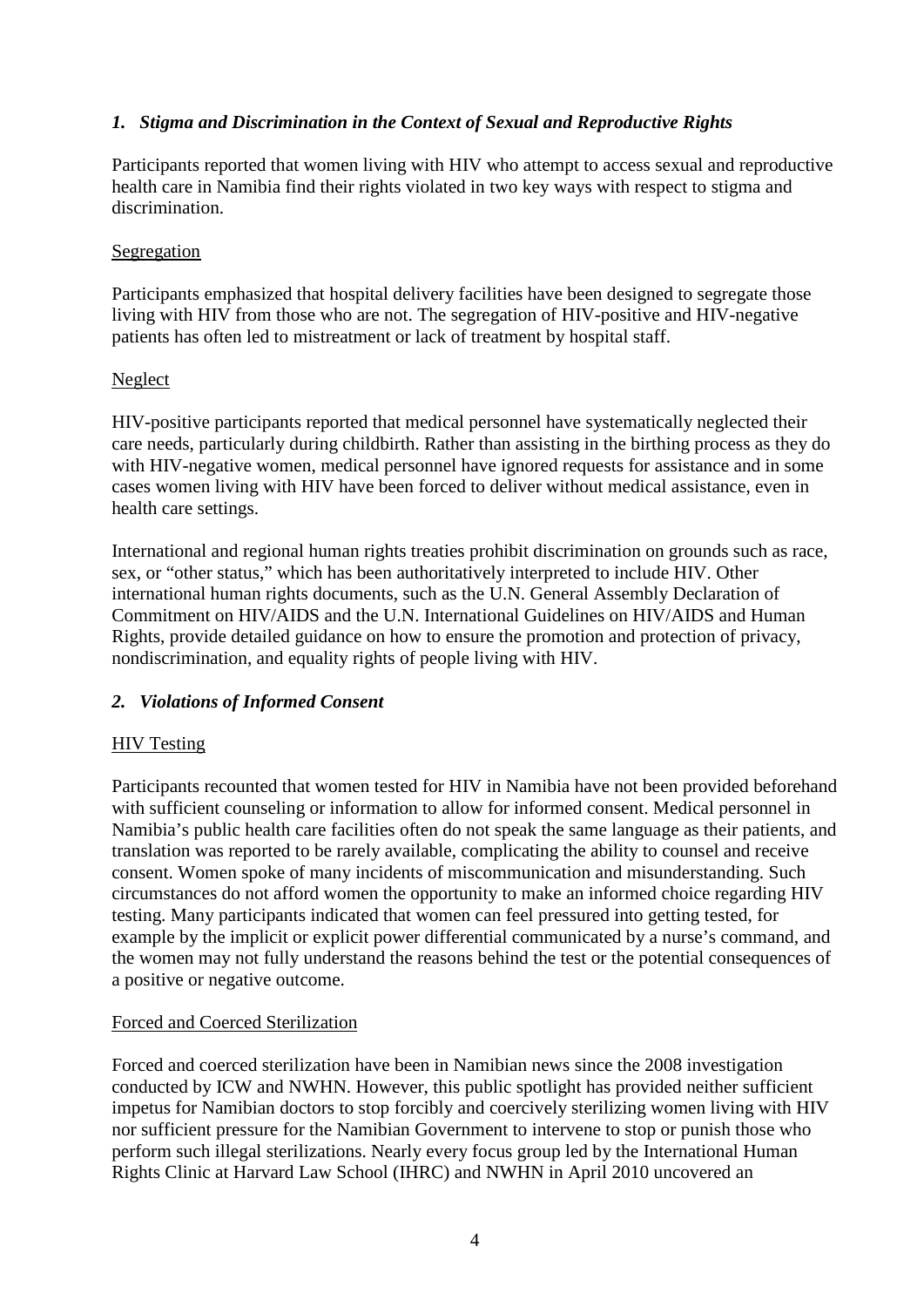## *1. Stigma and Discrimination in the Context of Sexual and Reproductive Rights*

Participants reported that women living with HIV who attempt to access sexual and reproductive health care in Namibia find their rights violated in two key ways with respect to stigma and discrimination.

#### **Segregation**

Participants emphasized that hospital delivery facilities have been designed to segregate those living with HIV from those who are not. The segregation of HIV-positive and HIV-negative patients has often led to mistreatment or lack of treatment by hospital staff.

#### Neglect

HIV-positive participants reported that medical personnel have systematically neglected their care needs, particularly during childbirth. Rather than assisting in the birthing process as they do with HIV-negative women, medical personnel have ignored requests for assistance and in some cases women living with HIV have been forced to deliver without medical assistance, even in health care settings.

International and regional human rights treaties prohibit discrimination on grounds such as race, sex, or "other status," which has been authoritatively interpreted to include HIV. Other international human rights documents, such as the U.N. General Assembly Declaration of Commitment on HIV/AIDS and the U.N. International Guidelines on HIV/AIDS and Human Rights, provide detailed guidance on how to ensure the promotion and protection of privacy, nondiscrimination, and equality rights of people living with HIV.

### *2. Violations of Informed Consent*

### HIV Testing

Participants recounted that women tested for HIV in Namibia have not been provided beforehand with sufficient counseling or information to allow for informed consent. Medical personnel in Namibia's public health care facilities often do not speak the same language as their patients, and translation was reported to be rarely available, complicating the ability to counsel and receive consent. Women spoke of many incidents of miscommunication and misunderstanding. Such circumstances do not afford women the opportunity to make an informed choice regarding HIV testing. Many participants indicated that women can feel pressured into getting tested, for example by the implicit or explicit power differential communicated by a nurse's command, and the women may not fully understand the reasons behind the test or the potential consequences of a positive or negative outcome.

### Forced and Coerced Sterilization

Forced and coerced sterilization have been in Namibian news since the 2008 investigation conducted by ICW and NWHN. However, this public spotlight has provided neither sufficient impetus for Namibian doctors to stop forcibly and coercively sterilizing women living with HIV nor sufficient pressure for the Namibian Government to intervene to stop or punish those who perform such illegal sterilizations. Nearly every focus group led by the International Human Rights Clinic at Harvard Law School (IHRC) and NWHN in April 2010 uncovered an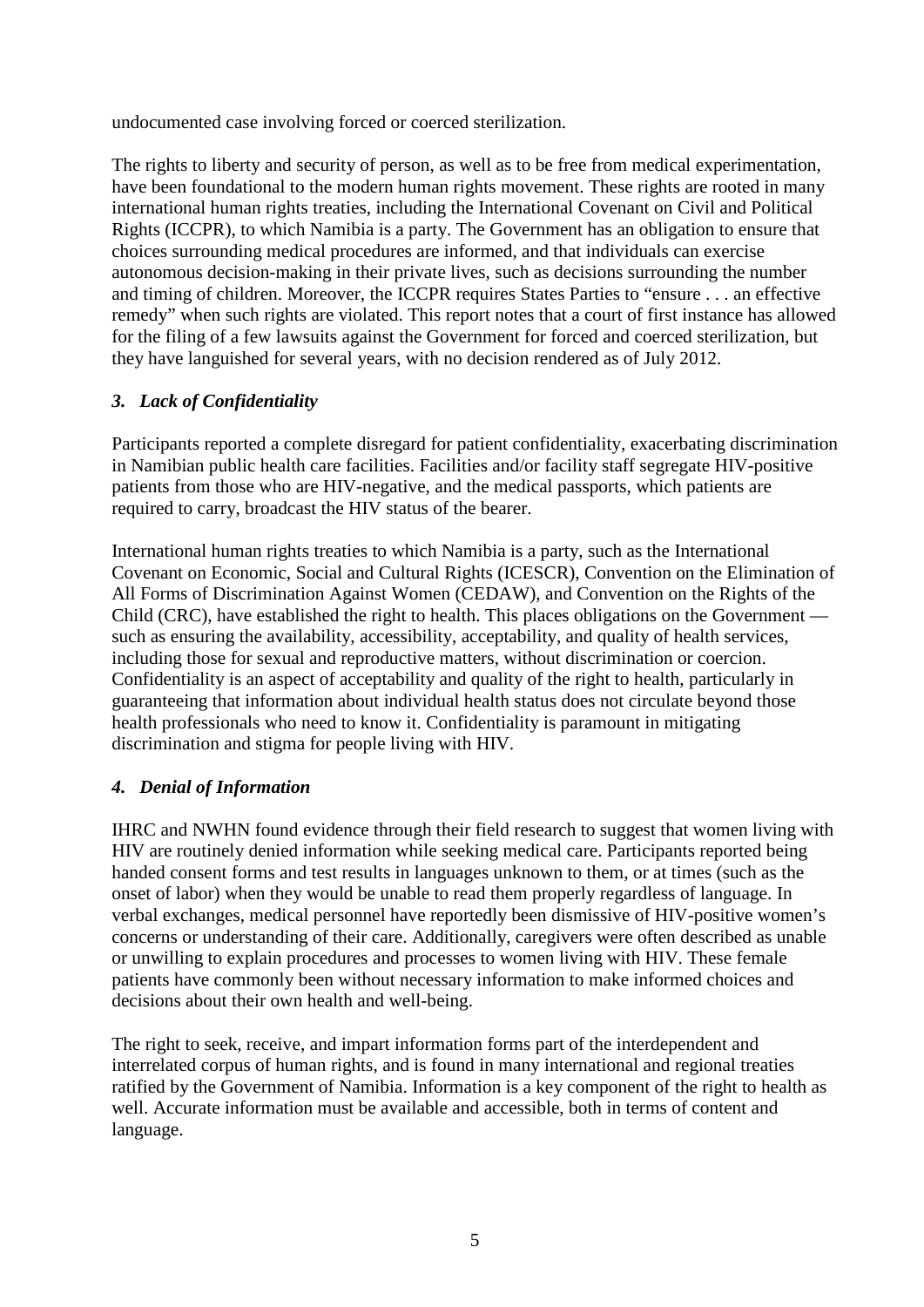undocumented case involving forced or coerced sterilization.

The rights to liberty and security of person, as well as to be free from medical experimentation, have been foundational to the modern human rights movement. These rights are rooted in many international human rights treaties, including the International Covenant on Civil and Political Rights (ICCPR), to which Namibia is a party. The Government has an obligation to ensure that choices surrounding medical procedures are informed, and that individuals can exercise autonomous decision-making in their private lives, such as decisions surrounding the number and timing of children. Moreover, the ICCPR requires States Parties to "ensure . . . an effective remedy" when such rights are violated. This report notes that a court of first instance has allowed for the filing of a few lawsuits against the Government for forced and coerced sterilization, but they have languished for several years, with no decision rendered as of July 2012.

## *3. Lack of Confidentiality*

Participants reported a complete disregard for patient confidentiality, exacerbating discrimination in Namibian public health care facilities. Facilities and/or facility staff segregate HIV-positive patients from those who are HIV-negative, and the medical passports, which patients are required to carry, broadcast the HIV status of the bearer.

International human rights treaties to which Namibia is a party, such as the International Covenant on Economic, Social and Cultural Rights (ICESCR), Convention on the Elimination of All Forms of Discrimination Against Women (CEDAW), and Convention on the Rights of the Child (CRC), have established the right to health. This places obligations on the Government such as ensuring the availability, accessibility, acceptability, and quality of health services, including those for sexual and reproductive matters, without discrimination or coercion. Confidentiality is an aspect of acceptability and quality of the right to health, particularly in guaranteeing that information about individual health status does not circulate beyond those health professionals who need to know it. Confidentiality is paramount in mitigating discrimination and stigma for people living with HIV.

## *4. Denial of Information*

IHRC and NWHN found evidence through their field research to suggest that women living with HIV are routinely denied information while seeking medical care. Participants reported being handed consent forms and test results in languages unknown to them, or at times (such as the onset of labor) when they would be unable to read them properly regardless of language. In verbal exchanges, medical personnel have reportedly been dismissive of HIV-positive women's concerns or understanding of their care. Additionally, caregivers were often described as unable or unwilling to explain procedures and processes to women living with HIV. These female patients have commonly been without necessary information to make informed choices and decisions about their own health and well-being.

The right to seek, receive, and impart information forms part of the interdependent and interrelated corpus of human rights, and is found in many international and regional treaties ratified by the Government of Namibia. Information is a key component of the right to health as well. Accurate information must be available and accessible, both in terms of content and language.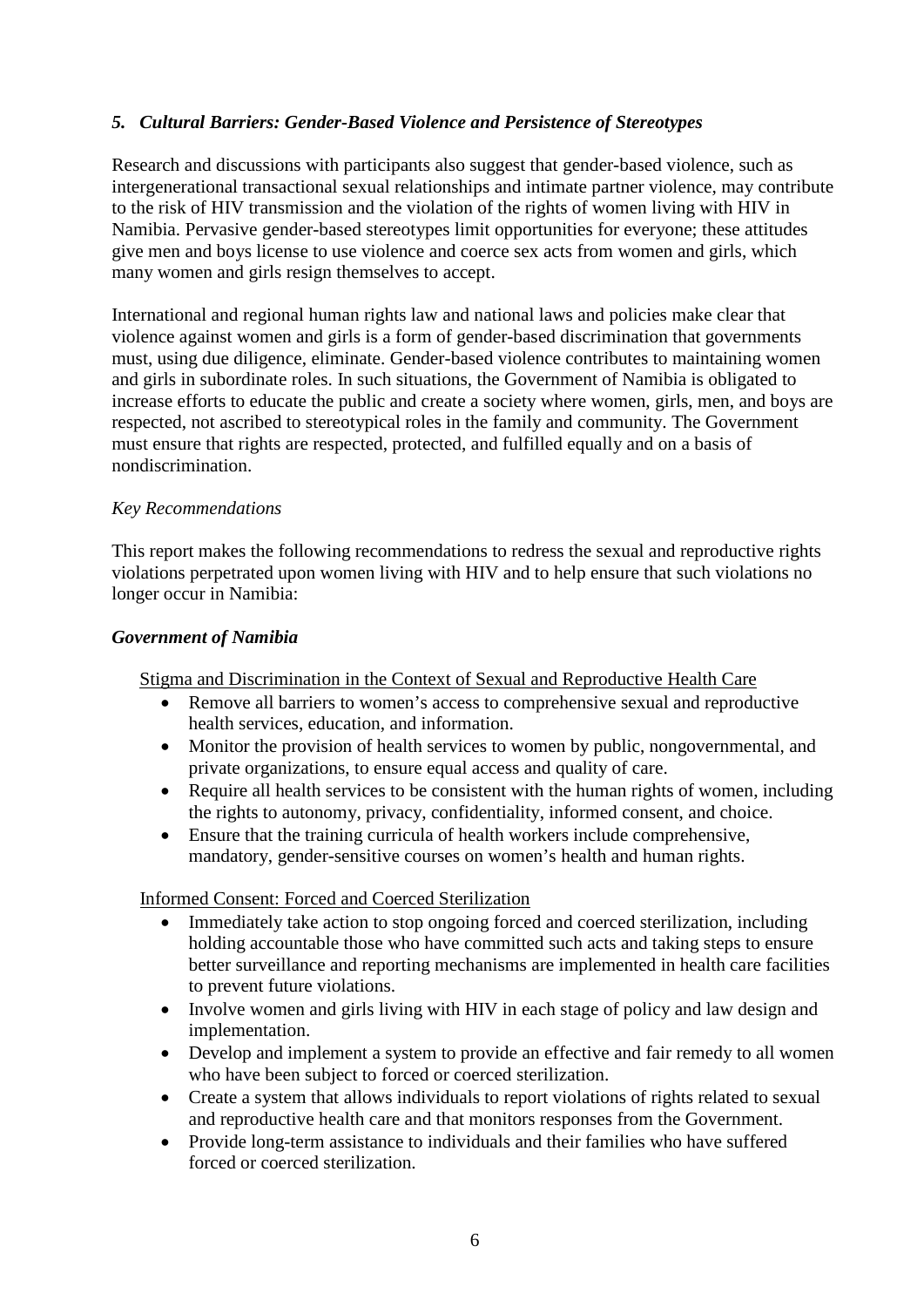## *5. Cultural Barriers: Gender-Based Violence and Persistence of Stereotypes*

Research and discussions with participants also suggest that gender-based violence, such as intergenerational transactional sexual relationships and intimate partner violence, may contribute to the risk of HIV transmission and the violation of the rights of women living with HIV in Namibia. Pervasive gender-based stereotypes limit opportunities for everyone; these attitudes give men and boys license to use violence and coerce sex acts from women and girls, which many women and girls resign themselves to accept.

International and regional human rights law and national laws and policies make clear that violence against women and girls is a form of gender-based discrimination that governments must, using due diligence, eliminate. Gender-based violence contributes to maintaining women and girls in subordinate roles. In such situations, the Government of Namibia is obligated to increase efforts to educate the public and create a society where women, girls, men, and boys are respected, not ascribed to stereotypical roles in the family and community. The Government must ensure that rights are respected, protected, and fulfilled equally and on a basis of nondiscrimination.

#### *Key Recommendations*

This report makes the following recommendations to redress the sexual and reproductive rights violations perpetrated upon women living with HIV and to help ensure that such violations no longer occur in Namibia:

#### *Government of Namibia*

Stigma and Discrimination in the Context of Sexual and Reproductive Health Care

- Remove all barriers to women's access to comprehensive sexual and reproductive health services, education, and information.
- Monitor the provision of health services to women by public, nongovernmental, and private organizations, to ensure equal access and quality of care.
- Require all health services to be consistent with the human rights of women, including the rights to autonomy, privacy, confidentiality, informed consent, and choice.
- Ensure that the training curricula of health workers include comprehensive, mandatory, gender-sensitive courses on women's health and human rights.

#### Informed Consent: Forced and Coerced Sterilization

- Immediately take action to stop ongoing forced and coerced sterilization, including holding accountable those who have committed such acts and taking steps to ensure better surveillance and reporting mechanisms are implemented in health care facilities to prevent future violations.
- Involve women and girls living with HIV in each stage of policy and law design and implementation.
- Develop and implement a system to provide an effective and fair remedy to all women who have been subject to forced or coerced sterilization.
- Create a system that allows individuals to report violations of rights related to sexual and reproductive health care and that monitors responses from the Government.
- Provide long-term assistance to individuals and their families who have suffered forced or coerced sterilization.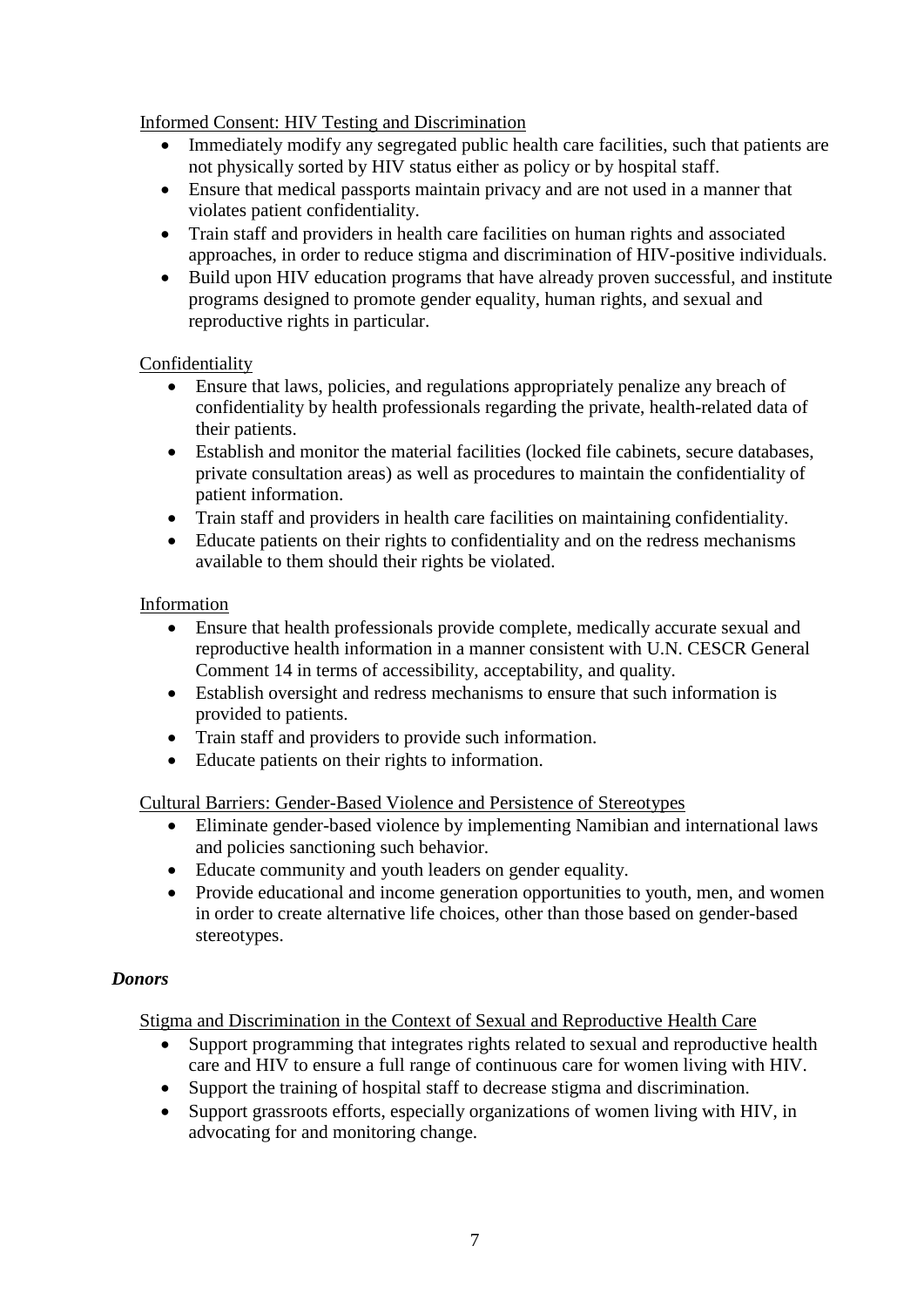Informed Consent: HIV Testing and Discrimination

- Immediately modify any segregated public health care facilities, such that patients are not physically sorted by HIV status either as policy or by hospital staff.
- Ensure that medical passports maintain privacy and are not used in a manner that violates patient confidentiality.
- Train staff and providers in health care facilities on human rights and associated approaches, in order to reduce stigma and discrimination of HIV-positive individuals.
- Build upon HIV education programs that have already proven successful, and institute programs designed to promote gender equality, human rights, and sexual and reproductive rights in particular.

### **Confidentiality**

- Ensure that laws, policies, and regulations appropriately penalize any breach of confidentiality by health professionals regarding the private, health-related data of their patients.
- Establish and monitor the material facilities (locked file cabinets, secure databases, private consultation areas) as well as procedures to maintain the confidentiality of patient information.
- Train staff and providers in health care facilities on maintaining confidentiality.
- Educate patients on their rights to confidentiality and on the redress mechanisms available to them should their rights be violated.

#### Information

- Ensure that health professionals provide complete, medically accurate sexual and reproductive health information in a manner consistent with U.N. CESCR General Comment 14 in terms of accessibility, acceptability, and quality.
- Establish oversight and redress mechanisms to ensure that such information is provided to patients.
- Train staff and providers to provide such information.
- Educate patients on their rights to information.

Cultural Barriers: Gender-Based Violence and Persistence of Stereotypes

- Eliminate gender-based violence by implementing Namibian and international laws and policies sanctioning such behavior.
- Educate community and youth leaders on gender equality.
- Provide educational and income generation opportunities to youth, men, and women in order to create alternative life choices, other than those based on gender-based stereotypes.

#### *Donors*

Stigma and Discrimination in the Context of Sexual and Reproductive Health Care

- Support programming that integrates rights related to sexual and reproductive health care and HIV to ensure a full range of continuous care for women living with HIV.
- Support the training of hospital staff to decrease stigma and discrimination.
- Support grassroots efforts, especially organizations of women living with HIV, in advocating for and monitoring change.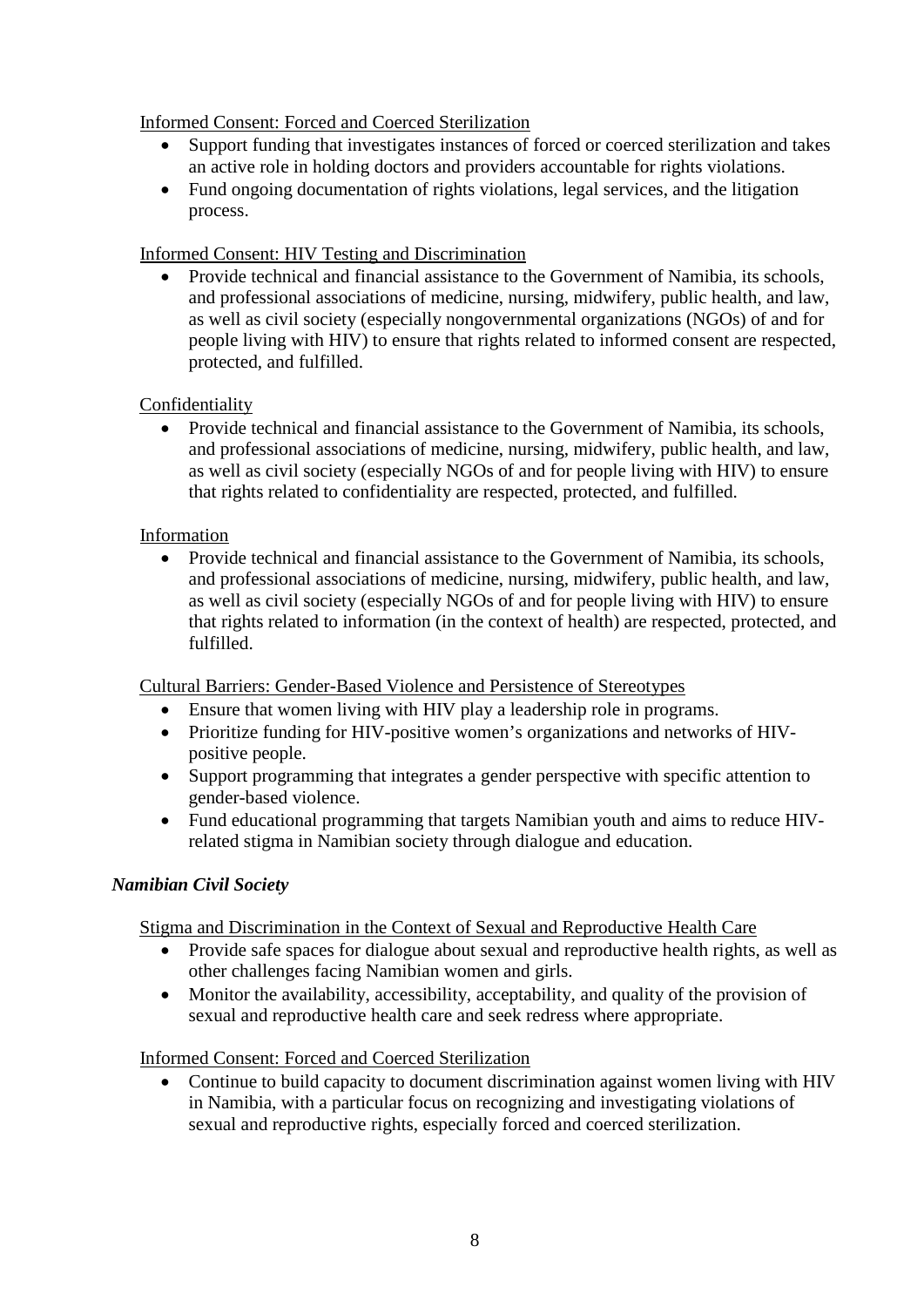## Informed Consent: Forced and Coerced Sterilization

- Support funding that investigates instances of forced or coerced sterilization and takes an active role in holding doctors and providers accountable for rights violations.
- Fund ongoing documentation of rights violations, legal services, and the litigation process.

## Informed Consent: HIV Testing and Discrimination

• Provide technical and financial assistance to the Government of Namibia, its schools, and professional associations of medicine, nursing, midwifery, public health, and law, as well as civil society (especially nongovernmental organizations (NGOs) of and for people living with HIV) to ensure that rights related to informed consent are respected, protected, and fulfilled.

## **Confidentiality**

• Provide technical and financial assistance to the Government of Namibia, its schools, and professional associations of medicine, nursing, midwifery, public health, and law, as well as civil society (especially NGOs of and for people living with HIV) to ensure that rights related to confidentiality are respected, protected, and fulfilled.

### Information

• Provide technical and financial assistance to the Government of Namibia, its schools, and professional associations of medicine, nursing, midwifery, public health, and law, as well as civil society (especially NGOs of and for people living with HIV) to ensure that rights related to information (in the context of health) are respected, protected, and fulfilled.

Cultural Barriers: Gender-Based Violence and Persistence of Stereotypes

- Ensure that women living with HIV play a leadership role in programs.
- Prioritize funding for HIV-positive women's organizations and networks of HIVpositive people.
- Support programming that integrates a gender perspective with specific attention to gender-based violence.
- Fund educational programming that targets Namibian youth and aims to reduce HIVrelated stigma in Namibian society through dialogue and education.

### *Namibian Civil Society*

Stigma and Discrimination in the Context of Sexual and Reproductive Health Care

- Provide safe spaces for dialogue about sexual and reproductive health rights, as well as other challenges facing Namibian women and girls.
- Monitor the availability, accessibility, acceptability, and quality of the provision of sexual and reproductive health care and seek redress where appropriate.

### Informed Consent: Forced and Coerced Sterilization

• Continue to build capacity to document discrimination against women living with HIV in Namibia, with a particular focus on recognizing and investigating violations of sexual and reproductive rights, especially forced and coerced sterilization.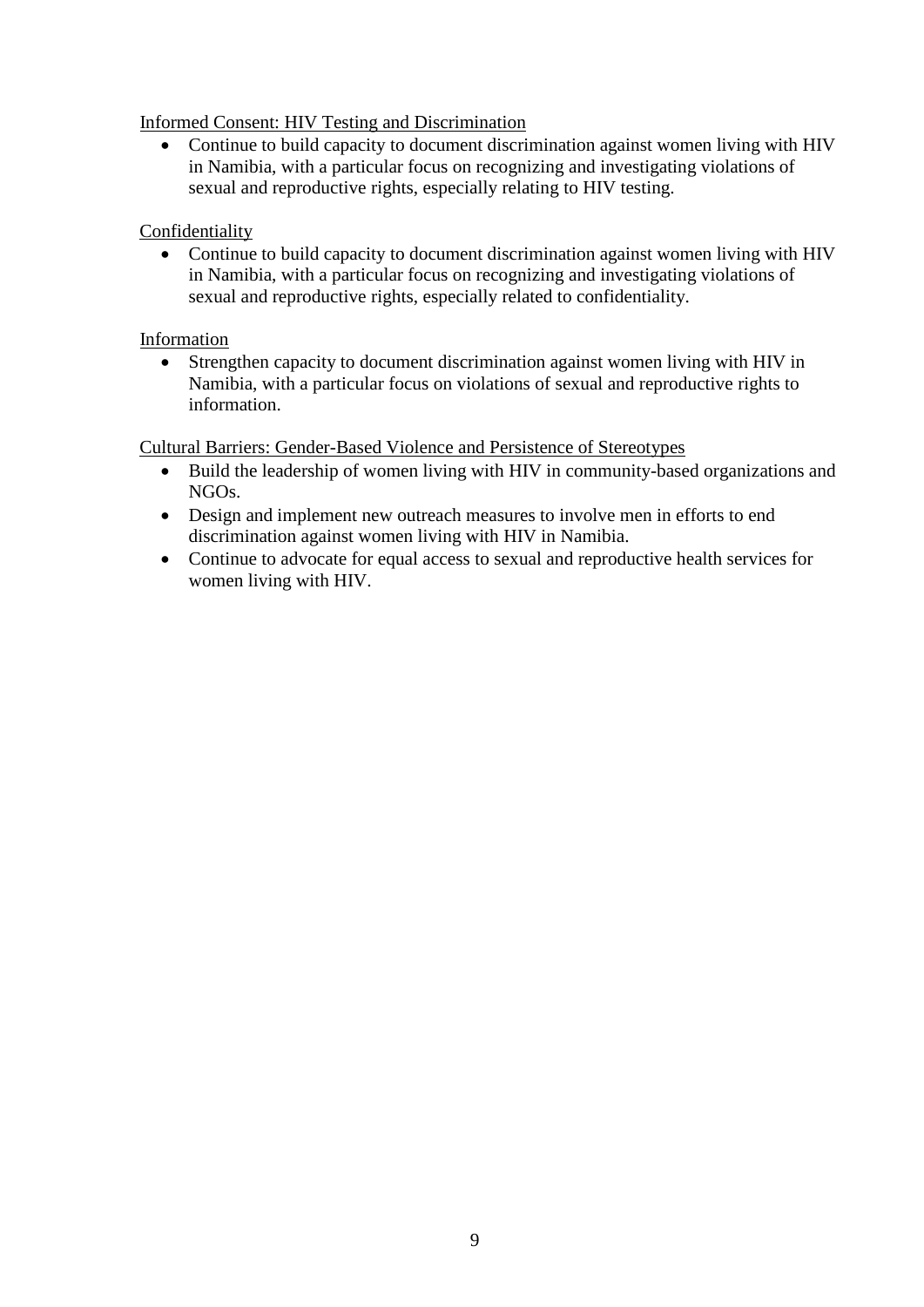## Informed Consent: HIV Testing and Discrimination

• Continue to build capacity to document discrimination against women living with HIV in Namibia, with a particular focus on recognizing and investigating violations of sexual and reproductive rights, especially relating to HIV testing.

## Confidentiality

• Continue to build capacity to document discrimination against women living with HIV in Namibia, with a particular focus on recognizing and investigating violations of sexual and reproductive rights, especially related to confidentiality.

## Information

• Strengthen capacity to document discrimination against women living with HIV in Namibia, with a particular focus on violations of sexual and reproductive rights to information.

## Cultural Barriers: Gender-Based Violence and Persistence of Stereotypes

- Build the leadership of women living with HIV in community-based organizations and NGOs.
- Design and implement new outreach measures to involve men in efforts to end discrimination against women living with HIV in Namibia.
- Continue to advocate for equal access to sexual and reproductive health services for women living with HIV.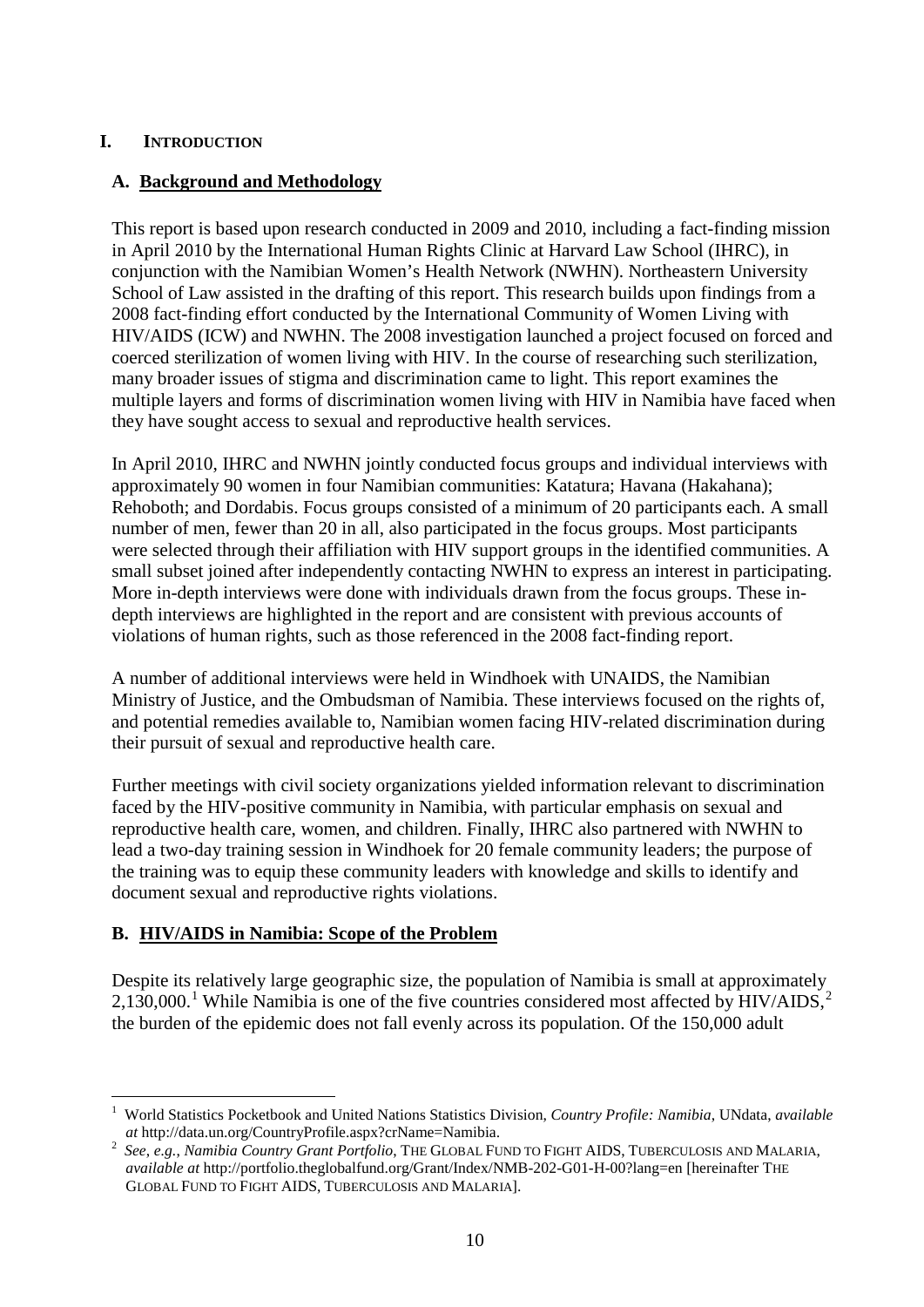## **I. INTRODUCTION**

## **A. Background and Methodology**

This report is based upon research conducted in 2009 and 2010, including a fact-finding mission in April 2010 by the International Human Rights Clinic at Harvard Law School (IHRC), in conjunction with the Namibian Women's Health Network (NWHN). Northeastern University School of Law assisted in the drafting of this report. This research builds upon findings from a 2008 fact-finding effort conducted by the International Community of Women Living with HIV/AIDS (ICW) and NWHN. The 2008 investigation launched a project focused on forced and coerced sterilization of women living with HIV. In the course of researching such sterilization, many broader issues of stigma and discrimination came to light. This report examines the multiple layers and forms of discrimination women living with HIV in Namibia have faced when they have sought access to sexual and reproductive health services.

In April 2010, IHRC and NWHN jointly conducted focus groups and individual interviews with approximately 90 women in four Namibian communities: Katatura; Havana (Hakahana); Rehoboth; and Dordabis. Focus groups consisted of a minimum of 20 participants each. A small number of men, fewer than 20 in all, also participated in the focus groups. Most participants were selected through their affiliation with HIV support groups in the identified communities. A small subset joined after independently contacting NWHN to express an interest in participating. More in-depth interviews were done with individuals drawn from the focus groups. These indepth interviews are highlighted in the report and are consistent with previous accounts of violations of human rights, such as those referenced in the 2008 fact-finding report.

A number of additional interviews were held in Windhoek with UNAIDS, the Namibian Ministry of Justice, and the Ombudsman of Namibia. These interviews focused on the rights of, and potential remedies available to, Namibian women facing HIV-related discrimination during their pursuit of sexual and reproductive health care.

Further meetings with civil society organizations yielded information relevant to discrimination faced by the HIV-positive community in Namibia, with particular emphasis on sexual and reproductive health care, women, and children. Finally, IHRC also partnered with NWHN to lead a two-day training session in Windhoek for 20 female community leaders; the purpose of the training was to equip these community leaders with knowledge and skills to identify and document sexual and reproductive rights violations.

## **B. HIV/AIDS in Namibia: Scope of the Problem**

Despite its relatively large geographic size, the population of Namibia is small at approximately  $2,130,000$  $2,130,000$  $2,130,000$ .<sup>1</sup> While Namibia is one of the five countries considered most affected by HIV/AIDS,<sup>[2](#page-9-1)</sup> the burden of the epidemic does not fall evenly across its population. Of the 150,000 adult

<span id="page-9-0"></span> $\frac{1}{1}$  World Statistics Pocketbook and United Nations Statistics Division, *Country Profile: Namibia*, UNdata, *available at* http://data.un.org/CountryProfile.aspx?crName=Namibia.

<span id="page-9-1"></span><sup>2</sup> *See*, *e.g.*, *Namibia Country Grant Portfolio*, THE GLOBAL FUND TO FIGHT AIDS, TUBERCULOSIS AND MALARIA, *available at* http://portfolio.theglobalfund.org/Grant/Index/NMB-202-G01-H-00?lang=en [hereinafter THE GLOBAL FUND TO FIGHT AIDS, TUBERCULOSIS AND MALARIA].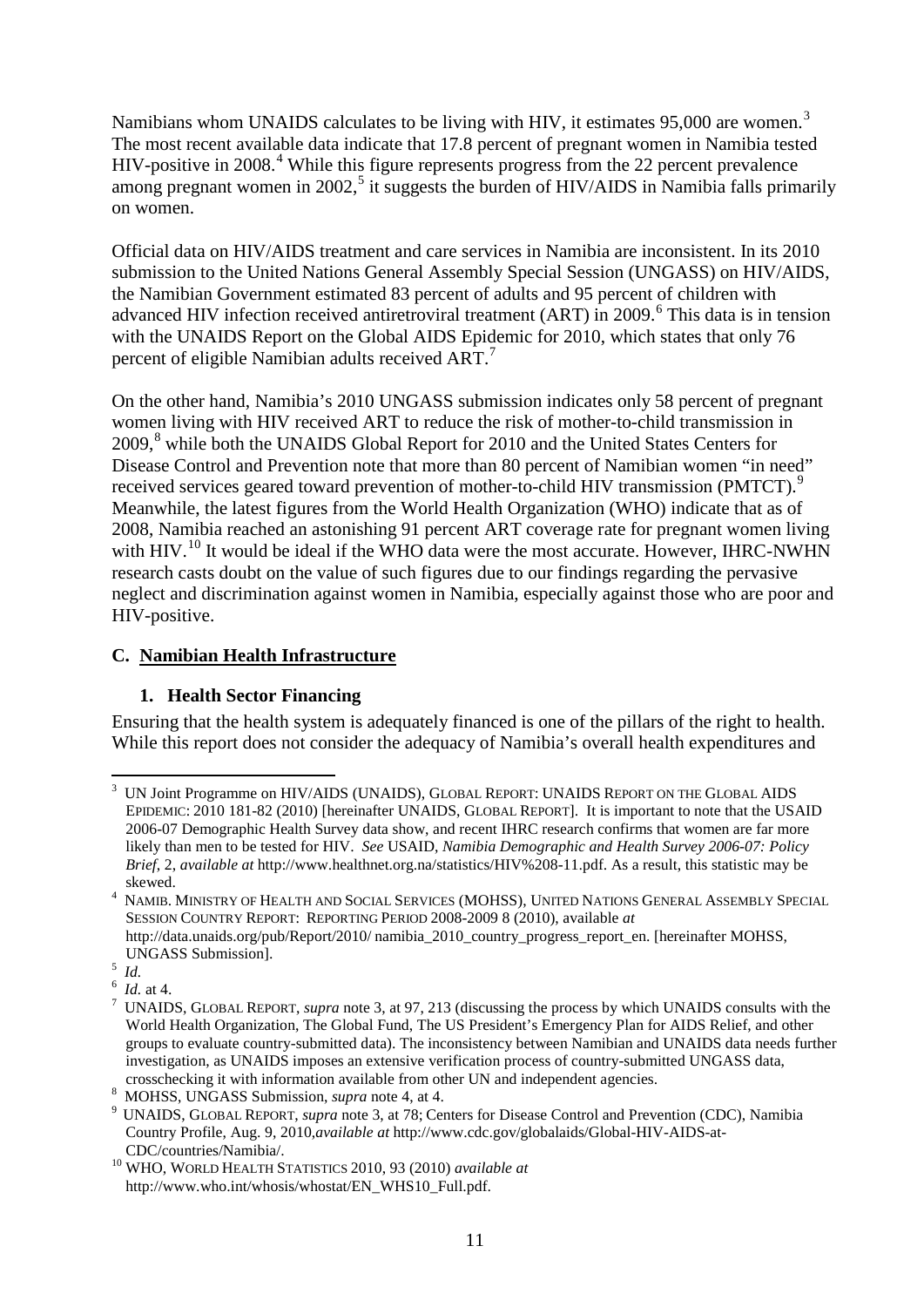Namibians whom UNAIDS calculates to be living with HIV, it estimates 95,000 are women.<sup>[3](#page-10-0)</sup> The most recent available data indicate that 17.8 percent of pregnant women in Namibia tested HIV-positive in 2008.<sup>[4](#page-10-1)</sup> While this figure represents progress from the 22 percent prevalence among pregnant women in 2002,<sup>[5](#page-10-2)</sup> it suggests the burden of HIV/AIDS in Namibia falls primarily on women.

Official data on HIV/AIDS treatment and care services in Namibia are inconsistent. In its 2010 submission to the United Nations General Assembly Special Session (UNGASS) on HIV/AIDS, the Namibian Government estimated 83 percent of adults and 95 percent of children with advanced HIV infection received antiretroviral treatment (ART) in 2009. [6](#page-10-3) This data is in tension with the UNAIDS Report on the Global AIDS Epidemic for 2010, which states that only 76 percent of eligible Namibian adults received ART. $^7$  $^7$ 

On the other hand, Namibia's 2010 UNGASS submission indicates only 58 percent of pregnant women living with HIV received ART to reduce the risk of mother-to-child transmission in 2009,<sup>[8](#page-10-5)</sup> while both the UNAIDS Global Report for 2010 and the United States Centers for Disease Control and Prevention note that more than 80 percent of Namibian women "in need" received services geared toward prevention of mother-to-child HIV transmission (PMTCT).<sup>[9](#page-10-6)</sup> Meanwhile, the latest figures from the World Health Organization (WHO) indicate that as of 2008, Namibia reached an astonishing 91 percent ART coverage rate for pregnant women living with HIV.<sup>[10](#page-10-7)</sup> It would be ideal if the WHO data were the most accurate. However, IHRC-NWHN research casts doubt on the value of such figures due to our findings regarding the pervasive neglect and discrimination against women in Namibia, especially against those who are poor and HIV-positive.

#### <span id="page-10-8"></span>**C. Namibian Health Infrastructure**

### **1. Health Sector Financing**

Ensuring that the health system is adequately financed is one of the pillars of the right to health. While this report does not consider the adequacy of Namibia's overall health expenditures and

<span id="page-10-0"></span> $\frac{1}{3}$  UN Joint Programme on HIV/AIDS (UNAIDS), GLOBAL REPORT: UNAIDS REPORT ON THE GLOBAL AIDS EPIDEMIC: 2010 181-82 (2010) [hereinafter UNAIDS, GLOBAL REPORT]. It is important to note that the USAID 2006-07 Demographic Health Survey data show, and recent IHRC research confirms that women are far more likely than men to be tested for HIV. *See* USAID, *Namibia Demographic and Health Survey 2006-07: Policy Brief*, 2, *available at* [http://www.healthnet.org.na/statistics/HIV%208-11.pdf.](http://www.healthnet.org.na/statistics/HIV%208-11.pdf) As a result, this statistic may be

<span id="page-10-1"></span>skewed. 4 NAMIB. MINISTRY OF HEALTH AND SOCIAL SERVICES (MOHSS), UNITED NATIONS GENERAL ASSEMBLY SPECIAL SESSION COUNTRY REPORT: REPORTING PERIOD 2008-2009 8 (2010), available *at* 

http://data.unaids.org/pub/Report/2010/ namibia\_2010\_country\_progress\_report\_en. [hereinafter MOHSS, UNGASS Submission]. <sup>5</sup>

<span id="page-10-2"></span> $\int dA$ .

<span id="page-10-3"></span> $6$  Id. at 4.

<span id="page-10-4"></span>UNAIDS, GLOBAL REPORT, *supra* note 3, at 97, 213 (discussing the process by which UNAIDS consults with the World Health Organization, The Global Fund, The US President's Emergency Plan for AIDS Relief, and other groups to evaluate country-submitted data). The inconsistency between Namibian and UNAIDS data needs further investigation, as UNAIDS imposes an extensive verification process of country-submitted UNGASS data,

<span id="page-10-5"></span>crosschecking it with information available from other UN and independent agencies.<br><sup>8</sup> MOHSS, UNGASS Submission, *supra* note 4, at 4.

<span id="page-10-6"></span><sup>&</sup>lt;sup>9</sup> UNAIDS, GLOBAL REPORT, *supra* note 3, at 78; Centers for Disease Control and Prevention (CDC), Namibia Country Profile, Aug. 9, 2010,*available at* http://www.cdc.gov/globalaids/Global-HIV-AIDS-at-CDC/countries/Namibia/. <sup>10</sup> WHO, WORLD HEALTH STATISTICS 2010, 93 (2010) *available at* 

<span id="page-10-7"></span>http://www.who.int/whosis/whostat/EN\_WHS10\_Full.pdf.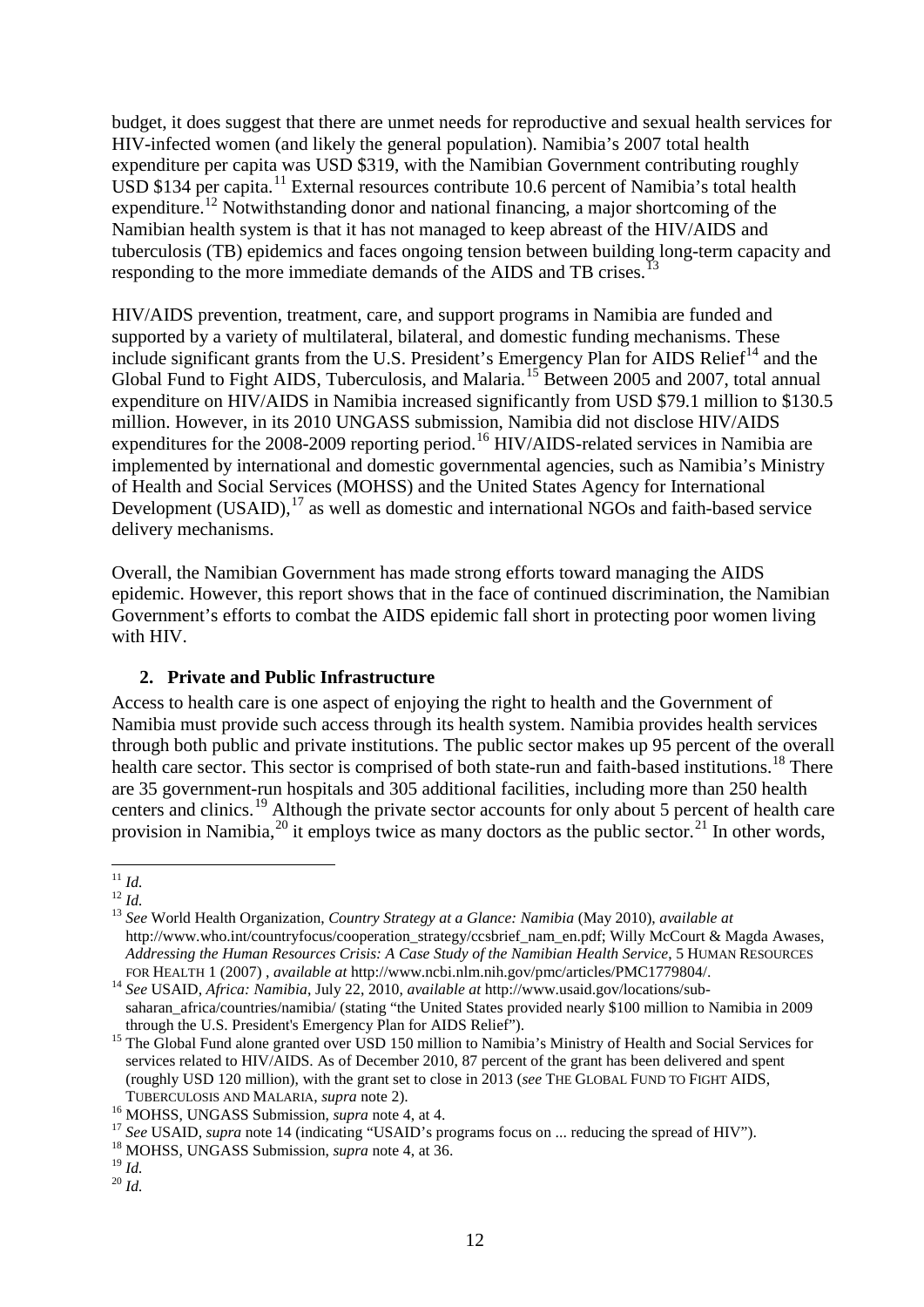budget, it does suggest that there are unmet needs for reproductive and sexual health services for HIV-infected women (and likely the general population). Namibia's 2007 total health expenditure per capita was USD \$319, with the Namibian Government contributing roughly USD \$134 per capita.<sup>[11](#page-11-1)</sup> External resources contribute 10.6 percent of Namibia's total health expenditure.<sup>[12](#page-11-2)</sup> Notwithstanding donor and national financing, a major shortcoming of the Namibian health system is that it has not managed to keep abreast of the HIV/AIDS and tuberculosis (TB) epidemics and faces ongoing tension between building long-term capacity and responding to the more immediate demands of the AIDS and TB crises.<sup>[13](#page-11-3)</sup>

<span id="page-11-0"></span>HIV/AIDS prevention, treatment, care, and support programs in Namibia are funded and supported by a variety of multilateral, bilateral, and domestic funding mechanisms. These include significant grants from the U.S. President's Emergency Plan for AIDS Relief<sup>[14](#page-11-4)</sup> and the Global Fund to Fight AIDS, Tuberculosis, and Malaria.<sup>[15](#page-11-5)</sup> Between 2005 and 2007, total annual expenditure on HIV/AIDS in Namibia increased significantly from USD \$79.1 million to \$130.5 million. However, in its 2010 UNGASS submission, Namibia did not disclose HIV/AIDS expenditures for the 2008-2009 reporting period.<sup>[16](#page-11-6)</sup> HIV/AIDS-related services in Namibia are implemented by international and domestic governmental agencies, such as Namibia's Ministry of Health and Social Services (MOHSS) and the United States Agency for International Development (USAID),<sup>[17](#page-11-7)</sup> as well as domestic and international NGOs and faith-based service delivery mechanisms.

Overall, the Namibian Government has made strong efforts toward managing the AIDS epidemic. However, this report shows that in the face of continued discrimination, the Namibian Government's efforts to combat the AIDS epidemic fall short in protecting poor women living with HIV.

### <span id="page-11-12"></span>**2. Private and Public Infrastructure**

Access to health care is one aspect of enjoying the right to health and the Government of Namibia must provide such access through its health system. Namibia provides health services through both public and private institutions. The public sector makes up 95 percent of the overall health care sector. This sector is comprised of both state-run and faith-based institutions.<sup>[18](#page-11-8)</sup> There are 35 government-run hospitals and 305 additional facilities, including more than 250 health centers and clinics.<sup>[19](#page-11-9)</sup> Although the private sector accounts for only about 5 percent of health care provision in Namibia,<sup>[20](#page-11-10)</sup> it employs twice as many doctors as the public sector.<sup>[21](#page-11-11)</sup> In other words,

<span id="page-11-11"></span><span id="page-11-1"></span> $\int_{12}^{11}$  *Id.* 

<span id="page-11-2"></span>

<span id="page-11-3"></span><sup>12</sup> *Id.* <sup>13</sup> *See* World Health Organization, *Country Strategy at a Glance: Namibia* (May 2010), *available at* http://www.who.int/countryfocus/cooperation\_strategy/ccsbrief\_nam\_en.pdf; Willy McCourt & Magda Awases, *Addressing the Human Resources Crisis: A Case Study of the Namibian Health Service*, 5 HUMAN RESOURCES FOR HEALTH 1 (2007) , *available at* http://www.ncbi.nlm.nih.gov/pmc/articles/PMC1779804/. <sup>14</sup> *See* USAID, *Africa: Namibia*, July 22, 2010, *available at* http://www.usaid.gov/locations/sub-

<span id="page-11-4"></span>saharan\_africa/countries/namibia/ (stating "the United States provided nearly \$100 million to Namibia in 2009

<span id="page-11-5"></span>through the U.S. President's Emergency Plan for AIDS Relief").<br><sup>15</sup> The Global Fund alone granted over USD 150 million to Namibia's Ministry of Health and Social Services for services related to HIV/AIDS. As of December 2010, 87 percent of the grant has been delivered and spent (roughly USD 120 million), with the grant set to close in 2013 (*see* THE GLOBAL FUND TO FIGHT AIDS,

<span id="page-11-7"></span>

<span id="page-11-6"></span>TUBERCULOSIS AND MALARIA, *supra* note 2).<br><sup>16</sup> MOHSS, UNGASS Submission, *supra* note 4, at 4.<br><sup>17</sup> See USAID, *supra* note [14](#page-11-0) (indicating "USAID's programs focus on ... reducing the spread of HIV").<br><sup>18</sup> MOHSS, UNGASS Su

<span id="page-11-8"></span>

<span id="page-11-10"></span><span id="page-11-9"></span> $^{20}$   $I$ *d.*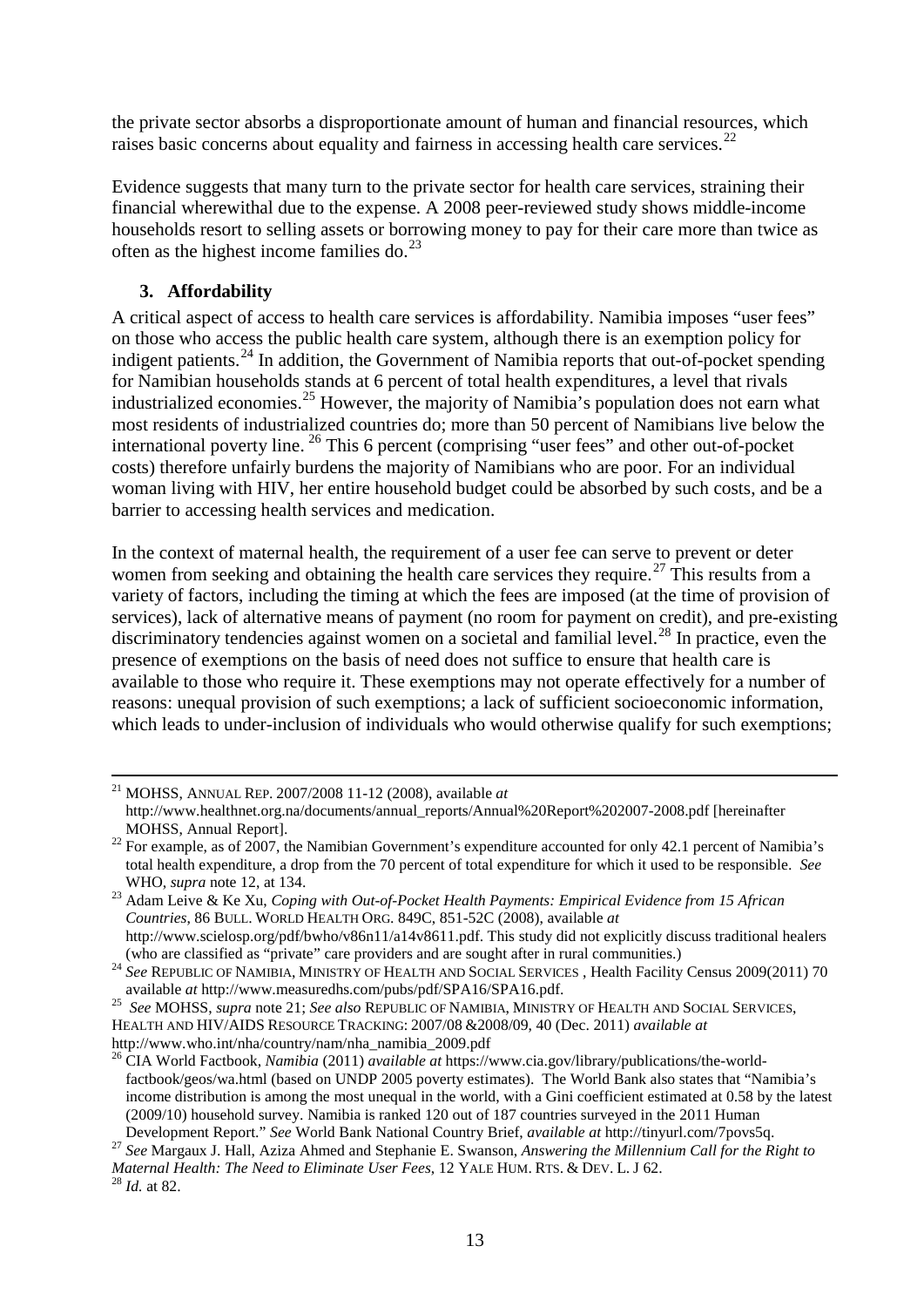the private sector absorbs a disproportionate amount of human and financial resources, which raises basic concerns about equality and fairness in accessing health care services.<sup>[22](#page-12-0)</sup>

Evidence suggests that many turn to the private sector for health care services, straining their financial wherewithal due to the expense. A 2008 peer-reviewed study shows middle-income households resort to selling assets or borrowing money to pay for their care more than twice as often as the highest income families do. $^{23}$  $^{23}$  $^{23}$ 

## **3. Affordability**

A critical aspect of access to health care services is affordability. Namibia imposes "user fees" on those who access the public health care system, although there is an exemption policy for indigent patients.<sup>[24](#page-12-2)</sup> In addition, the Government of Namibia reports that out-of-pocket spending for Namibian households stands at 6 percent of total health expenditures, a level that rivals industrialized economies.<sup>[25](#page-12-3)</sup> However, the majority of Namibia's population does not earn what most residents of industrialized countries do; more than 50 percent of Namibians live below the international poverty line. [26](#page-12-4) This 6 percent (comprising "user fees" and other out-of-pocket costs) therefore unfairly burdens the majority of Namibians who are poor. For an individual woman living with HIV, her entire household budget could be absorbed by such costs, and be a barrier to accessing health services and medication.

In the context of maternal health, the requirement of a user fee can serve to prevent or deter women from seeking and obtaining the health care services they require.<sup>[27](#page-12-5)</sup> This results from a variety of factors, including the timing at which the fees are imposed (at the time of provision of services), lack of alternative means of payment (no room for payment on credit), and pre-existing discriminatory tendencies against women on a societal and familial level.<sup>[28](#page-12-6)</sup> In practice, even the presence of exemptions on the basis of need does not suffice to ensure that health care is available to those who require it. These exemptions may not operate effectively for a number of reasons: unequal provision of such exemptions; a lack of sufficient socioeconomic information, which leads to under-inclusion of individuals who would otherwise qualify for such exemptions;

 <sup>21</sup> MOHSS, ANNUAL REP. 2007/2008 11-12 (2008), available *at* http://www.healthnet.org.na/documents/annual\_reports/Annual%20Report%202007-2008.pdf [hereinafter] MOHSS, Annual Report].

<span id="page-12-0"></span><sup>&</sup>lt;sup>22</sup> For example, as of 2007, the Namibian Government's expenditure accounted for only 42.1 percent of Namibia's total health expenditure, a drop from the 70 percent of total expenditure for which it used to be responsible. *See*

<span id="page-12-1"></span>WHO, *supra* note 12, at 134. 23 Adam Leive & Ke Xu, *Coping with Out-of-Pocket Health Payments: Empirical Evidence from 15 African Countries*, 86 BULL. WORLD HEALTH ORG. 849C, 851-52C (2008), available *at* http://www.scielosp.org/pdf/bwho/v86n11/a14v8611.pdf. This study did not explicitly discuss traditional healers

<sup>(</sup>who are classified as "private" care providers and are sought after in rural communities.) 24 *See* REPUBLIC OF NAMIBIA, MINISTRY OF HEALTH AND SOCIAL SERVICES , Health Facility Census 2009(2011) 70

<span id="page-12-3"></span><span id="page-12-2"></span>available *at* http://www.measuredhs.com/pubs/pdf/SPA16/SPA16.pdf. <sup>25</sup>*See* MOHSS, *supra* note 21; *See also* REPUBLIC OF NAMIBIA, MINISTRY OF HEALTH AND SOCIAL SERVICES, HEALTH AND HIV/AIDS RESOURCE TRACKING: 2007/08 &2008/09, 40 (Dec. 2011) *available at* 

[http://www.who.int/nha/country/nam/nha\\_namibia\\_2009.pdf](http://www.who.int/nha/country/nam/nha_namibia_2009.pdf)

<span id="page-12-4"></span><sup>26</sup> CIA World Factbook, *Namibia* (2011) *available at* [https://www.cia.gov/library/publications/the-world](https://www.cia.gov/library/publications/the-world-factbook/geos/wa.html)[factbook/geos/wa.html](https://www.cia.gov/library/publications/the-world-factbook/geos/wa.html) (based on UNDP 2005 poverty estimates). The World Bank also states that "Namibia's income distribution is among the most unequal in the world, with a Gini coefficient estimated at 0.58 by the latest (2009/10) household survey. Namibia is ranked 120 out of 187 countries surveyed in the 2011 Human

<span id="page-12-5"></span>Development Report." See World Bank National Country Brief, *available at* http://tinyurl.com/7povs5q.<br><sup>27</sup> See Margaux J. Hall, Aziza Ahmed and Stephanie E. Swanson, *Answering the Millennium Call for the Right to Maternal Health: The Need to Eliminate User Fees, 12 YALE HUM. RTS. & DEV. L. J 62.* <sup>28</sup> *Id.* at 82.

<span id="page-12-6"></span>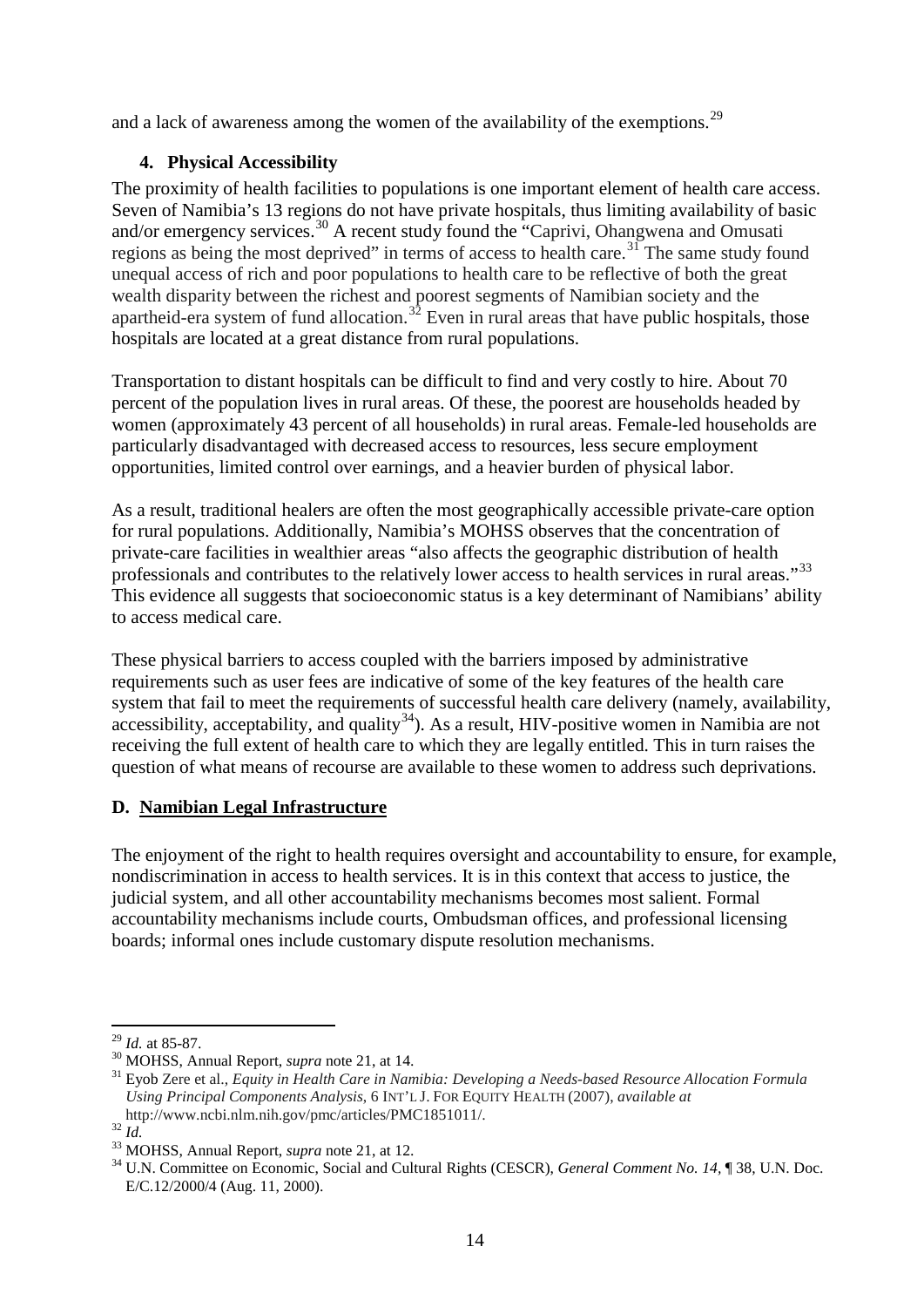and a lack of awareness among the women of the availability of the exemptions.<sup>[29](#page-13-0)</sup>

## **4. Physical Accessibility**

The proximity of health facilities to populations is one important element of health care access. Seven of Namibia's 13 regions do not have private hospitals, thus limiting availability of basic and/or emergency services.<sup>[30](#page-13-1)</sup> A recent study found the "Caprivi, Ohangwena and Omusati regions as being the most deprived" in terms of access to health care.<sup>[31](#page-13-2)</sup> The same study found unequal access of rich and poor populations to health care to be reflective of both the great wealth disparity between the richest and poorest segments of Namibian society and the apartheid-era system of fund allocation.<sup>[32](#page-13-3)</sup> Even in rural areas that have public hospitals, those hospitals are located at a great distance from rural populations.

Transportation to distant hospitals can be difficult to find and very costly to hire. About 70 percent of the population lives in rural areas. Of these, the poorest are households headed by women (approximately 43 percent of all households) in rural areas. Female-led households are particularly disadvantaged with decreased access to resources, less secure employment opportunities, limited control over earnings, and a heavier burden of physical labor.

As a result, traditional healers are often the most geographically accessible private-care option for rural populations. Additionally, Namibia's MOHSS observes that the concentration of private-care facilities in wealthier areas "also affects the geographic distribution of health professionals and contributes to the relatively lower access to health services in rural areas."<sup>[33](#page-13-4)</sup> This evidence all suggests that socioeconomic status is a key determinant of Namibians' ability to access medical care.

<span id="page-13-6"></span>These physical barriers to access coupled with the barriers imposed by administrative requirements such as user fees are indicative of some of the key features of the health care system that fail to meet the requirements of successful health care delivery (namely, availability,  $accessibility$ , acceptability, and quality<sup>[34](#page-13-5)</sup>). As a result, HIV-positive women in Namibia are not receiving the full extent of health care to which they are legally entitled. This in turn raises the question of what means of recourse are available to these women to address such deprivations.

## **D. Namibian Legal Infrastructure**

The enjoyment of the right to health requires oversight and accountability to ensure, for example, nondiscrimination in access to health services. It is in this context that access to justice, the judicial system, and all other accountability mechanisms becomes most salient. Formal accountability mechanisms include courts, Ombudsman offices, and professional licensing boards; informal ones include customary dispute resolution mechanisms.

<span id="page-13-2"></span><span id="page-13-1"></span>

<span id="page-13-0"></span><sup>&</sup>lt;sup>29</sup> *Id.* at 85-87.<br><sup>30</sup> MOHSS, Annual Report, *supra* not[e 21,](#page-11-12) at 14.<br><sup>31</sup> Eyob Zere et al., *Equity in Health Care in Namibia: Developing a Needs-based Resource Allocation Formula Using Principal Components Analysis*, 6 INT'L J. FOR EQUITY HEALTH (2007), *available at* http://www.ncbi.nlm.nih.gov/pmc/articles/PMC1851011/.

<span id="page-13-5"></span>

<span id="page-13-4"></span><span id="page-13-3"></span><sup>&</sup>lt;sup>32</sup> *Id.*<br><sup>33</sup> MOHSS, Annual Report, *supra* not[e 21,](#page-11-12) at 12.<br><sup>34</sup> U.N. Committee on Economic, Social and Cultural Rights (CESCR), *General Comment No. 14*, ¶ 38, U.N. Doc. E/C.12/2000/4 (Aug. 11, 2000).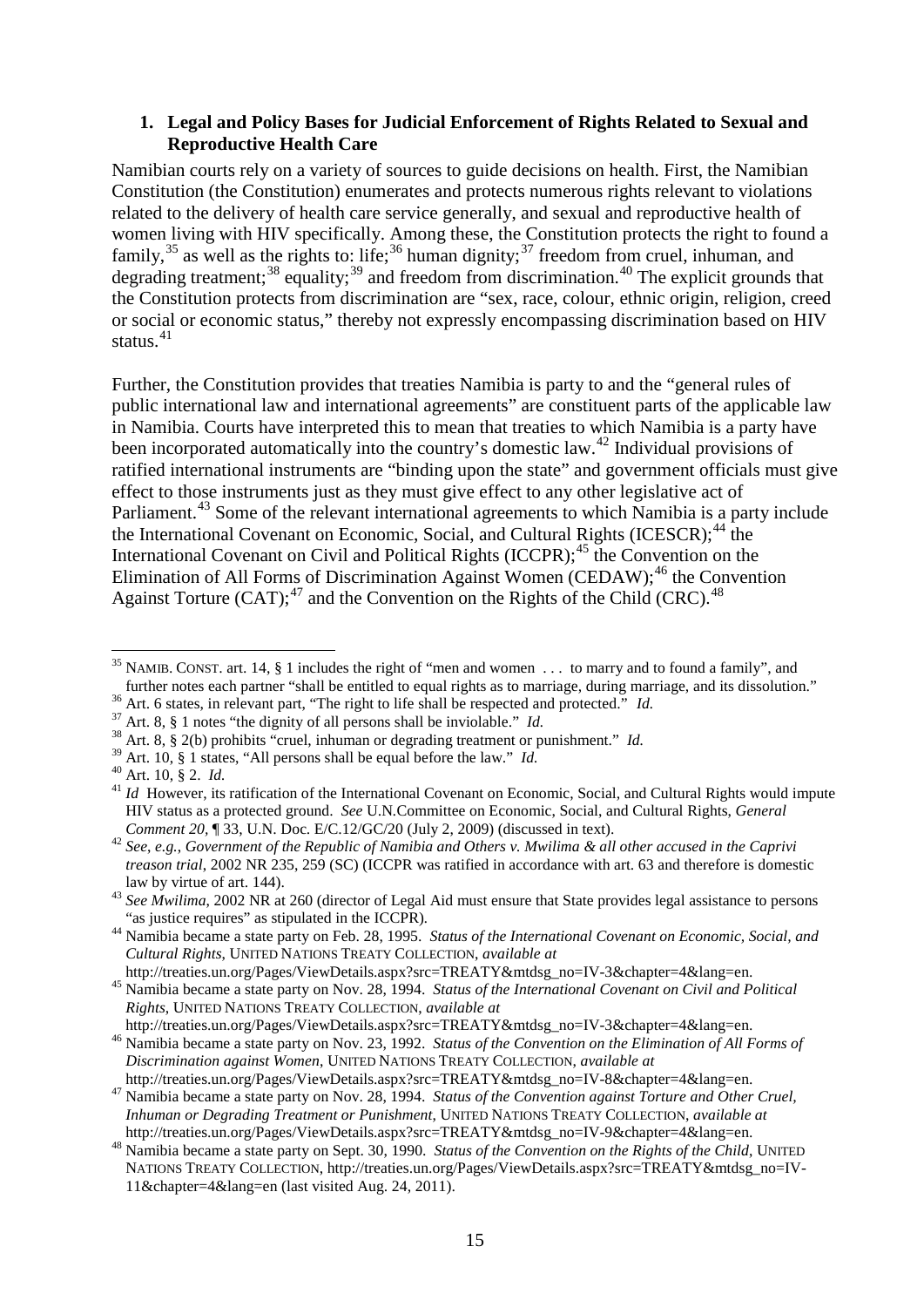#### **1. Legal and Policy Bases for Judicial Enforcement of Rights Related to Sexual and Reproductive Health Care**

Namibian courts rely on a variety of sources to guide decisions on health. First, the Namibian Constitution (the Constitution) enumerates and protects numerous rights relevant to violations related to the delivery of health care service generally, and sexual and reproductive health of women living with HIV specifically. Among these, the Constitution protects the right to found a family,<sup>[35](#page-14-0)</sup> as well as the rights to: life;<sup>[36](#page-14-1)</sup> human dignity;<sup>[37](#page-14-2)</sup> freedom from cruel, inhuman, and degrading treatment;<sup>[38](#page-14-3)</sup> equality;<sup>[39](#page-14-4)</sup> and freedom from discrimination.<sup>[40](#page-14-5)</sup> The explicit grounds that the Constitution protects from discrimination are "sex, race, colour, ethnic origin, religion, creed or social or economic status," thereby not expressly encompassing discrimination based on HIV status.<sup>[41](#page-14-6)</sup>

Further, the Constitution provides that treaties Namibia is party to and the "general rules of public international law and international agreements" are constituent parts of the applicable law in Namibia. Courts have interpreted this to mean that treaties to which Namibia is a party have been incorporated automatically into the country's domestic law.<sup>[42](#page-14-7)</sup> Individual provisions of ratified international instruments are "binding upon the state" and government officials must give effect to those instruments just as they must give effect to any other legislative act of Parliament.<sup>[43](#page-14-8)</sup> Some of the relevant international agreements to which Namibia is a party include the International Covenant on Economic, Social, and Cultural Rights (ICESCR);<sup>[44](#page-14-9)</sup> the International Covenant on Civil and Political Rights (ICCPR);<sup>[45](#page-14-10)</sup> the Convention on the Elimination of All Forms of Discrimination Against Women (CEDAW);<sup>[46](#page-14-11)</sup> the Convention Against Torture (CAT);<sup>[47](#page-14-12)</sup> and the Convention on the Rights of the Child (CRC).<sup>[48](#page-14-13)</sup>

<span id="page-14-10"></span><sup>45</sup> Namibia became a state party on Nov. 28, 1994. *Status of the International Covenant on Civil and Political Rights*, UNITED NATIONS TREATY COLLECTION, *available at*

<span id="page-14-0"></span><sup>&</sup>lt;sup>35</sup> NAMIB. CONST. art. 14, § 1 includes the right of "men and women  $\dots$  to marry and to found a family", and further notes each partner "shall be entitled to equal rights as to marriage, during marriage, and its dissolu

<span id="page-14-2"></span>

<span id="page-14-3"></span>

<span id="page-14-1"></span><sup>&</sup>lt;sup>36</sup> Art. 6 states, in relevant part, "The right to life shall be respected and protected." *Id.*<br><sup>37</sup> Art. 8, § 1 notes "the dignity of all persons shall be inviolable." *Id.*<br><sup>38</sup> Art. 8, § 2(b) prohibits "cruel, inhuma

<span id="page-14-6"></span><span id="page-14-5"></span><span id="page-14-4"></span><sup>&</sup>lt;sup>40</sup> Art. 10, § 2. *Id.*  $\overline{A}$  *Id.*  $\overline{A}$  *Id.* However, its ratification of the International Covenant on Economic, Social, and Cultural Rights would impute HIV status as a protected ground. *See* U.N.Committee on Economic, Social, and Cultural Rights, *General Comment* 20, 133, U.N. Doc. E/C.12/GC/20 (July 2, 2009) (discussed in text).

<span id="page-14-7"></span>*Comment 20,*  $\parallel$  33, U.N. Doc. E/C.12/GC/20 (July 2, 2009) (discussed in the Caprivitude 2, 2009) (discussed in the Caprivitude 2, 2009) (discussed in the Caprivitude 2, 2009) (discussed in the Caprivitude 2, 2009) (disc *treason trial*, 2002 NR 235, 259 (SC) (ICCPR was ratified in accordance with art. 63 and therefore is domestic

<span id="page-14-8"></span>law by virtue of art. 144).<br><sup>43</sup> *See Mwilima*, 2002 NR at 260 (director of Legal Aid must ensure that State provides legal assistance to persons "as justice requires" as stipulated in the ICCPR).

<span id="page-14-9"></span><sup>&</sup>lt;sup>44</sup> Namibia became a state party on Feb. 28, 1995. *Status of the International Covenant on Economic, Social, and Cultural Rights*, UNITED NATIONS TREATY COLLECTION, *available at*

<span id="page-14-11"></span>http://treaties.un.org/Pages/ViewDetails.aspx?src=TREATY&mtdsg\_no=IV-3&chapter=4&lang=en. <sup>46</sup> Namibia became a state party on Nov. 23, 1992. *Status of the Convention on the Elimination of All Forms of Discrimination against Women*, UNITED NATIONS TREATY COLLECTION, *available at* http://treaties.un.org/Pages/ViewDetails.aspx?src=TREATY&mtdsg\_no=IV-8&chapter=4&lang=en.

<span id="page-14-12"></span><sup>&</sup>lt;sup>47</sup> Namibia became a state party on Nov. 28, 1994. *Status of the Convention against Torture and Other Cruel, Inhuman or Degrading Treatment or Punishment*, UNITED NATIONS TREATY COLLECTION, *available at* http://treaties.un.org/Pages/ViewDetails.aspx?src=TREATY&mtdsg\_no=IV-9&chapter=4&lang=en.

<span id="page-14-13"></span><sup>&</sup>lt;sup>48</sup> Namibia became a state party on Sept. 30, 1990. *Status of the Convention on the Rights of the Child*, UNITED NATIONS TREATY COLLECTION, http://treaties.un.org/Pages/ViewDetails.aspx?src=TREATY&mtdsg\_no=IV-11&chapter=4&lang=en (last visited Aug. 24, 2011).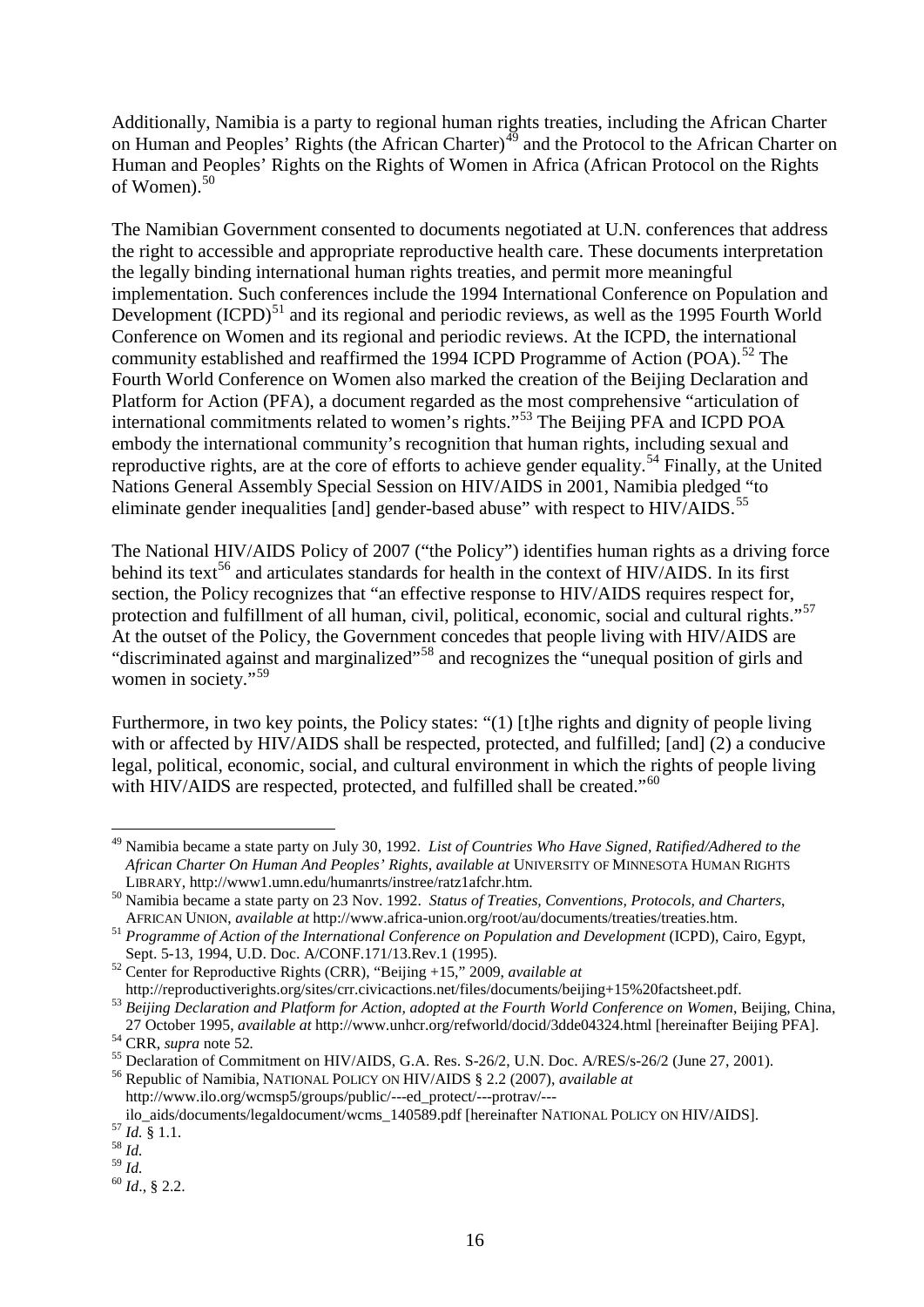Additionally, Namibia is a party to regional human rights treaties, including the African Charter on Human and Peoples' Rights (the African Charter)<sup>[49](#page-15-1)</sup> and the Protocol to the African Charter on Human and Peoples' Rights on the Rights of Women in Africa (African Protocol on the Rights of Women). [50](#page-15-2)

<span id="page-15-0"></span>The Namibian Government consented to documents negotiated at U.N. conferences that address the right to accessible and appropriate reproductive health care. These documents interpretation the legally binding international human rights treaties, and permit more meaningful implementation. Such conferences include the 1994 International Conference on Population and Development  $(ICPD)^{51}$  $(ICPD)^{51}$  $(ICPD)^{51}$  and its regional and periodic reviews, as well as the 1995 Fourth World Conference on Women and its regional and periodic reviews. At the ICPD, the international community established and reaffirmed the 1994 ICPD Programme of Action (POA).<sup>[52](#page-15-4)</sup> The Fourth World Conference on Women also marked the creation of the Beijing Declaration and Platform for Action (PFA), a document regarded as the most comprehensive "articulation of international commitments related to women's rights."[53](#page-15-5) The Beijing PFA and ICPD POA embody the international community's recognition that human rights, including sexual and reproductive rights, are at the core of efforts to achieve gender equality.<sup>[54](#page-15-6)</sup> Finally, at the United Nations General Assembly Special Session on HIV/AIDS in 2001, Namibia pledged "to eliminate gender inequalities [and] gender-based abuse" with respect to HIV/AIDS.<sup>[55](#page-15-7)</sup>

<span id="page-15-15"></span><span id="page-15-14"></span><span id="page-15-13"></span>The National HIV/AIDS Policy of 2007 ("the Policy") identifies human rights as a driving force behind its text<sup>[56](#page-15-8)</sup> and articulates standards for health in the context of HIV/AIDS. In its first section, the Policy recognizes that "an effective response to HIV/AIDS requires respect for, protection and fulfillment of all human, civil, political, economic, social and cultural rights."<sup>57</sup> At the outset of the Policy, the Government concedes that people living with HIV/AIDS are "discriminated against and marginalized"<sup>[58](#page-15-10)</sup> and recognizes the "unequal position of girls and " women in society."<sup>[59](#page-15-11)</sup>

Furthermore, in two key points, the Policy states: "(1) [t]he rights and dignity of people living with or affected by HIV/AIDS shall be respected, protected, and fulfilled; [and] (2) a conducive legal, political, economic, social, and cultural environment in which the rights of people living with HIV/AIDS are respected, protected, and fulfilled shall be created."<sup>[60](#page-15-12)</sup>

<span id="page-15-1"></span> <sup>49</sup> Namibia became a state party on July 30, 1992. *List of Countries Who Have Signed, Ratified/Adhered to the African Charter On Human And Peoples' Rights*, *available at* UNIVERSITY OF MINNESOTA HUMAN RIGHTS

<span id="page-15-2"></span>LIBRARY, http://www1.umn.edu/humanrts/instree/ratz1afchr.htm.<br><sup>50</sup> Namibia became a state party on 23 Nov. 1992. *Status of Treaties, Conventions, Protocols, and Charters,*<br>AFRICAN UNION, *available at* http://www.africa-u

<span id="page-15-3"></span><sup>&</sup>lt;sup>51</sup> *Programme of Action of the International Conference on Population and Development* (ICPD), Cairo, Egypt, Sept. 5-13, 1994, U.D. Doc. A/CONF.171/13.Rev.1 (1995).

<span id="page-15-4"></span>Sept. 5-13, 1994, U.D. Doc. A. U.S. C. C. A. T. P. P. C. C. A. T. P. P. C. C. C. A. P. P. P. 2009, *available at*<br>http://reproductive Rights (CRR), "Beijing +15," 2009, *available at*<br>http://reproductiverights.org/sites/cr

<span id="page-15-5"></span><sup>&</sup>lt;sup>53</sup> Beijing Declaration and Platform for Action, adopted at the Fourth World Conference on Women, Beijing, China, 27 October 1995, *available at* http://www.unhcr.org/refworld/docid/3dde04324.html [hereinafter Beijing PFA].<br><sup>54</sup> CRR, *supra* note [52](#page-15-0).<br><sup>55</sup> Declaration of Commitment on HIV/AIDS, G.A. Res. S-26/2, U.N. Doc. A/RES/s-26/2

<span id="page-15-6"></span>

<span id="page-15-8"></span><span id="page-15-7"></span>

http://www.ilo.org/wcmsp5/groups/public/---ed\_protect/---protrav/---

<span id="page-15-9"></span>ilo\_aids/documents/legaldocument/wcms\_140589.pdf [hereinafter NATIONAL POLICY ON HIV/AIDS].<br><sup>57</sup> *Id.* § 1.1. 58 *Id.*<br><sup>58</sup> *Id.* 

<span id="page-15-10"></span>

<span id="page-15-11"></span>

<span id="page-15-12"></span><sup>59</sup> *Id.* <sup>60</sup> *Id*., § 2.2.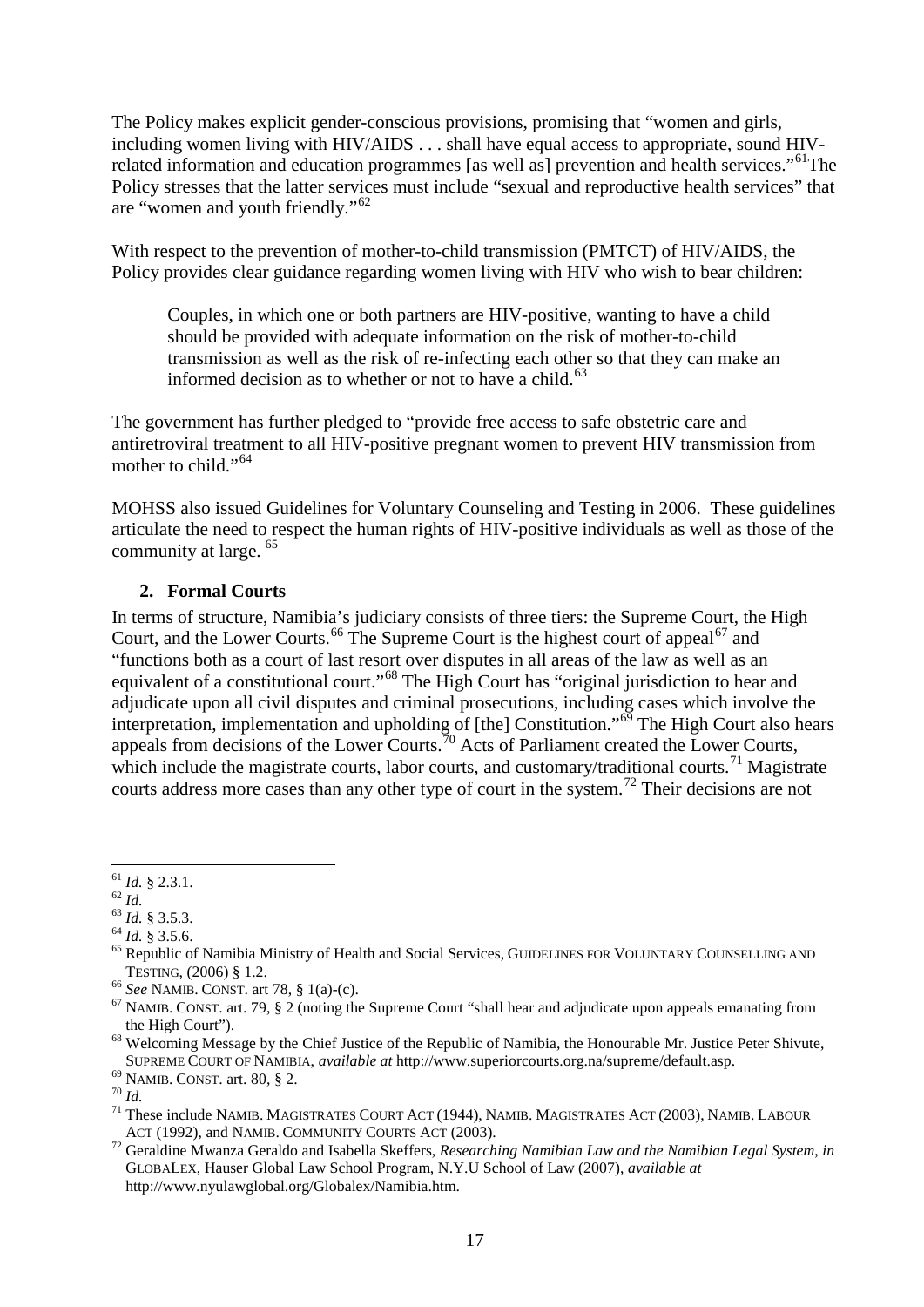The Policy makes explicit gender-conscious provisions, promising that "women and girls, including women living with HIV/AIDS . . . shall have equal access to appropriate, sound HIVrelated information and education programmes [as well as] prevention and health services."<sup>61</sup>The Policy stresses that the latter services must include "sexual and reproductive health services" that are "women and youth friendly."[62](#page-16-1)

With respect to the prevention of mother-to-child transmission (PMTCT) of HIV/AIDS, the Policy provides clear guidance regarding women living with HIV who wish to bear children:

Couples, in which one or both partners are HIV-positive, wanting to have a child should be provided with adequate information on the risk of mother-to-child transmission as well as the risk of re-infecting each other so that they can make an informed decision as to whether or not to have a child. $^{63}$  $^{63}$  $^{63}$ 

The government has further pledged to "provide free access to safe obstetric care and antiretroviral treatment to all HIV-positive pregnant women to prevent HIV transmission from mother to child."<sup>[64](#page-16-3)</sup>

MOHSS also issued Guidelines for Voluntary Counseling and Testing in 2006. These guidelines articulate the need to respect the human rights of HIV-positive individuals as well as those of the community at large. [65](#page-16-4)

#### **2. Formal Courts**

In terms of structure, Namibia's judiciary consists of three tiers: the Supreme Court, the High Court, and the Lower Courts.<sup>[66](#page-16-5)</sup> The Supreme Court is the highest court of appeal<sup>[67](#page-16-6)</sup> and "functions both as a court of last resort over disputes in all areas of the law as well as an equivalent of a constitutional court."<sup>[68](#page-16-7)</sup> The High Court has "original jurisdiction to hear and adjudicate upon all civil disputes and criminal prosecutions, including cases which involve the interpretation, implementation and upholding of [the] Constitution."[69](#page-16-8) The High Court also hears appeals from decisions of the Lower Courts.<sup>[70](#page-16-9)</sup> Acts of Parliament created the Lower Courts, which include the magistrate courts, labor courts, and customary/traditional courts.<sup>[71](#page-16-10)</sup> Magistrate courts address more cases than any other type of court in the system.<sup>[72](#page-16-11)</sup> Their decisions are not

<span id="page-16-12"></span><span id="page-16-0"></span> $^{61}_{62}$  *Id.* § 2.3.1.<br> $^{62}$  *Id.* 

<span id="page-16-4"></span>

<span id="page-16-3"></span><span id="page-16-2"></span><span id="page-16-1"></span><sup>&</sup>lt;sup>63</sup> *Id.* § 3.5.3.<br><sup>64</sup> *Id.* § 3.5.6.<br><sup>65</sup> Republic of Namibia Ministry of Health and Social Services, GUIDELINES FOR VOLUNTARY COUNSELLING AND TESTING, (2006) § 1.2.<br><sup>66</sup> *See* NAMIB. CONST. art 78, § 1(a)-(c).<br><sup>67</sup> NAMIB. CONST. art. 79, § 2 (noting the Supreme Court "shall hear and adjudicate upon appeals emanating from

<span id="page-16-5"></span>

<span id="page-16-7"></span><span id="page-16-6"></span>the High Court").<br><sup>68</sup> Welcoming Message by the Chief Justice of the Republic of Namibia, the Honourable Mr. Justice Peter Shivute,<br>SUPREME COURT OF NAMIBIA, *available at* http://www.superiorcourts.org.na/supreme/default.

<span id="page-16-10"></span><span id="page-16-9"></span>

<span id="page-16-8"></span><sup>&</sup>lt;sup>69</sup> NAMIB. CONST. art. 80, § 2.<br>
<sup>70</sup> Id.<br>
<sup>71</sup> These include NAMIB. MAGISTRATES COURT ACT (1944), NAMIB. MAGISTRATES ACT (2003), NAMIB. LABOUR<br>
ACT (1992), and NAMIB. COMMUNITY COURTS ACT (2003).

<span id="page-16-11"></span><sup>&</sup>lt;sup>72</sup> Geraldine Mwanza Geraldo and Isabella Skeffers, *Researching Namibian Law and the Namibian Legal System*, *in* GLOBALEX, Hauser Global Law School Program, N.Y.U School of Law (2007), *available at* http://www.nyulawglobal.org/Globalex/Namibia.htm.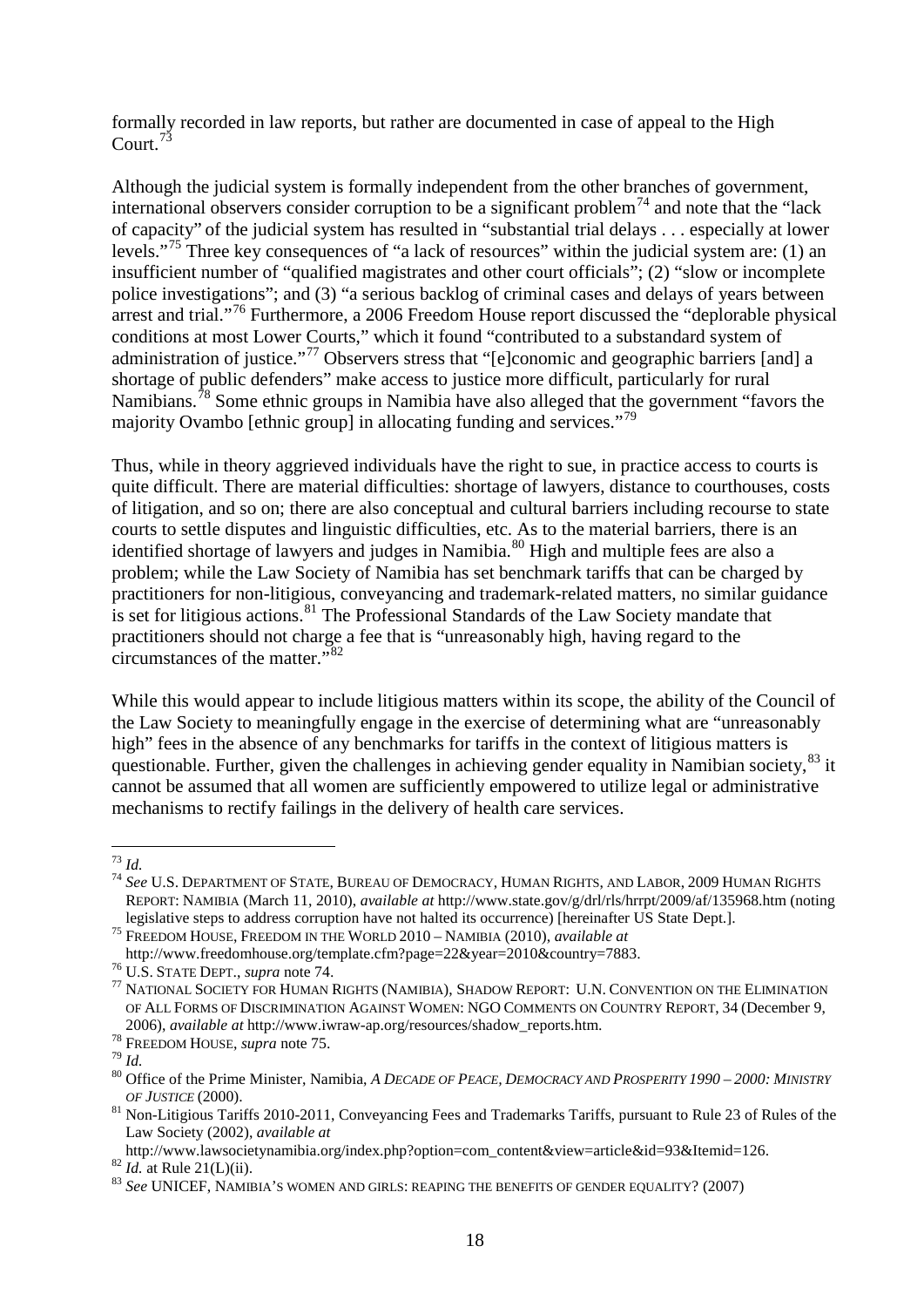formally recorded in law reports, but rather are documented in case of appeal to the High Court.<sup>[73](#page-17-2)</sup>

<span id="page-17-1"></span><span id="page-17-0"></span>Although the judicial system is formally independent from the other branches of government, international observers consider corruption to be a significant problem<sup>[74](#page-17-3)</sup> and note that the "lack" of capacity" of the judicial system has resulted in "substantial trial delays . . . especially at lower levels."[75](#page-17-4) Three key consequences of "a lack of resources" within the judicial system are: (1) an insufficient number of "qualified magistrates and other court officials"; (2) "slow or incomplete police investigations"; and (3) "a serious backlog of criminal cases and delays of years between arrest and trial."<sup>[76](#page-17-5)</sup> Furthermore, a 2006 Freedom House report discussed the "deplorable physical conditions at most Lower Courts," which it found "contributed to a substandard system of administration of justice."<sup>[77](#page-17-6)</sup> Observers stress that "[e]conomic and geographic barriers [and] a shortage of public defenders" make access to justice more difficult, particularly for rural Namibians.<sup>[78](#page-17-7)</sup> Some ethnic groups in Namibia have also alleged that the government "favors the majority Ovambo [ethnic group] in allocating funding and services."<sup>[79](#page-17-8)</sup>

<span id="page-17-13"></span>Thus, while in theory aggrieved individuals have the right to sue, in practice access to courts is quite difficult. There are material difficulties: shortage of lawyers, distance to courthouses, costs of litigation, and so on; there are also conceptual and cultural barriers including recourse to state courts to settle disputes and linguistic difficulties, etc. As to the material barriers, there is an identified shortage of lawyers and judges in Namibia.<sup>[80](#page-17-9)</sup> High and multiple fees are also a problem; while the Law Society of Namibia has set benchmark tariffs that can be charged by practitioners for non-litigious, conveyancing and trademark-related matters, no similar guidance is set for litigious actions.<sup>[81](#page-17-10)</sup> The Professional Standards of the Law Society mandate that practitioners should not charge a fee that is "unreasonably high, having regard to the circumstances of the matter."[82](#page-17-11)

While this would appear to include litigious matters within its scope, the ability of the Council of the Law Society to meaningfully engage in the exercise of determining what are "unreasonably high" fees in the absence of any benchmarks for tariffs in the context of litigious matters is questionable. Further, given the challenges in achieving gender equality in Namibian society, <sup>[83](#page-17-12)</sup> it cannot be assumed that all women are sufficiently empowered to utilize legal or administrative mechanisms to rectify failings in the delivery of health care services.

<span id="page-17-2"></span> <sup>73</sup> *Id.*

<span id="page-17-3"></span><sup>74</sup> *See* U.S. DEPARTMENT OF STATE, BUREAU OF DEMOCRACY, HUMAN RIGHTS, AND LABOR, 2009 HUMAN RIGHTS REPORT: NAMIBIA (March 11, 2010), *available at* http://www.state.gov/g/drl/rls/hrrpt/2009/af/135968.htm (noting legislative steps to address corruption have not halted its occurrence) [hereinafter US State Dept.].<br><sup>75</sup> FREEDOM HOUSE, FREEDOM IN THE WORLD 2010 – NAMIBIA (2010), *available at*<br>http://www.freedomhouse.org/template.cfm?

<span id="page-17-4"></span>

<span id="page-17-6"></span><span id="page-17-5"></span><sup>&</sup>lt;sup>76</sup> U.S. STATE DEPT., *supra* not[e 74.](#page-17-0) **22. State of the State of Tages** 23. SHADOW REPORT: U.N. CONVENTION ON THE ELIMINATION OF ALL FORMS OF DISCRIMINATION AGAINST WOMEN: NGO COMMENTS ON COUNTRY REPORT, 34 (December 9, 2006), available at http://www.iwraw-ap.org/resources/shadow\_reports.htm.<br><sup>78</sup> FREEDOM HOUSE, *supra* note [75.](#page-17-1)<br><sup>79</sup> Id.<br><sup>80</sup> Office of the Prime Minister, Namibia, A DECADE OF PEACE, DEMOCRACY AND PROSPERITY 1990 – 2000:

<span id="page-17-7"></span>

<span id="page-17-8"></span>

<span id="page-17-9"></span>

<span id="page-17-10"></span>*OF JUSTICE* (2000). <sup>81</sup> Non-Litigious Tariffs 2010-2011, Conveyancing Fees and Trademarks Tariffs, pursuant to Rule 23 of Rules of the Law Society (2002), *available at*<br>http://www.lawsocietynamibia.org/index.php?option=com\_content&view=article&id=93&Itemid=126.

<span id="page-17-11"></span>bittp://www.lawsociety.hamiltonic.gr/index.php?option=126. 83<br>83 *Id.* at Rule 21(L)(ii). 83 *See* UNICEF, NAMIBIA'S WOMEN AND GIRLS: REAPING THE BENEFITS OF GENDER EQUALITY? (2007)

<span id="page-17-12"></span>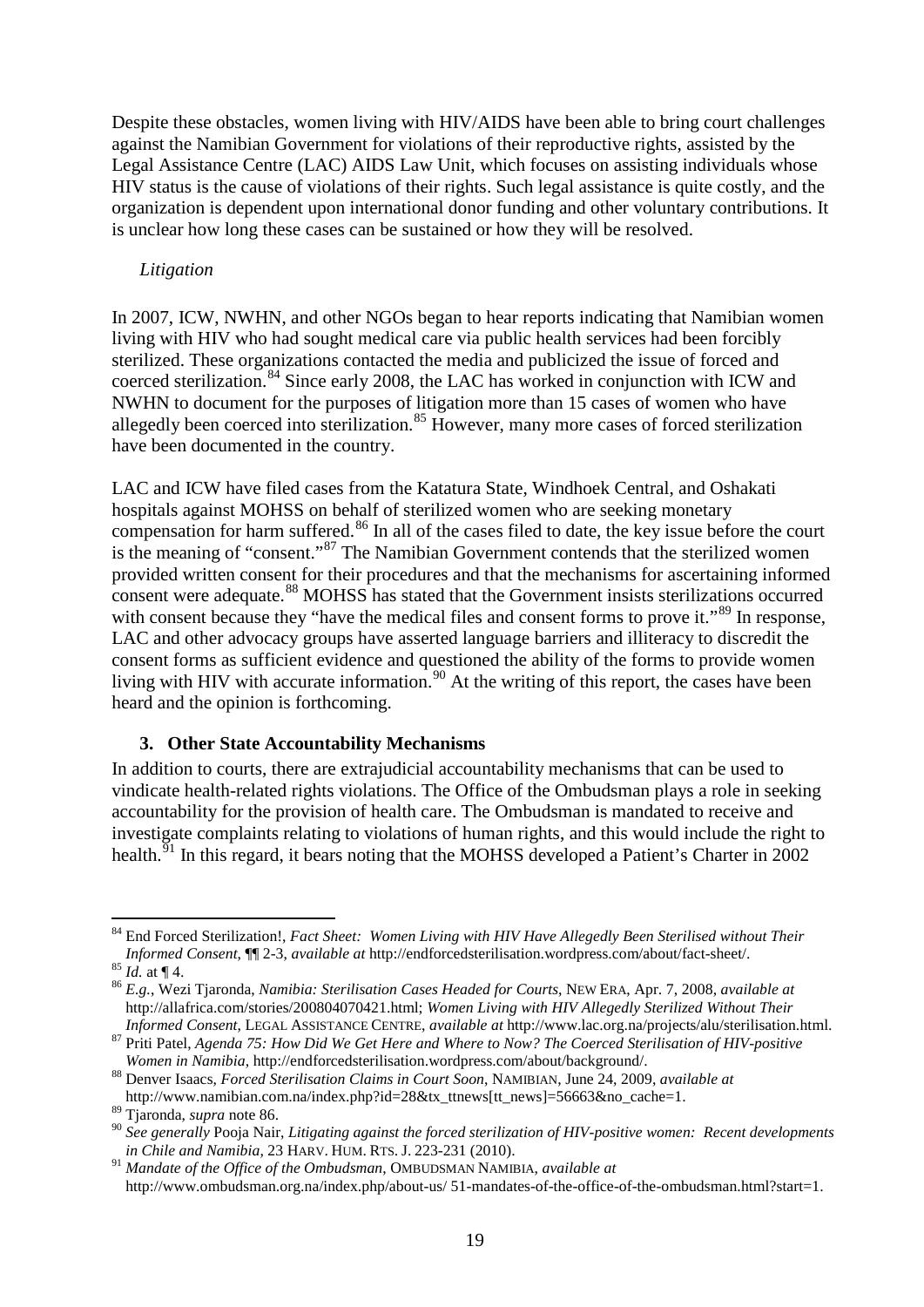Despite these obstacles, women living with HIV/AIDS have been able to bring court challenges against the Namibian Government for violations of their reproductive rights, assisted by the Legal Assistance Centre (LAC) AIDS Law Unit, which focuses on assisting individuals whose HIV status is the cause of violations of their rights. Such legal assistance is quite costly, and the organization is dependent upon international donor funding and other voluntary contributions. It is unclear how long these cases can be sustained or how they will be resolved.

#### *Litigation*

In 2007, ICW, NWHN, and other NGOs began to hear reports indicating that Namibian women living with HIV who had sought medical care via public health services had been forcibly sterilized. These organizations contacted the media and publicized the issue of forced and coerced sterilization.<sup>[84](#page-18-1)</sup> Since early 2008, the LAC has worked in conjunction with ICW and NWHN to document for the purposes of litigation more than 15 cases of women who have allegedly been coerced into sterilization.<sup>[85](#page-18-2)</sup> However, many more cases of forced sterilization have been documented in the country.

<span id="page-18-0"></span>LAC and ICW have filed cases from the Katatura State, Windhoek Central, and Oshakati hospitals against MOHSS on behalf of sterilized women who are seeking monetary compensation for harm suffered.<sup>[86](#page-18-3)</sup> In all of the cases filed to date, the key issue before the court is the meaning of "consent."<sup>[87](#page-18-4)</sup> The Namibian Government contends that the sterilized women provided written consent for their procedures and that the mechanisms for ascertaining informed consent were adequate.<sup>[88](#page-18-5)</sup> MOHSS has stated that the Government insists sterilizations occurred with consent because they "have the medical files and consent forms to prove it."<sup>[89](#page-18-6)</sup> In response, LAC and other advocacy groups have asserted language barriers and illiteracy to discredit the consent forms as sufficient evidence and questioned the ability of the forms to provide women living with HIV with accurate information.<sup>[90](#page-18-7)</sup> At the writing of this report, the cases have been heard and the opinion is forthcoming.

### **3. Other State Accountability Mechanisms**

In addition to courts, there are extrajudicial accountability mechanisms that can be used to vindicate health-related rights violations. The Office of the Ombudsman plays a role in seeking accountability for the provision of health care. The Ombudsman is mandated to receive and investigate complaints relating to violations of human rights, and this would include the right to health.<sup>51</sup> In this regard, it bears noting that the MOHSS developed a Patient's Charter in 2002

<span id="page-18-1"></span> <sup>84</sup> End Forced Sterilization!, *Fact Sheet: Women Living with HIV Have Allegedly Been Sterilised without Their Informed Consent*,  $\P$  2-3, *available at* http://endforcedsterilisation.wordpress.com/about/fact-sheet/.<br><sup>85</sup> *Id.* at  $\P$  4.

<span id="page-18-3"></span><span id="page-18-2"></span><sup>&</sup>lt;sup>86</sup> E.g., Wezi Tjaronda, *Namibia: Sterilisation Cases Headed for Courts*, NEW ERA, Apr. 7, 2008, *available at* http://allafrica.com/stories/200804070421.html; *Women Living with HIV Allegedly Sterilized Without Their* 

<span id="page-18-4"></span>Informed Consent, LEGAL ASSISTANCE CENTRE, available at http://www.lac.org.na/projects/alu/sterilisation.html.<br><sup>87</sup> Priti Patel, Agenda 75: How Did We Get Here and Where to Now? The Coerced Sterilisation of HIV-positive<br>Wo

<span id="page-18-5"></span><sup>&</sup>lt;sup>88</sup> Denver Isaacs, *Forced Sterilisation Claims in Court Soon*, NAMIBIAN, June 24, 2009, *available at* http://www.namibian.com.na/index.php?id=28&tx\_ttnews[tt\_news]=56663&no\_cache=1.<br><sup>89</sup> Tjaronda, *supra* note 86.

<span id="page-18-7"></span><span id="page-18-6"></span><sup>&</sup>lt;sup>90</sup> See generally Pooja Nair, *Litigating against the forced sterilization of HIV-positive women: Recent developments in Chile and Namibia,* 23 HARV. HUM. RTS. J. 223-231 (2010).

<span id="page-18-8"></span><sup>91</sup> *Mandate of the Office of the Ombudsman*, OMBUDSMAN NAMIBIA, *available at* http://www.ombudsman.org.na/index.php/about-us/ 51-mandates-of-the-office-of-the-ombudsman.html?start=1.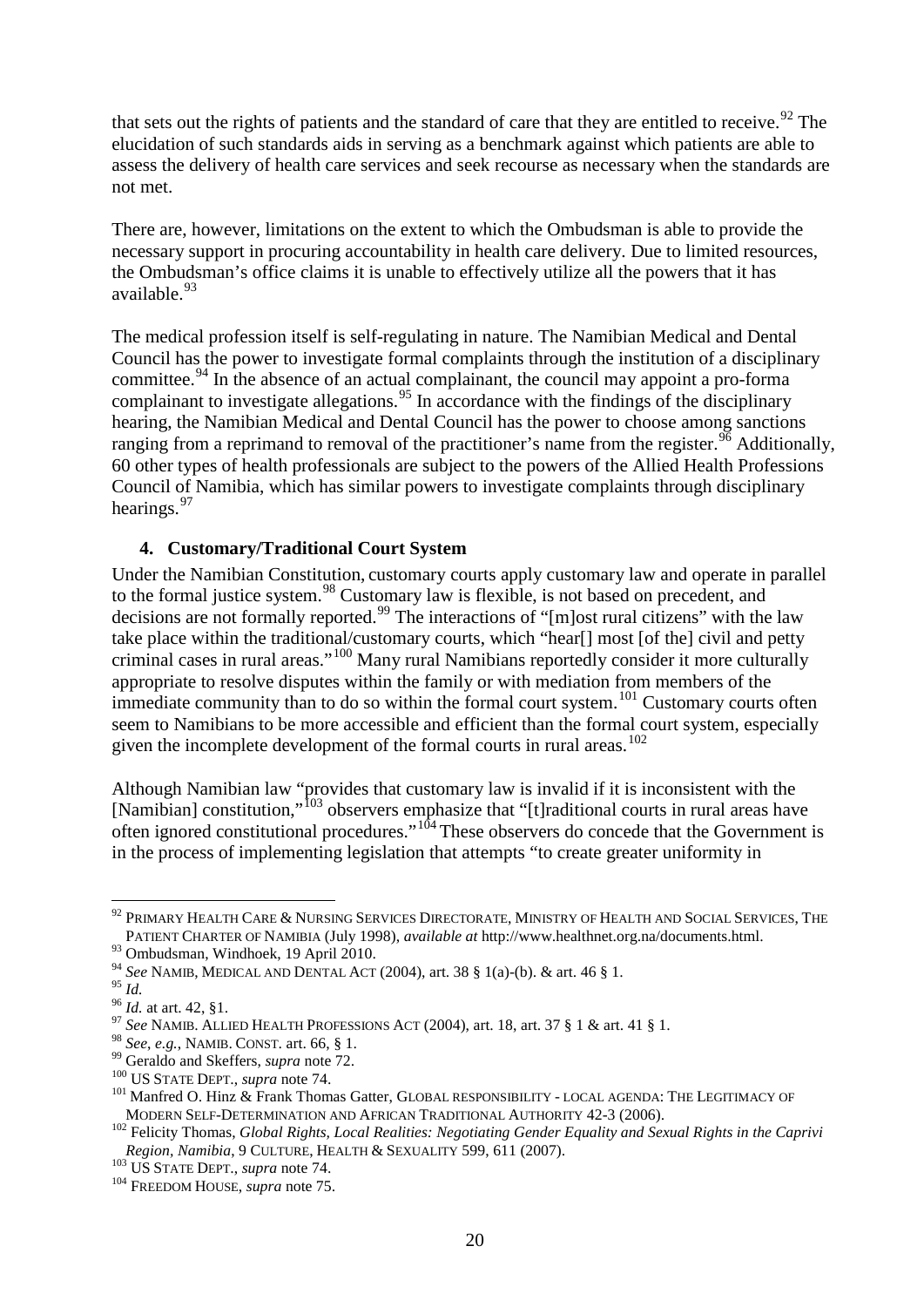<span id="page-19-13"></span>that sets out the rights of patients and the standard of care that they are entitled to receive.<sup>[92](#page-19-0)</sup> The elucidation of such standards aids in serving as a benchmark against which patients are able to assess the delivery of health care services and seek recourse as necessary when the standards are not met.

There are, however, limitations on the extent to which the Ombudsman is able to provide the necessary support in procuring accountability in health care delivery. Due to limited resources, the Ombudsman's office claims it is unable to effectively utilize all the powers that it has available.[93](#page-19-1)

The medical profession itself is self-regulating in nature. The Namibian Medical and Dental Council has the power to investigate formal complaints through the institution of a disciplinary committee.<sup>[94](#page-19-2)</sup> In the absence of an actual complainant, the council may appoint a pro-forma complainant to investigate allegations.<sup>[95](#page-19-3)</sup> In accordance with the findings of the disciplinary hearing, the Namibian Medical and Dental Council has the power to choose among sanctions ranging from a reprimand to removal of the practitioner's name from the register.<sup>[96](#page-19-4)</sup> Additionally, 60 other types of health professionals are subject to the powers of the Allied Health Professions Council of Namibia, which has similar powers to investigate complaints through disciplinary hearings.<sup>[97](#page-19-5)</sup>

### **4. Customary/Traditional Court System**

Under the Namibian Constitution, customary courts apply customary law and operate in parallel to the formal justice system.<sup>[98](#page-19-6)</sup> Customary law is flexible, is not based on precedent, and decisions are not formally reported.<sup>[99](#page-19-7)</sup> The interactions of "[m]ost rural citizens" with the law take place within the traditional/customary courts, which "hear[] most [of the] civil and petty criminal cases in rural areas."[100](#page-19-8) Many rural Namibians reportedly consider it more culturally appropriate to resolve disputes within the family or with mediation from members of the immediate community than to do so within the formal court system.<sup>[101](#page-19-9)</sup> Customary courts often seem to Namibians to be more accessible and efficient than the formal court system, especially given the incomplete development of the formal courts in rural areas.<sup>[102](#page-19-10)</sup>

Although Namibian law "provides that customary law is invalid if it is inconsistent with the [Namibian] constitution,"<sup>[103](#page-19-11)</sup> observers emphasize that "[t]raditional courts in rural areas have often ignored constitutional procedures."<sup>[104](#page-19-12)</sup> These observers do concede that the Government is in the process of implementing legislation that attempts "to create greater uniformity in

<span id="page-19-0"></span><sup>&</sup>lt;sup>92</sup> PRIMARY HEALTH CARE & NURSING SERVICES DIRECTORATE, MINISTRY OF HEALTH AND SOCIAL SERVICES, THE PATIENT CHARTER OF NAMIBIA (July 1998), *available at* http://www.healthnet.org.na/documents.html.

<sup>93</sup> Ombudsman, Windhoek, 19 April 2010.

<span id="page-19-2"></span><span id="page-19-1"></span><sup>94</sup> *See* NAMIB, MEDICAL AND DENTAL ACT (2004), art. 38 § 1(a)-(b). & art. 46 § 1.

<span id="page-19-5"></span><span id="page-19-4"></span><span id="page-19-3"></span><sup>&</sup>lt;sup>96</sup> *Id.* at art. 42, §1.<br><sup>97</sup> *See* NAMIB. ALLIED HEALTH PROFESSIONS ACT (2004), art. 18, art. 37 § 1 & art. 41 § 1.<br><sup>98</sup> *See*, *e.g.*, NAMIB. CONST. art. 66, § 1.

<span id="page-19-9"></span>

<span id="page-19-8"></span><span id="page-19-7"></span><span id="page-19-6"></span><sup>&</sup>lt;sup>99</sup> Geraldo and Skeffers, *supra* note [72.](#page-16-12)<br>
<sup>100</sup> US STATE DEPT., *supra* note [74.](#page-17-0)<br>
<sup>101</sup> Manfred O. Hinz & Frank Thomas Gatter, GLOBAL RESPONSIBILITY - LOCAL AGENDA: THE LEGITIMACY OF MODERN SELF-DETERMINATION AND AFRIC

<span id="page-19-10"></span><sup>&</sup>lt;sup>102</sup> Felicity Thomas, *Global Rights, Local Realities: Negotiating Gender Equality and Sexual Rights in the Caprivi Region, Namibia*, 9 CULTURE, HEALTH & SEXUALITY 599, 611 (2007). <sup>103</sup> US STATE DEPT., *supra* note [74.](#page-17-0) <sup>104</sup> FREEDOM HOUSE, *supra* not[e 75.](#page-17-1)

<span id="page-19-11"></span>

<span id="page-19-12"></span>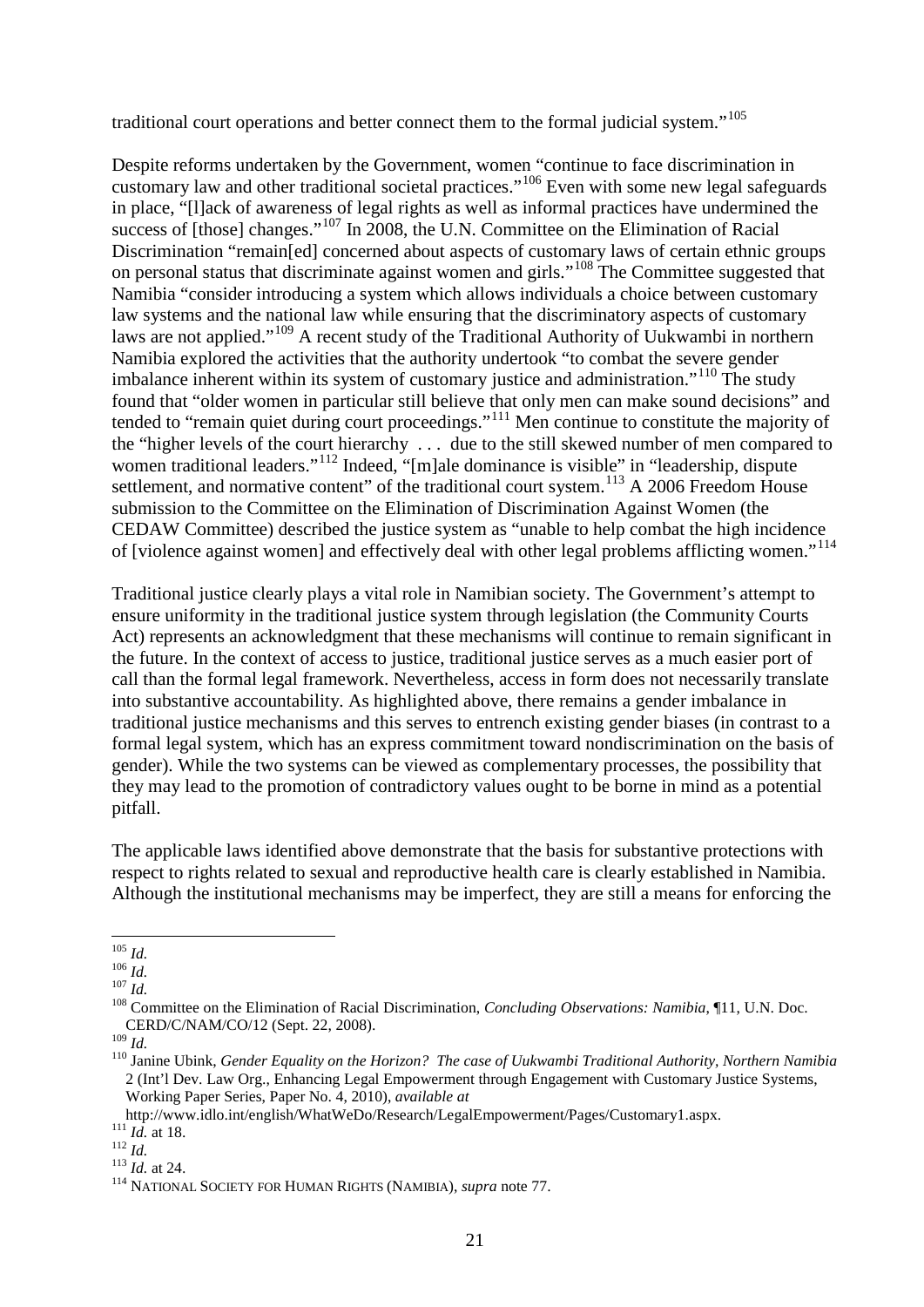traditional court operations and better connect them to the formal judicial system."<sup>[105](#page-20-0)</sup>

Despite reforms undertaken by the Government, women "continue to face discrimination in customary law and other traditional societal practices."[106](#page-20-1) Even with some new legal safeguards in place, "[l]ack of awareness of legal rights as well as informal practices have undermined the success of [those] changes."<sup>[107](#page-20-2)</sup> In 2008, the U.N. Committee on the Elimination of Racial Discrimination "remain[ed] concerned about aspects of customary laws of certain ethnic groups on personal status that discriminate against women and girls."[108](#page-20-3) The Committee suggested that Namibia "consider introducing a system which allows individuals a choice between customary law systems and the national law while ensuring that the discriminatory aspects of customary laws are not applied."[109](#page-20-4) A recent study of the Traditional Authority of Uukwambi in northern Namibia explored the activities that the authority undertook "to combat the severe gender imbalance inherent within its system of customary justice and administration."<sup>[110](#page-20-5)</sup> The study found that "older women in particular still believe that only men can make sound decisions" and tended to "remain quiet during court proceedings."[111](#page-20-6) Men continue to constitute the majority of the "higher levels of the court hierarchy . . . due to the still skewed number of men compared to women traditional leaders."<sup>[112](#page-20-7)</sup> Indeed, "[m]ale dominance is visible" in "leadership, dispute settlement, and normative content" of the traditional court system.<sup>[113](#page-20-8)</sup> A 2006 Freedom House submission to the Committee on the Elimination of Discrimination Against Women (the CEDAW Committee) described the justice system as "unable to help combat the high incidence of [violence against women] and effectively deal with other legal problems afflicting women."[114](#page-20-9)

Traditional justice clearly plays a vital role in Namibian society. The Government's attempt to ensure uniformity in the traditional justice system through legislation (the Community Courts Act) represents an acknowledgment that these mechanisms will continue to remain significant in the future. In the context of access to justice, traditional justice serves as a much easier port of call than the formal legal framework. Nevertheless, access in form does not necessarily translate into substantive accountability. As highlighted above, there remains a gender imbalance in traditional justice mechanisms and this serves to entrench existing gender biases (in contrast to a formal legal system, which has an express commitment toward nondiscrimination on the basis of gender). While the two systems can be viewed as complementary processes, the possibility that they may lead to the promotion of contradictory values ought to be borne in mind as a potential pitfall.

The applicable laws identified above demonstrate that the basis for substantive protections with respect to rights related to sexual and reproductive health care is clearly established in Namibia. Although the institutional mechanisms may be imperfect, they are still a means for enforcing the

<span id="page-20-3"></span><span id="page-20-2"></span>

<span id="page-20-1"></span><span id="page-20-0"></span><sup>105</sup> *Id.*<br><sup>106</sup> *Id.*<br><sup>107</sup> *Id.* 2007 *Id.* 108 Committee on the Elimination of Racial Discrimination, *Concluding Observations: Namibia*, ¶11, U.N. Doc. CERD/C/NAM/CO/12 (Sept. 22, 2008).<br><sup>109</sup> Id.

<span id="page-20-5"></span><span id="page-20-4"></span><sup>&</sup>lt;sup>110</sup> Janine Ubink, *Gender Equality on the Horizon? The case of Uukwambi Traditional Authority, Northern Namibia* 2 (Int'l Dev. Law Org., Enhancing Legal Empowerment through Engagement with Customary Justice Systems, Working Paper Series, Paper No. 4, 2010), *available at*

<span id="page-20-8"></span><span id="page-20-7"></span>

<span id="page-20-9"></span>

<span id="page-20-6"></span>http://www.idlocitomary.org<br>
111 *Id.* at 18.<br>
<sup>113</sup> *Id.* at 24. <sup>113</sup> NATIONAL SOCIETY FOR HUMAN RIGHTS (NAMIBIA), *supra* note [77.](#page-17-13)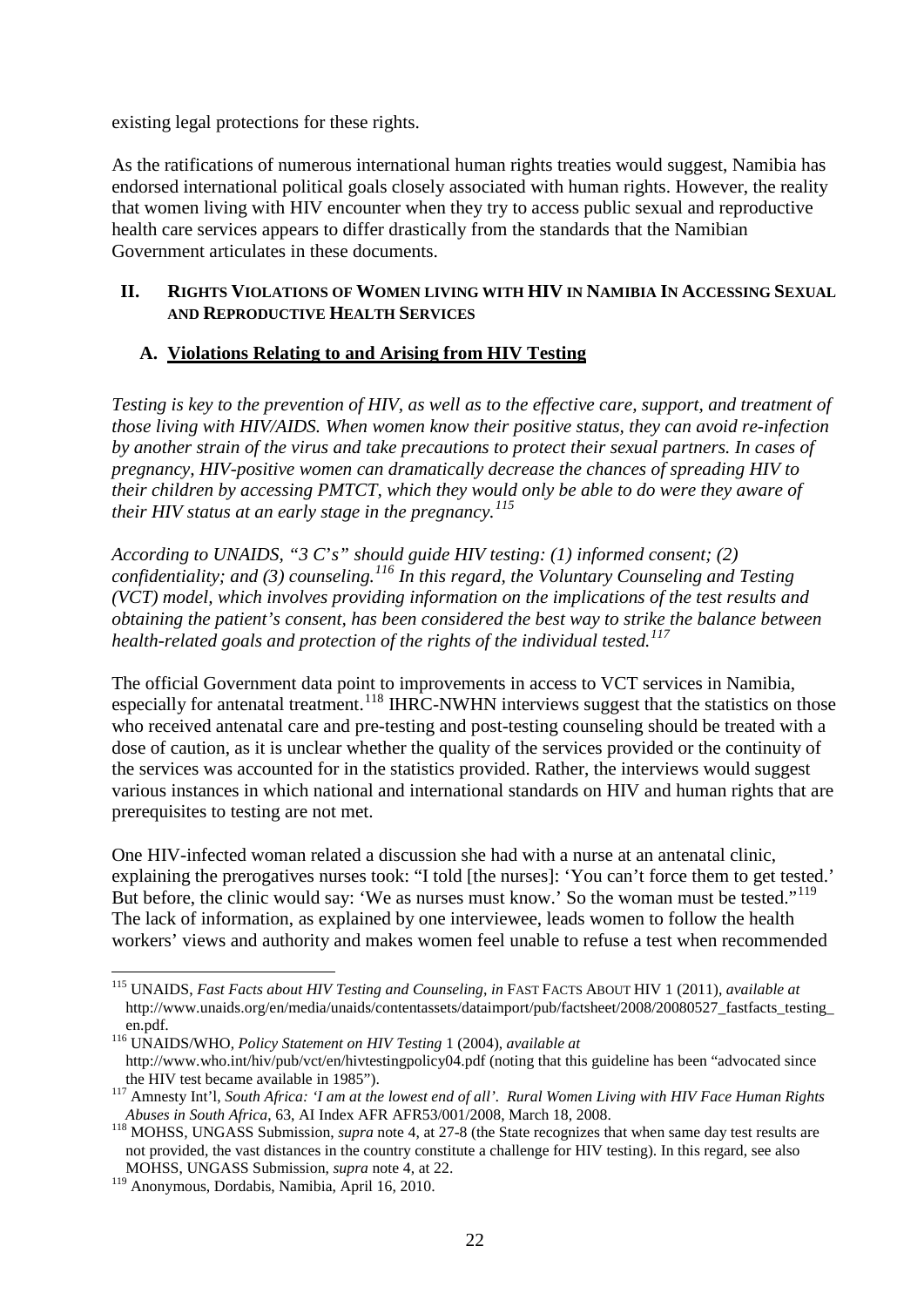existing legal protections for these rights.

As the ratifications of numerous international human rights treaties would suggest, Namibia has endorsed international political goals closely associated with human rights. However, the reality that women living with HIV encounter when they try to access public sexual and reproductive health care services appears to differ drastically from the standards that the Namibian Government articulates in these documents.

#### **II. RIGHTS VIOLATIONS OF WOMEN LIVING WITH HIV IN NAMIBIA IN ACCESSING SEXUAL AND REPRODUCTIVE HEALTH SERVICES**

## **A. Violations Relating to and Arising from HIV Testing**

*Testing is key to the prevention of HIV, as well as to the effective care, support, and treatment of those living with HIV/AIDS. When women know their positive status, they can avoid re-infection by another strain of the virus and take precautions to protect their sexual partners. In cases of pregnancy, HIV-positive women can dramatically decrease the chances of spreading HIV to their children by accessing PMTCT, which they would only be able to do were they aware of their HIV status at an early stage in the pregnancy. [115](#page-21-0)*

*According to UNAIDS, "3 C*'*s" should guide HIV testing: (1) informed consent; (2) confidentiality; and (3) counseling.[116](#page-21-1) In this regard, the Voluntary Counseling and Testing (VCT) model, which involves providing information on the implications of the test results and obtaining the patient's consent, has been considered the best way to strike the balance between health-related goals and protection of the rights of the individual tested.[117](#page-21-2)*

The official Government data point to improvements in access to VCT services in Namibia, especially for antenatal treatment.<sup>[118](#page-21-3)</sup> IHRC-NWHN interviews suggest that the statistics on those who received antenatal care and pre-testing and post-testing counseling should be treated with a dose of caution, as it is unclear whether the quality of the services provided or the continuity of the services was accounted for in the statistics provided. Rather, the interviews would suggest various instances in which national and international standards on HIV and human rights that are prerequisites to testing are not met.

One HIV-infected woman related a discussion she had with a nurse at an antenatal clinic, explaining the prerogatives nurses took: "I told [the nurses]: 'You can't force them to get tested.' But before, the clinic would say: 'We as nurses must know.' So the woman must be tested."<sup>[119](#page-21-4)</sup> The lack of information, as explained by one interviewee, leads women to follow the health workers' views and authority and makes women feel unable to refuse a test when recommended

<span id="page-21-0"></span> <sup>115</sup> UNAIDS, *Fast Facts about HIV Testing and Counseling*, *in* FAST FACTS ABOUT HIV 1 (2011), *available at* http://www.unaids.org/en/media/unaids/contentassets/dataimport/pub/factsheet/2008/20080527\_fastfacts\_testing\_ en.pdf.

<span id="page-21-1"></span><sup>116</sup> UNAIDS/WHO, *Policy Statement on HIV Testing* 1 (2004), *available at* http://www.who.int/hiv/pub/vct/en/hivtestingpolicy04.pdf (noting that this guideline has been "advocated since

<span id="page-21-2"></span>the HIV test became available in 1985").<br><sup>117</sup> Amnesty Int'l, *South Africa: 'I am at the lowest end of all'. Rural Women Living with HIV Face Human Rights <i>Abuses in South Africa*, 63, AI Index AFR AFR53/001/2008, March 1

<span id="page-21-3"></span><sup>&</sup>lt;sup>118</sup> MOHSS, UNGASS Submission, *supra* note 4, at 27-8 (the State recognizes that when same day test results are not provided, the vast distances in the country constitute a challenge for HIV testing). In this regard, see also MOHSS, UNGASS Submission, *supra* note 4, at 22.

<span id="page-21-4"></span><sup>119</sup> Anonymous, Dordabis, Namibia, April 16, 2010.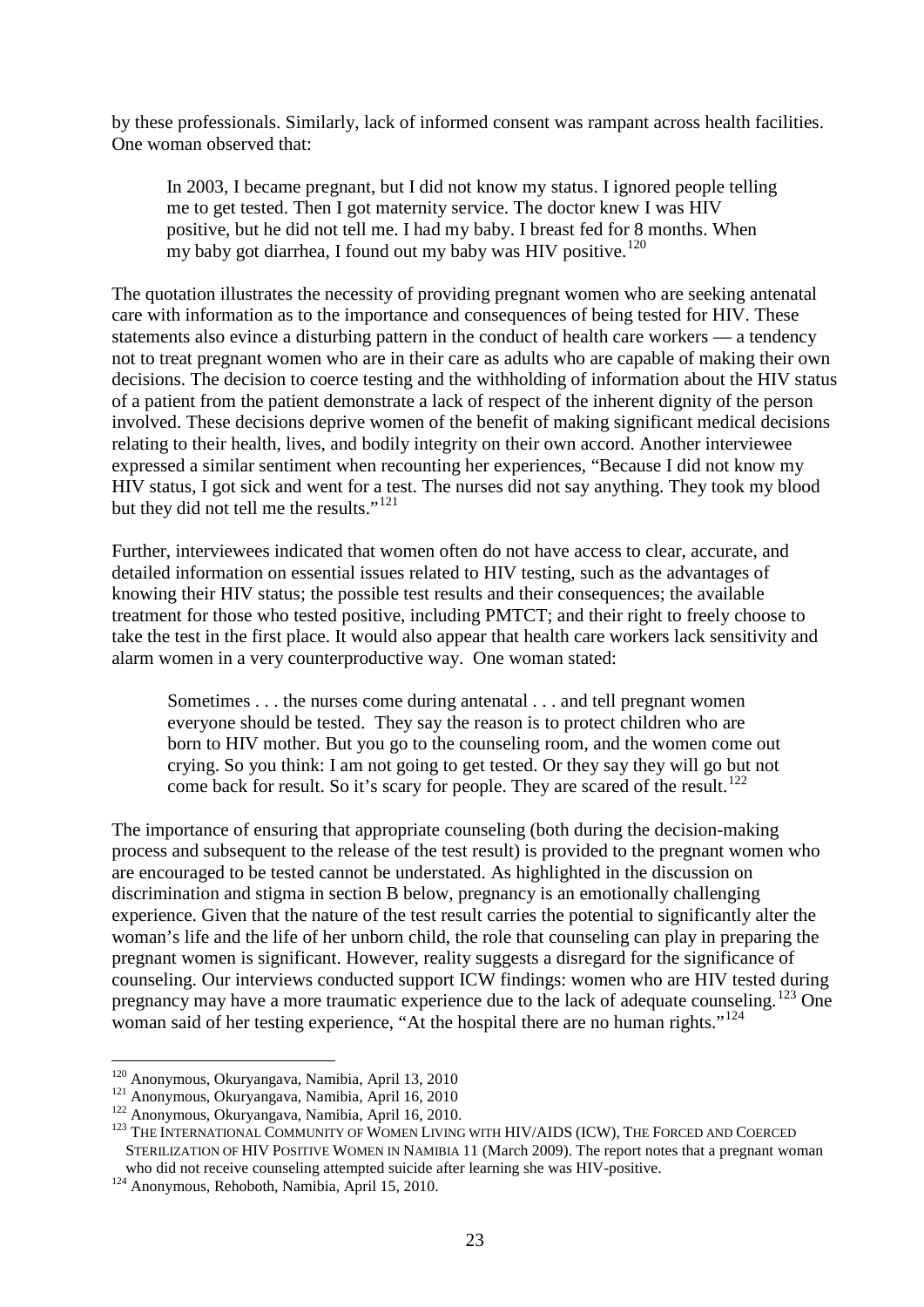by these professionals. Similarly, lack of informed consent was rampant across health facilities. One woman observed that:

In 2003, I became pregnant, but I did not know my status. I ignored people telling me to get tested. Then I got maternity service. The doctor knew I was HIV positive, but he did not tell me. I had my baby. I breast fed for 8 months. When my baby got diarrhea, I found out my baby was HIV positive.<sup>[120](#page-22-0)</sup>

The quotation illustrates the necessity of providing pregnant women who are seeking antenatal care with information as to the importance and consequences of being tested for HIV. These statements also evince a disturbing pattern in the conduct of health care workers — a tendency not to treat pregnant women who are in their care as adults who are capable of making their own decisions. The decision to coerce testing and the withholding of information about the HIV status of a patient from the patient demonstrate a lack of respect of the inherent dignity of the person involved. These decisions deprive women of the benefit of making significant medical decisions relating to their health, lives, and bodily integrity on their own accord. Another interviewee expressed a similar sentiment when recounting her experiences, "Because I did not know my HIV status, I got sick and went for a test. The nurses did not say anything. They took my blood but they did not tell me the results."<sup>[121](#page-22-1)</sup>

Further, interviewees indicated that women often do not have access to clear, accurate, and detailed information on essential issues related to HIV testing, such as the advantages of knowing their HIV status; the possible test results and their consequences; the available treatment for those who tested positive, including PMTCT; and their right to freely choose to take the test in the first place. It would also appear that health care workers lack sensitivity and alarm women in a very counterproductive way. One woman stated:

Sometimes . . . the nurses come during antenatal . . . and tell pregnant women everyone should be tested. They say the reason is to protect children who are born to HIV mother. But you go to the counseling room, and the women come out crying. So you think: I am not going to get tested. Or they say they will go but not come back for result. So it's scary for people. They are scared of the result.<sup>[122](#page-22-2)</sup>

The importance of ensuring that appropriate counseling (both during the decision-making process and subsequent to the release of the test result) is provided to the pregnant women who are encouraged to be tested cannot be understated. As highlighted in the discussion on discrimination and stigma in section B below, pregnancy is an emotionally challenging experience. Given that the nature of the test result carries the potential to significantly alter the woman's life and the life of her unborn child, the role that counseling can play in preparing the pregnant women is significant. However, reality suggests a disregard for the significance of counseling. Our interviews conducted support ICW findings: women who are HIV tested during pregnancy may have a more traumatic experience due to the lack of adequate counseling.<sup>[123](#page-22-3)</sup> One woman said of her testing experience, "At the hospital there are no human rights."<sup>[124](#page-22-4)</sup>

<span id="page-22-5"></span>

<span id="page-22-3"></span><span id="page-22-2"></span>

<span id="page-22-1"></span><span id="page-22-0"></span><sup>&</sup>lt;sup>120</sup> Anonymous, Okuryangava, Namibia, April 13, 2010<br><sup>121</sup> Anonymous, Okuryangava, Namibia, April 16, 2010<br><sup>122</sup> Anonymous, Okuryangava, Namibia, April 16, 2010.<br><sup>123</sup> THE INTERNATIONAL COMMUNITY OF WOMEN LIVING WITH HIV STERILIZATION OF HIV POSITIVE WOMEN IN NAMIBIA 11 (March 2009). The report notes that a pregnant woman who did not receive counseling attempted suicide after learning she was HIV-positive.

<span id="page-22-4"></span>who did not receive counseling attempted  $\frac{1}{24}$  Anonymous, Rehoboth, Namibia, April 15, 2010.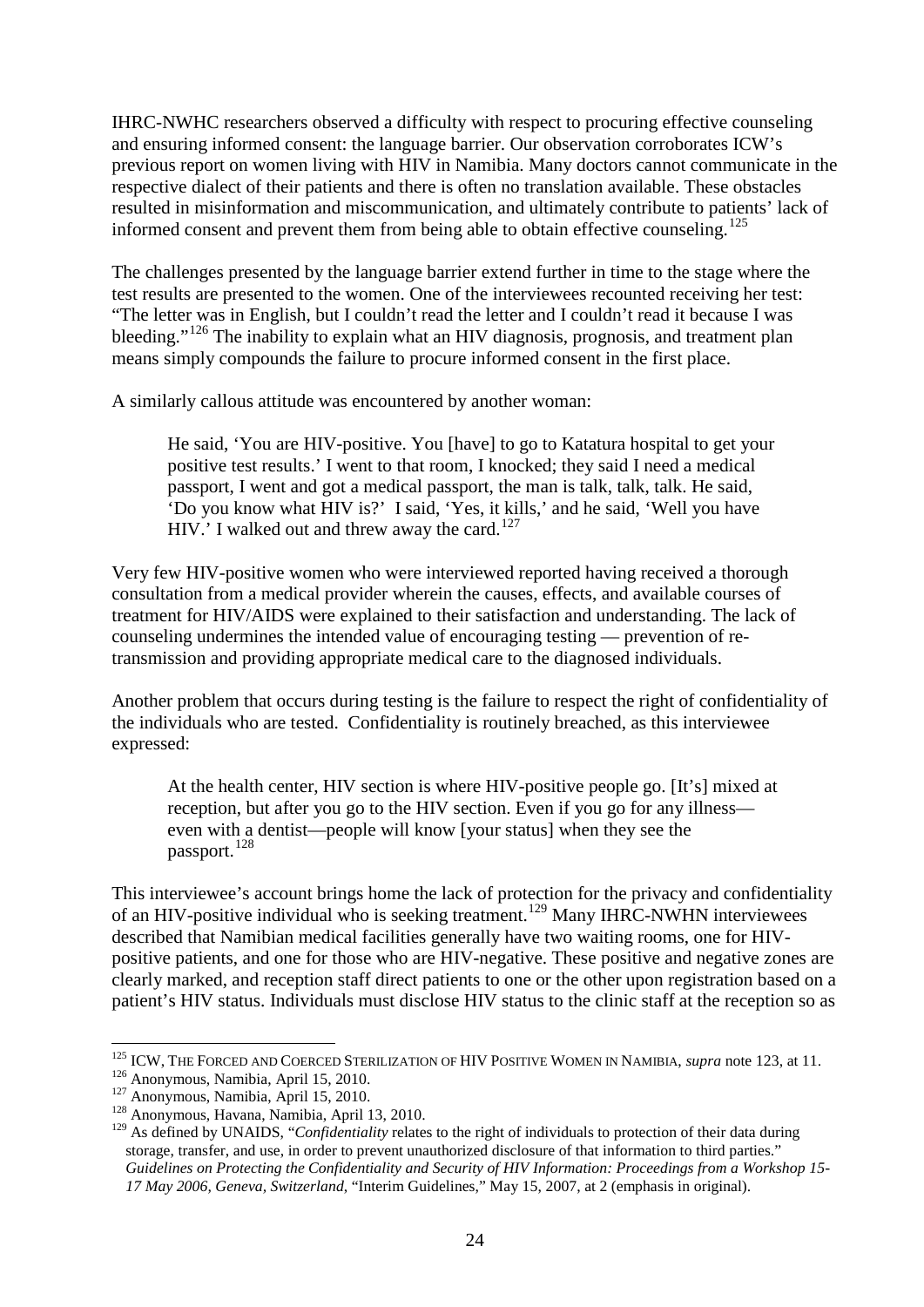IHRC-NWHC researchers observed a difficulty with respect to procuring effective counseling and ensuring informed consent: the language barrier. Our observation corroborates ICW's previous report on women living with HIV in Namibia. Many doctors cannot communicate in the respective dialect of their patients and there is often no translation available. These obstacles resulted in misinformation and miscommunication, and ultimately contribute to patients' lack of informed consent and prevent them from being able to obtain effective counseling.<sup>125</sup>

The challenges presented by the language barrier extend further in time to the stage where the test results are presented to the women. One of the interviewees recounted receiving her test: "The letter was in English, but I couldn't read the letter and I couldn't read it because I was bleeding."<sup>[126](#page-23-1)</sup> The inability to explain what an HIV diagnosis, prognosis, and treatment plan means simply compounds the failure to procure informed consent in the first place.

A similarly callous attitude was encountered by another woman:

He said, 'You are HIV-positive. You [have] to go to Katatura hospital to get your positive test results.' I went to that room, I knocked; they said I need a medical passport, I went and got a medical passport, the man is talk, talk, talk. He said, 'Do you know what HIV is?' I said, 'Yes, it kills,' and he said, 'Well you have HIV.' I walked out and threw away the card. $127$ 

Very few HIV-positive women who were interviewed reported having received a thorough consultation from a medical provider wherein the causes, effects, and available courses of treatment for HIV/AIDS were explained to their satisfaction and understanding. The lack of counseling undermines the intended value of encouraging testing — prevention of retransmission and providing appropriate medical care to the diagnosed individuals.

Another problem that occurs during testing is the failure to respect the right of confidentiality of the individuals who are tested. Confidentiality is routinely breached, as this interviewee expressed:

At the health center, HIV section is where HIV-positive people go. [It's] mixed at reception, but after you go to the HIV section. Even if you go for any illness even with a dentist—people will know [your status] when they see the passport.<sup>[128](#page-23-3)</sup>

This interviewee's account brings home the lack of protection for the privacy and confidentiality of an HIV-positive individual who is seeking treatment.<sup>[129](#page-23-4)</sup> Many IHRC-NWHN interviewees described that Namibian medical facilities generally have two waiting rooms, one for HIVpositive patients, and one for those who are HIV-negative. These positive and negative zones are clearly marked, and reception staff direct patients to one or the other upon registration based on a patient's HIV status. Individuals must disclose HIV status to the clinic staff at the reception so as

<span id="page-23-0"></span> <sup>125</sup> ICW, THE FORCED AND COERCED STERILIZATION OF HIV POSITIVE WOMEN IN NAMIBIA, *supra* note <sup>125</sup> ICW, THE FORCED AND COERCED STERILIZATION OF HIV POSITIVE WOMEN IN NAMIBIA, *supra* note [123,](#page-22-5) at 11.<br><sup>126</sup> Anonymous, Namibia, April 15, 2010. <sup>127</sup> Anonymous, Namibia, April 15, 2010.<br><sup>128</sup> Anonymous, Havana, Namibi

<span id="page-23-1"></span>

<span id="page-23-4"></span><span id="page-23-3"></span><span id="page-23-2"></span><sup>&</sup>lt;sup>128</sup> Anonymous, Havana, Namibia, April 13, 2010.<br><sup>129</sup> As defined by UNAIDS, "*Confidentiality* relates to the right of individuals to protection of their data during storage, transfer, and use, in order to prevent unauthorized disclosure of that information to third parties." *Guidelines on Protecting the Confidentiality and Security of HIV Information: Proceedings from a Workshop 15- 17 May 2006, Geneva, Switzerland*, "Interim Guidelines," May 15, 2007, at 2 (emphasis in original).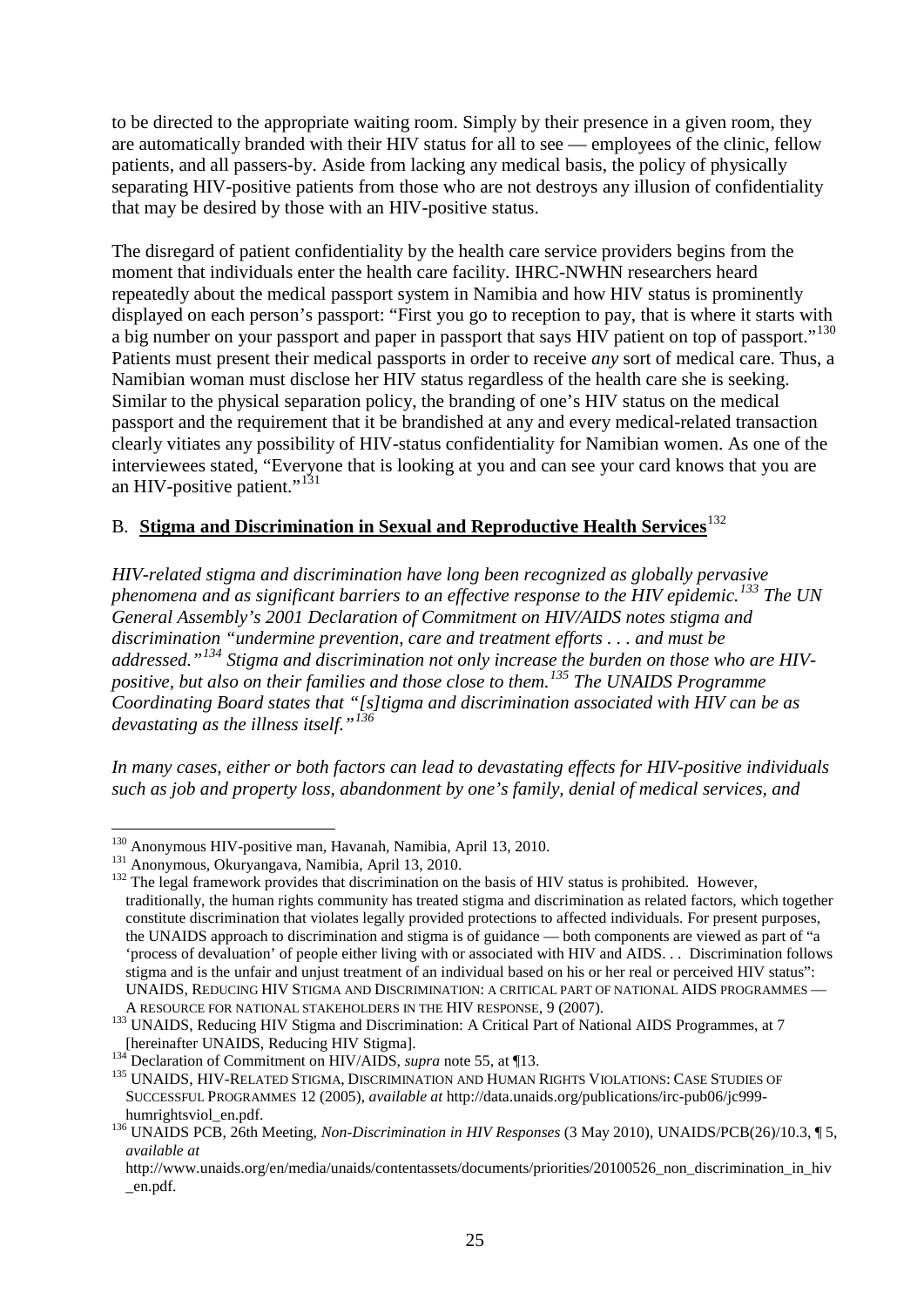to be directed to the appropriate waiting room. Simply by their presence in a given room, they are automatically branded with their HIV status for all to see — employees of the clinic, fellow patients, and all passers-by. Aside from lacking any medical basis, the policy of physically separating HIV-positive patients from those who are not destroys any illusion of confidentiality that may be desired by those with an HIV-positive status.

The disregard of patient confidentiality by the health care service providers begins from the moment that individuals enter the health care facility. IHRC-NWHN researchers heard repeatedly about the medical passport system in Namibia and how HIV status is prominently displayed on each person's passport: "First you go to reception to pay, that is where it starts with a big number on your passport and paper in passport that says HIV patient on top of passport."<sup>[130](#page-24-0)</sup> Patients must present their medical passports in order to receive *any* sort of medical care. Thus, a Namibian woman must disclose her HIV status regardless of the health care she is seeking. Similar to the physical separation policy, the branding of one's HIV status on the medical passport and the requirement that it be brandished at any and every medical-related transaction clearly vitiates any possibility of HIV-status confidentiality for Namibian women. As one of the interviewees stated, "Everyone that is looking at you and can see your card knows that you are an HIV-positive patient." $^{131}$  $^{131}$  $^{131}$ 

## B. **Stigma and Discrimination in Sexual and Reproductive Health Services**[132](#page-24-2)

*HIV-related stigma and discrimination have long been recognized as globally pervasive phenomena and as significant barriers to an effective response to the HIV epidemic.[133](#page-24-3) The UN General Assembly's 2001 Declaration of Commitment on HIV/AIDS notes stigma and discrimination "undermine prevention, care and treatment efforts . . . and must be addressed."[134](#page-24-4) Stigma and discrimination not only increase the burden on those who are HIVpositive, but also on their families and those close to them.[135](#page-24-5) The UNAIDS Programme Coordinating Board states that "[s]tigma and discrimination associated with HIV can be as devastating as the illness itself."[136](#page-24-6)*

*In many cases, either or both factors can lead to devastating effects for HIV-positive individuals such as job and property loss, abandonment by one's family, denial of medical services, and* 

<span id="page-24-2"></span><span id="page-24-1"></span>

<span id="page-24-0"></span><sup>&</sup>lt;sup>130</sup> Anonymous HIV-positive man, Havanah, Namibia, April 13, 2010.<br><sup>131</sup> Anonymous, Okuryangava, Namibia, April 13, 2010.<br><sup>132</sup> The legal framework provides that discrimination on the basis of HIV status is prohibited. H traditionally, the human rights community has treated stigma and discrimination as related factors, which together constitute discrimination that violates legally provided protections to affected individuals. For present purposes, the UNAIDS approach to discrimination and stigma is of guidance — both components are viewed as part of "a 'process of devaluation' of people either living with or associated with HIV and AIDS. . . Discrimination follows stigma and is the unfair and unjust treatment of an individual based on his or her real or perceived HIV status": UNAIDS, REDUCING HIV STIGMA AND DISCRIMINATION: A CRITICAL PART OF NATIONAL AIDS PROGRAMMES – A RESOURCE FOR NATIONAL STAKEHOLDERS IN THE HIV RESPONSE, 9 (2007).

<span id="page-24-3"></span>A RESOURCE FOR NATIONAL STAKEHOLDERS IN THE HIVE STATES IN THE HIVE STATES IN THE HIVE STATES IN THE HIV REGION OF THE HIVE STATES IN THE TABLE PART OF THE STATES OF THE STATES OF THE TABLE PART OF THE STATES OF THE STATES

<span id="page-24-5"></span><span id="page-24-4"></span><sup>&</sup>lt;sup>134</sup> Declaration of Commitment on HIV/AIDS, *supra* note [55,](#page-15-13) at ¶13.<br><sup>135</sup> UNAIDS, HIV-RELATED STIGMA, DISCRIMINATION AND HUMAN RIGHTS VIOLATIONS: CASE STUDIES OF SUCCESSFUL PROGRAMMES 12 (2005), *available at* http://data.unaids.org/publications/irc-pub06/jc999 humrightsviol\_en.pdf.<br><sup>136</sup> UNAIDS PCB, 26th Meeting, *Non-Discrimination in HIV Responses* (3 May 2010), UNAIDS/PCB(26)/10.3, ¶ 5,

<span id="page-24-6"></span>*available at*

http://www.unaids.org/en/media/unaids/contentassets/documents/priorities/20100526\_non\_discrimination\_in\_hiv \_en.pdf.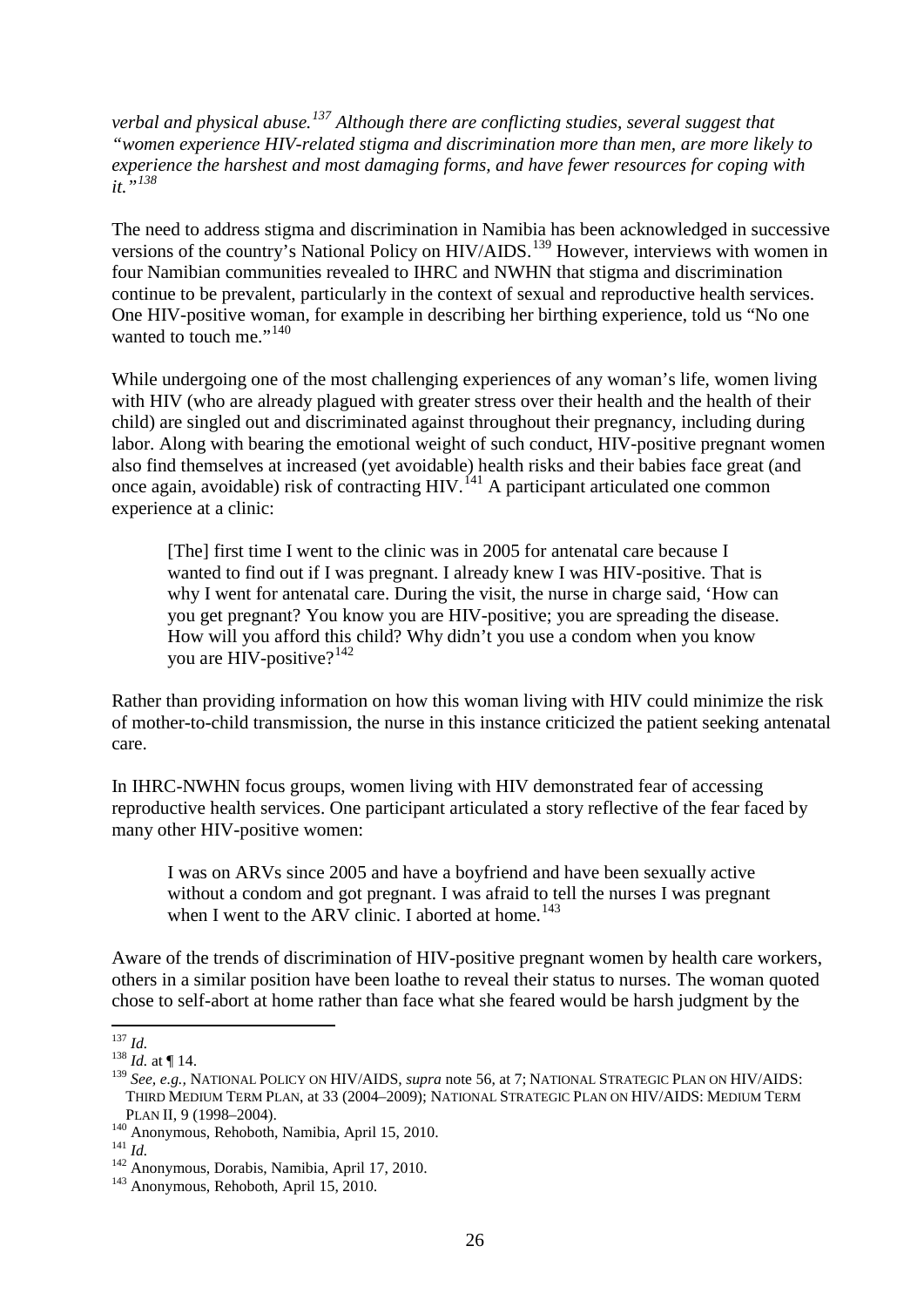*verbal and physical abuse.[137](#page-25-0) Although there are conflicting studies, several suggest that "women experience HIV-related stigma and discrimination more than men, are more likely to experience the harshest and most damaging forms, and have fewer resources for coping with it."[138](#page-25-1)* 

<span id="page-25-7"></span>The need to address stigma and discrimination in Namibia has been acknowledged in successive versions of the country's National Policy on HIV/AIDS.<sup>[139](#page-25-2)</sup> However, interviews with women in four Namibian communities revealed to IHRC and NWHN that stigma and discrimination continue to be prevalent, particularly in the context of sexual and reproductive health services. One HIV-positive woman, for example in describing her birthing experience, told us "No one wanted to touch me."<sup>[140](#page-25-3)</sup>

While undergoing one of the most challenging experiences of any woman's life, women living with HIV (who are already plagued with greater stress over their health and the health of their child) are singled out and discriminated against throughout their pregnancy, including during labor. Along with bearing the emotional weight of such conduct, HIV-positive pregnant women also find themselves at increased (yet avoidable) health risks and their babies face great (and once again, avoidable) risk of contracting HIV.<sup> $141$ </sup> A participant articulated one common experience at a clinic:

[The] first time I went to the clinic was in 2005 for antenatal care because I wanted to find out if I was pregnant. I already knew I was HIV-positive. That is why I went for antenatal care. During the visit, the nurse in charge said, 'How can you get pregnant? You know you are HIV-positive; you are spreading the disease. How will you afford this child? Why didn't you use a condom when you know you are HIV-positive? $142$ 

Rather than providing information on how this woman living with HIV could minimize the risk of mother-to-child transmission, the nurse in this instance criticized the patient seeking antenatal care.

In IHRC-NWHN focus groups, women living with HIV demonstrated fear of accessing reproductive health services. One participant articulated a story reflective of the fear faced by many other HIV-positive women:

I was on ARVs since 2005 and have a boyfriend and have been sexually active without a condom and got pregnant. I was afraid to tell the nurses I was pregnant when I went to the ARV clinic. I aborted at home.<sup>[143](#page-25-6)</sup>

Aware of the trends of discrimination of HIV-positive pregnant women by health care workers, others in a similar position have been loathe to reveal their status to nurses. The woman quoted chose to self-abort at home rather than face what she feared would be harsh judgment by the

<span id="page-25-0"></span> $\frac{137}{138}$  *Id.* at ¶ 14.

<span id="page-25-2"></span><span id="page-25-1"></span><sup>139</sup> *See, e.g.,* NATIONAL POLICY ON HIV/AIDS, *supra* note [56,](#page-15-14) at 7; NATIONAL STRATEGIC PLAN ON HIV/AIDS: THIRD MEDIUM TERM PLAN, at 33 (2004–2009); NATIONAL STRATEGIC PLAN ON HIV/AIDS: MEDIUM TERM

<span id="page-25-5"></span><span id="page-25-4"></span>

<span id="page-25-3"></span>PLAN II, 9 (1998–2004).<br><sup>140</sup> Anonymous, Rehoboth, Namibia, April 15, 2010.<br><sup>141</sup> *Id.*<br><sup>142</sup> Anonymous, Dorabis, Namibia, April 17, 2010.<br><sup>143</sup> Anonymous, Rehoboth, April 15, 2010.

<span id="page-25-6"></span>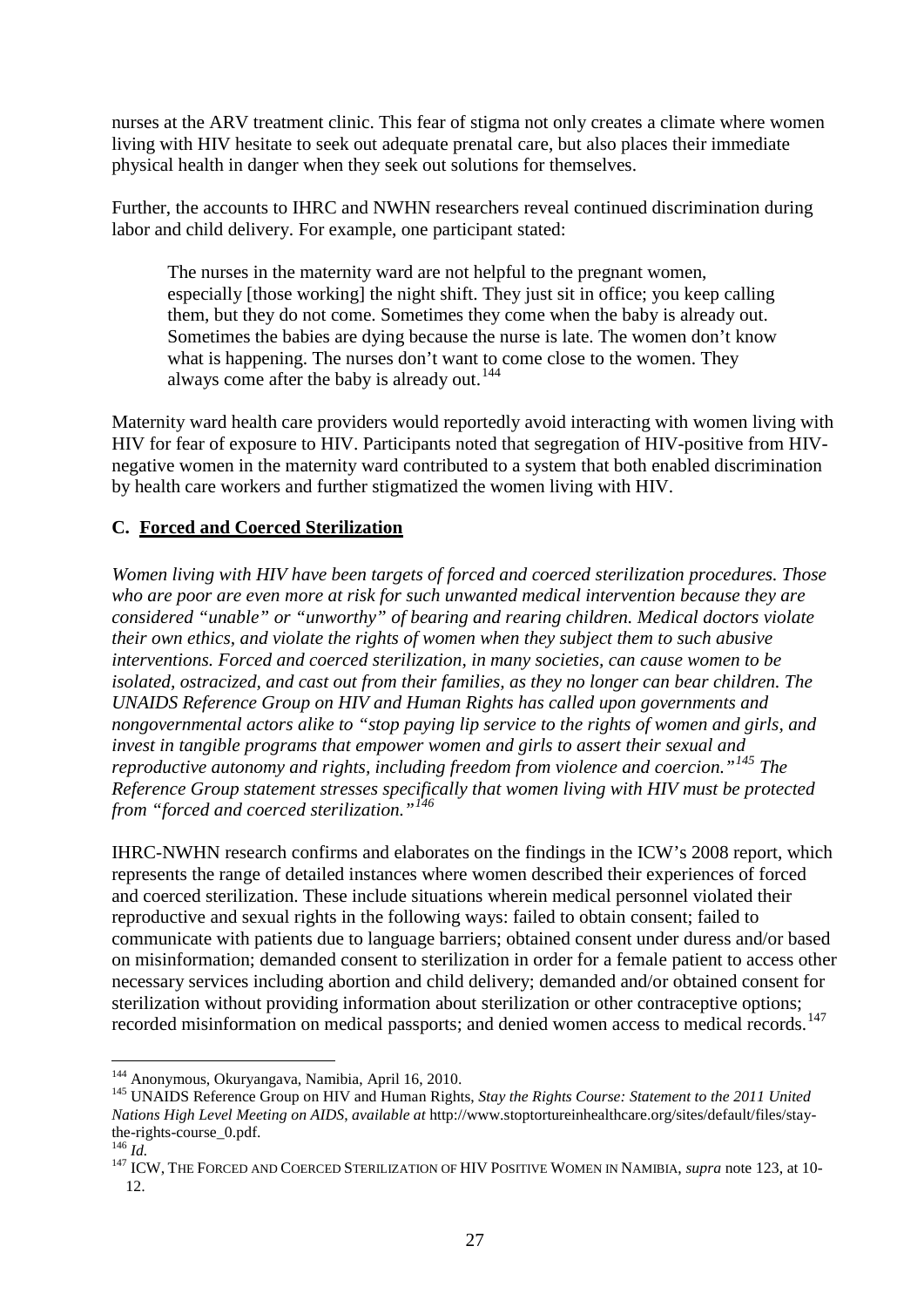nurses at the ARV treatment clinic. This fear of stigma not only creates a climate where women living with HIV hesitate to seek out adequate prenatal care, but also places their immediate physical health in danger when they seek out solutions for themselves.

Further, the accounts to IHRC and NWHN researchers reveal continued discrimination during labor and child delivery. For example, one participant stated:

The nurses in the maternity ward are not helpful to the pregnant women, especially [those working] the night shift. They just sit in office; you keep calling them, but they do not come. Sometimes they come when the baby is already out. Sometimes the babies are dying because the nurse is late. The women don't know what is happening. The nurses don't want to come close to the women. They always come after the baby is already out.<sup>[144](#page-26-0)</sup>

Maternity ward health care providers would reportedly avoid interacting with women living with HIV for fear of exposure to HIV. Participants noted that segregation of HIV-positive from HIVnegative women in the maternity ward contributed to a system that both enabled discrimination by health care workers and further stigmatized the women living with HIV.

### **C. Forced and Coerced Sterilization**

*Women living with HIV have been targets of forced and coerced sterilization procedures. Those who are poor are even more at risk for such unwanted medical intervention because they are considered "unable" or "unworthy" of bearing and rearing children. Medical doctors violate their own ethics, and violate the rights of women when they subject them to such abusive interventions. Forced and coerced sterilization, in many societies, can cause women to be isolated, ostracized, and cast out from their families, as they no longer can bear children. The UNAIDS Reference Group on HIV and Human Rights has called upon governments and nongovernmental actors alike to "stop paying lip service to the rights of women and girls, and invest in tangible programs that empower women and girls to assert their sexual and reproductive autonomy and rights, including freedom from violence and coercion."[145](#page-26-1) The Reference Group statement stresses specifically that women living with HIV must be protected from "forced and coerced sterilization."[146](#page-26-2)*

IHRC-NWHN research confirms and elaborates on the findings in the ICW's 2008 report, which represents the range of detailed instances where women described their experiences of forced and coerced sterilization. These include situations wherein medical personnel violated their reproductive and sexual rights in the following ways: failed to obtain consent; failed to communicate with patients due to language barriers; obtained consent under duress and/or based on misinformation; demanded consent to sterilization in order for a female patient to access other necessary services including abortion and child delivery; demanded and/or obtained consent for sterilization without providing information about sterilization or other contraceptive options; recorded misinformation on medical passports; and denied women access to medical records.<sup>[147](#page-26-3)</sup>

 <sup>144</sup> Anonymous, Okuryangava, Namibia, April 16, 2010.

<span id="page-26-1"></span><span id="page-26-0"></span><sup>145</sup> UNAIDS Reference Group on HIV and Human Rights, *Stay the Rights Course: Statement to the 2011 United Nations High Level Meeting on AIDS*, *available at* http://www.stoptortureinhealthcare.org/sites/default/files/staythe-rights-course\_0.pdf.<br><sup>146</sup> *Id.* 100.<br><sup>147</sup> ICW, THE FORCED AND COERCED STERILIZATION OF HIV POSITIVE WOMEN IN NAMIBIA, *supra* note [123,](#page-22-5) at 10-

<span id="page-26-2"></span>

<span id="page-26-3"></span><sup>12.</sup>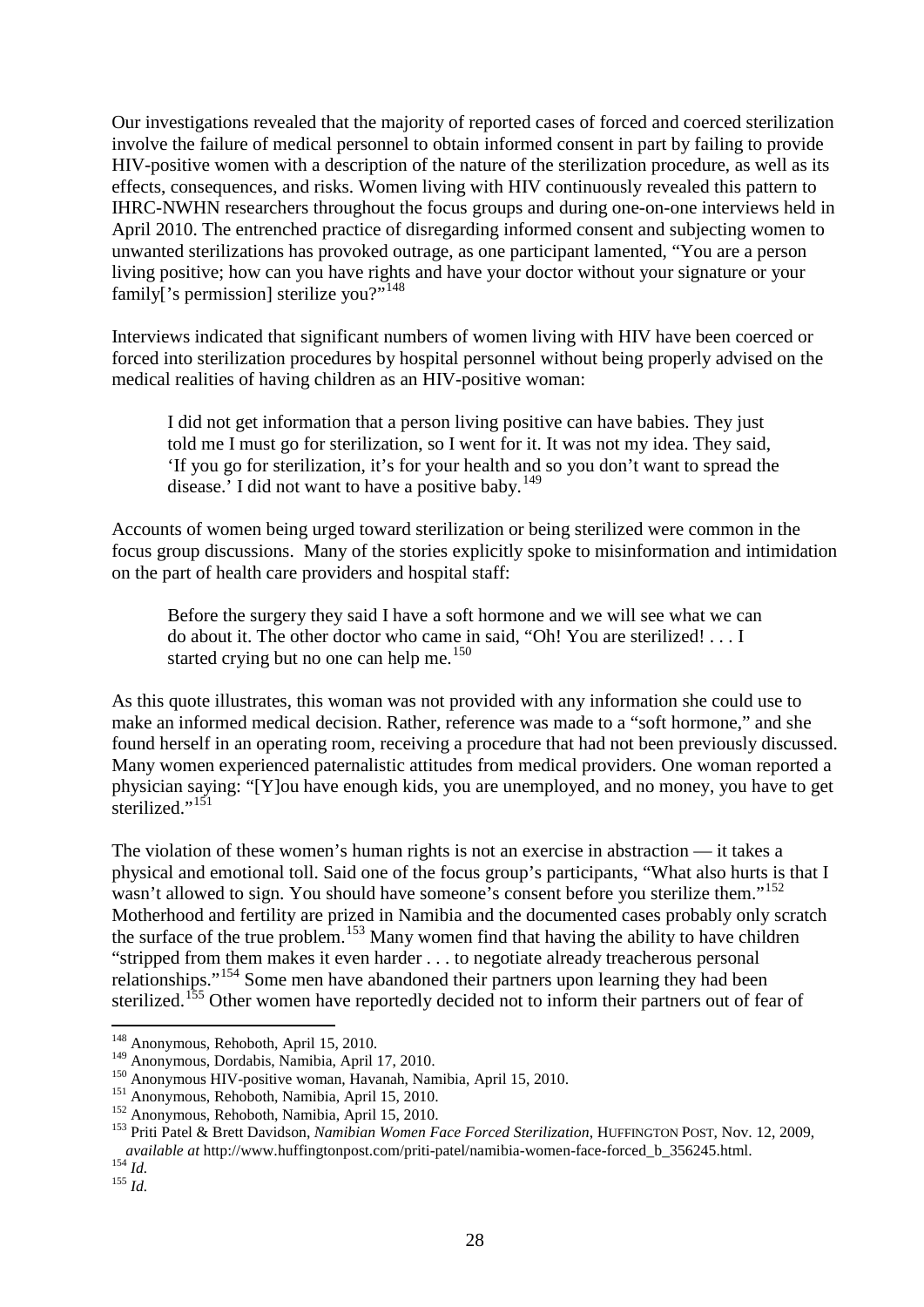Our investigations revealed that the majority of reported cases of forced and coerced sterilization involve the failure of medical personnel to obtain informed consent in part by failing to provide HIV-positive women with a description of the nature of the sterilization procedure, as well as its effects, consequences, and risks. Women living with HIV continuously revealed this pattern to IHRC-NWHN researchers throughout the focus groups and during one-on-one interviews held in April 2010. The entrenched practice of disregarding informed consent and subjecting women to unwanted sterilizations has provoked outrage, as one participant lamented, "You are a person living positive; how can you have rights and have your doctor without your signature or your family['s permission] sterilize you?"<sup>[148](#page-27-0)</sup>

Interviews indicated that significant numbers of women living with HIV have been coerced or forced into sterilization procedures by hospital personnel without being properly advised on the medical realities of having children as an HIV-positive woman:

I did not get information that a person living positive can have babies. They just told me I must go for sterilization, so I went for it. It was not my idea. They said, 'If you go for sterilization, it's for your health and so you don't want to spread the disease.' I did not want to have a positive baby. $149$ 

Accounts of women being urged toward sterilization or being sterilized were common in the focus group discussions. Many of the stories explicitly spoke to misinformation and intimidation on the part of health care providers and hospital staff:

Before the surgery they said I have a soft hormone and we will see what we can do about it. The other doctor who came in said, "Oh! You are sterilized! . . . I started crying but no one can help me.<sup>[150](#page-27-2)</sup>

As this quote illustrates, this woman was not provided with any information she could use to make an informed medical decision. Rather, reference was made to a "soft hormone," and she found herself in an operating room, receiving a procedure that had not been previously discussed. Many women experienced paternalistic attitudes from medical providers. One woman reported a physician saying: "[Y]ou have enough kids, you are unemployed, and no money, you have to get sterilized."<sup>[151](#page-27-3)</sup>

The violation of these women's human rights is not an exercise in abstraction — it takes a physical and emotional toll. Said one of the focus group's participants, "What also hurts is that I wasn't allowed to sign. You should have someone's consent before you sterilize them."<sup>[152](#page-27-4)</sup> Motherhood and fertility are prized in Namibia and the documented cases probably only scratch the surface of the true problem.<sup>[153](#page-27-5)</sup> Many women find that having the ability to have children "stripped from them makes it even harder . . . to negotiate already treacherous personal relationships."[154](#page-27-6) Some men have abandoned their partners upon learning they had been sterilized.<sup>[155](#page-27-7)</sup> Other women have reportedly decided not to inform their partners out of fear of

<span id="page-27-0"></span><sup>&</sup>lt;sup>148</sup> Anonymous, Rehoboth, April 15, 2010.<br><sup>149</sup> Anonymous, Dordabis, Namibia, April 17, 2010.

<span id="page-27-3"></span>

<span id="page-27-5"></span><span id="page-27-4"></span>

<span id="page-27-2"></span><span id="page-27-1"></span><sup>150&</sup>lt;br>
Anonymous HIV-positive woman, Havanah, Namibia, April 15, 2010.<br>
<sup>151</sup> Anonymous, Rehoboth, Namibia, April 15, 2010.<br>
<sup>152</sup> Anonymous, Rehoboth, Namibia, April 15, 2010.<br>
<sup>152</sup> Anonymous, Rehoboth, Namibia, April 15, *available at* http://www.huffingtonpost.com/priti-patel/namibia-women-face-forced\_b\_356245.html. 154 *Id.* <sup>155</sup> *Id.*

<span id="page-27-7"></span><span id="page-27-6"></span>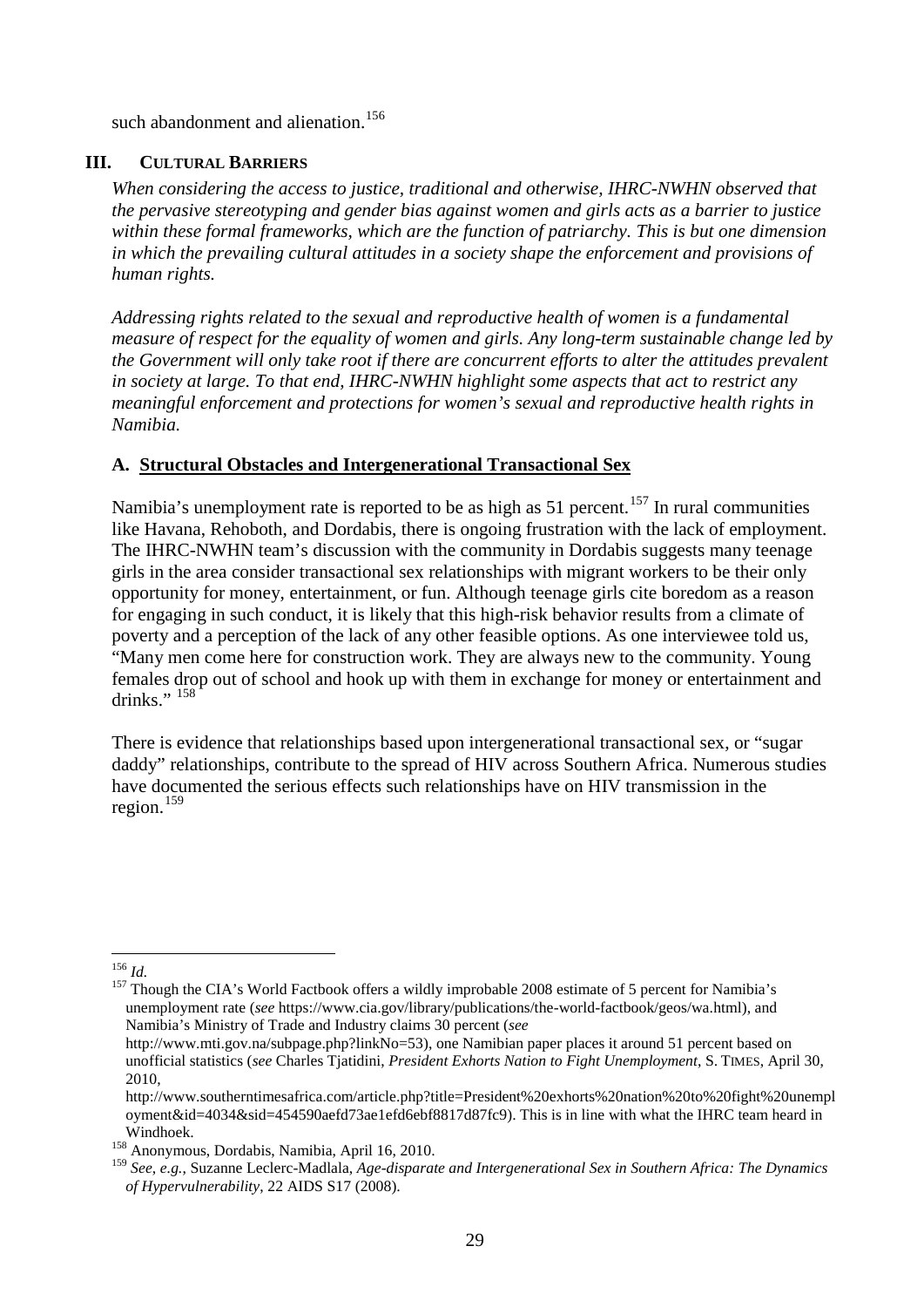such abandonment and alienation.<sup>[156](#page-28-0)</sup>

#### **III. CULTURAL BARRIERS**

*When considering the access to justice, traditional and otherwise, IHRC-NWHN observed that the pervasive stereotyping and gender bias against women and girls acts as a barrier to justice within these formal frameworks, which are the function of patriarchy. This is but one dimension in which the prevailing cultural attitudes in a society shape the enforcement and provisions of human rights.*

*Addressing rights related to the sexual and reproductive health of women is a fundamental measure of respect for the equality of women and girls. Any long-term sustainable change led by the Government will only take root if there are concurrent efforts to alter the attitudes prevalent in society at large. To that end, IHRC-NWHN highlight some aspects that act to restrict any meaningful enforcement and protections for women's sexual and reproductive health rights in Namibia.* 

## **A. Structural Obstacles and Intergenerational Transactional Sex**

Namibia's unemployment rate is reported to be as high as 51 percent.<sup>[157](#page-28-1)</sup> In rural communities like Havana, Rehoboth, and Dordabis, there is ongoing frustration with the lack of employment. The IHRC-NWHN team's discussion with the community in Dordabis suggests many teenage girls in the area consider transactional sex relationships with migrant workers to be their only opportunity for money, entertainment, or fun. Although teenage girls cite boredom as a reason for engaging in such conduct, it is likely that this high-risk behavior results from a climate of poverty and a perception of the lack of any other feasible options. As one interviewee told us, "Many men come here for construction work. They are always new to the community. Young females drop out of school and hook up with them in exchange for money or entertainment and drinks."  $158$ 

There is evidence that relationships based upon intergenerational transactional sex, or "sugar daddy" relationships, contribute to the spread of HIV across Southern Africa. Numerous studies have documented the serious effects such relationships have on HIV transmission in the region. $159$ 

<span id="page-28-1"></span><span id="page-28-0"></span><sup>156</sup> *Id.* <sup>157</sup> Though the CIA's World Factbook offers a wildly improbable 2008 estimate of 5 percent for Namibia's unemployment rate (*see* https://www.cia.gov/library/publications/the-world-factbook/geos/wa.html), and Namibia's Ministry of Trade and Industry claims 30 percent (*see*

http://www.mti.gov.na/subpage.php?linkNo=53), one Namibian paper places it around 51 percent based on unofficial statistics (*see* Charles Tjatidini, *President Exhorts Nation to Fight Unemployment*, S. TIMES, April 30, 2010,

http://www.southerntimesafrica.com/article.php?title=President%20exhorts%20nation%20to%20fight%20unempl oyment&id=4034&sid=454590aefd73ae1efd6ebf8817d87fc9). This is in line with what the IHRC team heard in

Windhoek. 158 Anonymous, Dordabis, Namibia, April 16, 2010.

<span id="page-28-3"></span><span id="page-28-2"></span><sup>159</sup> *See*, *e.g.*, Suzanne Leclerc-Madlala, *Age-disparate and Intergenerational Sex in Southern Africa: The Dynamics of Hypervulnerability*, 22 AIDS S17 (2008).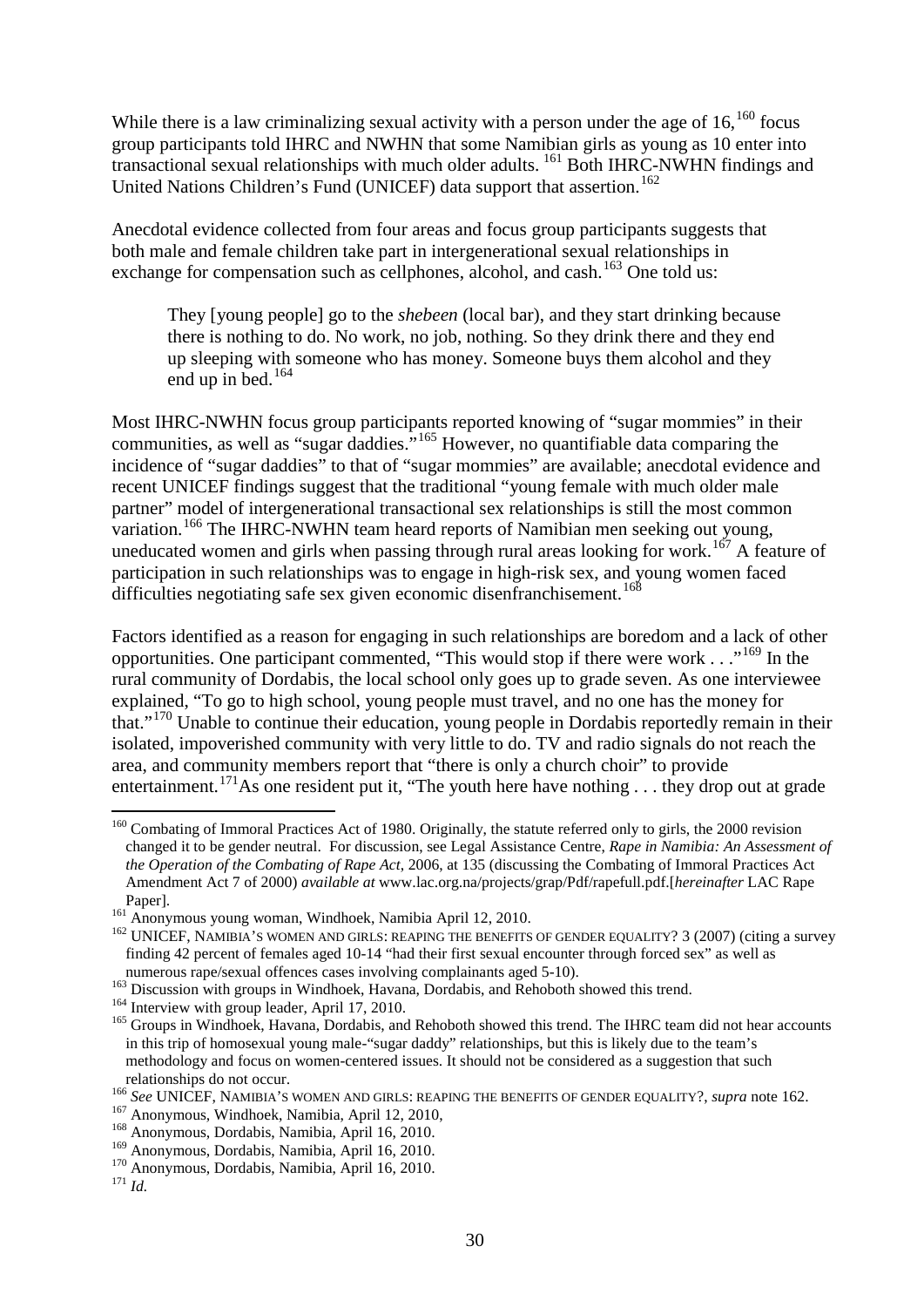While there is a law criminalizing sexual activity with a person under the age of  $16$ ,  $160$  focus group participants told IHRC and NWHN that some Namibian girls as young as 10 enter into transactional sexual relationships with much older adults. [161](#page-29-2) Both IHRC-NWHN findings and United Nations Children's Fund (UNICEF) data support that assertion.<sup>[162](#page-29-3)</sup>

Anecdotal evidence collected from four areas and focus group participants suggests that both male and female children take part in intergenerational sexual relationships in exchange for compensation such as cellphones, alcohol, and cash.<sup>[163](#page-29-4)</sup> One told us:

<span id="page-29-0"></span>They [young people] go to the *shebeen* (local bar), and they start drinking because there is nothing to do. No work, no job, nothing. So they drink there and they end up sleeping with someone who has money. Someone buys them alcohol and they end up in bed. $164$ 

Most IHRC-NWHN focus group participants reported knowing of "sugar mommies" in their communities, as well as "sugar daddies."<sup>[165](#page-29-6)</sup> However, no quantifiable data comparing the incidence of "sugar daddies" to that of "sugar mommies" are available; anecdotal evidence and recent UNICEF findings suggest that the traditional "young female with much older male partner" model of intergenerational transactional sex relationships is still the most common variation.<sup>[166](#page-29-7)</sup> The IHRC-NWHN team heard reports of Namibian men seeking out young, uneducated women and girls when passing through rural areas looking for work.<sup>[167](#page-29-8)</sup> A feature of participation in such relationships was to engage in high-risk sex, and young women faced difficulties negotiating safe sex given economic disenfranchisement.<sup>[168](#page-29-9)</sup>

Factors identified as a reason for engaging in such relationships are boredom and a lack of other opportunities. One participant commented, "This would stop if there were work . . ."[169](#page-29-10) In the rural community of Dordabis, the local school only goes up to grade seven. As one interviewee explained, "To go to high school, young people must travel, and no one has the money for that."[170](#page-29-11) Unable to continue their education, young people in Dordabis reportedly remain in their isolated, impoverished community with very little to do. TV and radio signals do not reach the area, and community members report that "there is only a church choir" to provide entertainment.<sup>[171](#page-29-12)</sup>As one resident put it, "The youth here have nothing . . . they drop out at grade

<span id="page-29-1"></span><sup>&</sup>lt;sup>160</sup> Combating of Immoral Practices Act of 1980. Originally, the statute referred only to girls, the 2000 revision changed it to be gender neutral. For discussion, see Legal Assistance Centre, *Rape in Namibia: An Assessment of the Operation of the Combating of Rape Act*, 2006, at 135 (discussing the Combating of Immoral Practices Act Amendment Act 7 of 2000) *available at* www.lac.org.na/projects/grap/Pdf/rapefull.pdf.[*hereinafter* LAC Rape Paper].<br><sup>161</sup> Anonymous young woman, Windhoek, Namibia April 12, 2010.

<span id="page-29-3"></span><span id="page-29-2"></span> $162$  UNICEF, NAMIBIA'S WOMEN AND GIRLS: REAPING THE BENEFITS OF GENDER EQUALITY? 3 (2007) (citing a survey finding 42 percent of females aged 10-14 "had their first sexual encounter through forced sex" as well as

<span id="page-29-6"></span>

<span id="page-29-5"></span><span id="page-29-4"></span><sup>&</sup>lt;sup>163</sup> Discussion with groups in Windhoek, Havana, Dordabis, and Rehoboth showed this trend.<br><sup>164</sup> Interview with group leader, April 17, 2010.<br><sup>165</sup> Groups in Windhoek, Havana, Dordabis, and Rehoboth showed this trend. Th in this trip of homosexual young male-"sugar daddy" relationships, but this is likely due to the team's methodology and focus on women-centered issues. It should not be considered as a suggestion that such relationships do not occur.<br>
<sup>166</sup> See UNICEF, NAMIBIA'S WOMEN AND GIRLS: REAPING THE BENEFITS OF GENDER EQUALITY?, *supra* not[e 162.](#page-29-0)<br>
<sup>167</sup> Anonymous, Windhoek, Namibia, April 12, 2010,<br>
<sup>168</sup> Anonymous, Dordabis, Namibia

<span id="page-29-7"></span>

<span id="page-29-8"></span>

<span id="page-29-9"></span>

<span id="page-29-12"></span><span id="page-29-11"></span><span id="page-29-10"></span><sup>&</sup>lt;sup>170</sup> Anonymous, Dordabis, Namibia, April 16, 2010. <sup>171</sup> *Id.*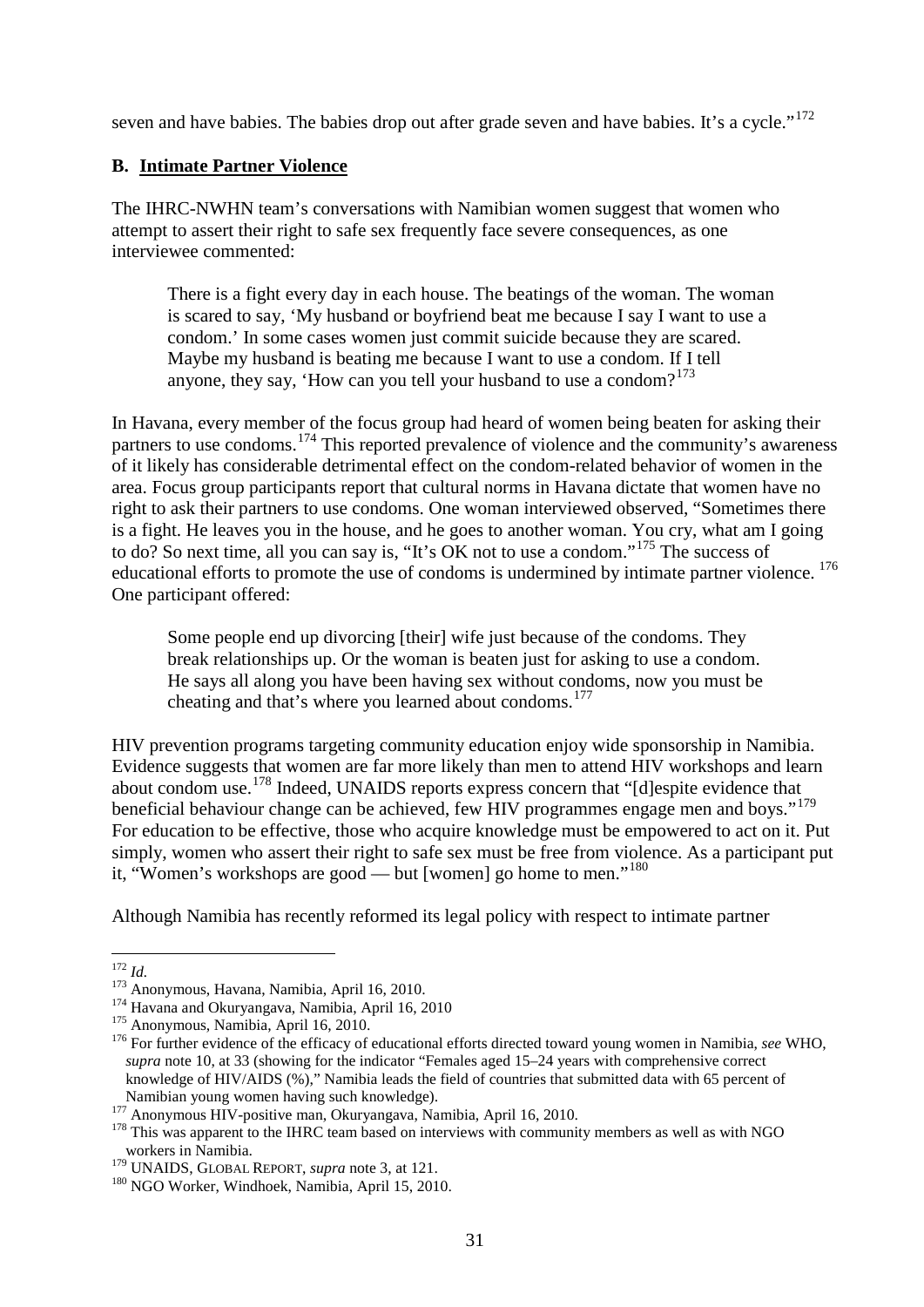seven and have babies. The babies drop out after grade seven and have babies. It's a cycle."<sup>[172](#page-30-0)</sup>

## **B. Intimate Partner Violence**

The IHRC-NWHN team's conversations with Namibian women suggest that women who attempt to assert their right to safe sex frequently face severe consequences, as one interviewee commented:

There is a fight every day in each house. The beatings of the woman. The woman is scared to say, 'My husband or boyfriend beat me because I say I want to use a condom.' In some cases women just commit suicide because they are scared. Maybe my husband is beating me because I want to use a condom. If I tell anyone, they say, 'How can you tell your husband to use a condom? $173$ 

In Havana, every member of the focus group had heard of women being beaten for asking their partners to use condoms.<sup>[174](#page-30-2)</sup> This reported prevalence of violence and the community's awareness of it likely has considerable detrimental effect on the condom-related behavior of women in the area. Focus group participants report that cultural norms in Havana dictate that women have no right to ask their partners to use condoms. One woman interviewed observed, "Sometimes there is a fight. He leaves you in the house, and he goes to another woman. You cry, what am I going to do? So next time, all you can say is, "It's OK not to use a condom."[175](#page-30-3) The success of educational efforts to promote the use of condoms is undermined by intimate partner violence.<sup>[176](#page-30-4)</sup> One participant offered:

Some people end up divorcing [their] wife just because of the condoms. They break relationships up. Or the woman is beaten just for asking to use a condom. He says all along you have been having sex without condoms, now you must be cheating and that's where you learned about condoms. [177](#page-30-5)

HIV prevention programs targeting community education enjoy wide sponsorship in Namibia. Evidence suggests that women are far more likely than men to attend HIV workshops and learn about condom use.[178](#page-30-6) Indeed, UNAIDS reports express concern that "[d]espite evidence that beneficial behaviour change can be achieved, few HIV programmes engage men and boys."<sup>[179](#page-30-7)</sup> For education to be effective, those who acquire knowledge must be empowered to act on it. Put simply, women who assert their right to safe sex must be free from violence. As a participant put it, "Women's workshops are good — but [women] go home to men."<sup>[180](#page-30-8)</sup>

Although Namibia has recently reformed its legal policy with respect to intimate partner

<span id="page-30-1"></span>

<span id="page-30-2"></span>

<span id="page-30-4"></span><span id="page-30-3"></span>

<span id="page-30-0"></span><sup>&</sup>lt;sup>172</sup> *Id.*<br>
<sup>173</sup> Anonymous, Havana, Namibia, April 16, 2010.<br>
<sup>174</sup> Havana and Okuryangava, Namibia, April 16, 2010<br>
<sup>175</sup> Anonymous, Namibia, April 16, 2010.<br>
<sup>176</sup> For further evidence of the efficacy of educational e *supra* note [10,](#page-10-8) at 33 (showing for the indicator "Females aged 15–24 years with comprehensive correct knowledge of HIV/AIDS (%)," Namibia leads the field of countries that submitted data with 65 percent of

<span id="page-30-6"></span>

<span id="page-30-5"></span>Namibian young women having such knowledge).<br><sup>177</sup> Anonymous HIV-positive man, Okuryangava, Namibia, April 16, 2010.<br><sup>178</sup> This was apparent to the IHRC team based on interviews with community members as well as with NGO workers in Namibia.<br><sup>179</sup> UNAIDS, GLOBAL REPORT, *supra* note 3, at 121.

<span id="page-30-8"></span><span id="page-30-7"></span><sup>&</sup>lt;sup>180</sup> NGO Worker, Windhoek, Namibia, April 15, 2010.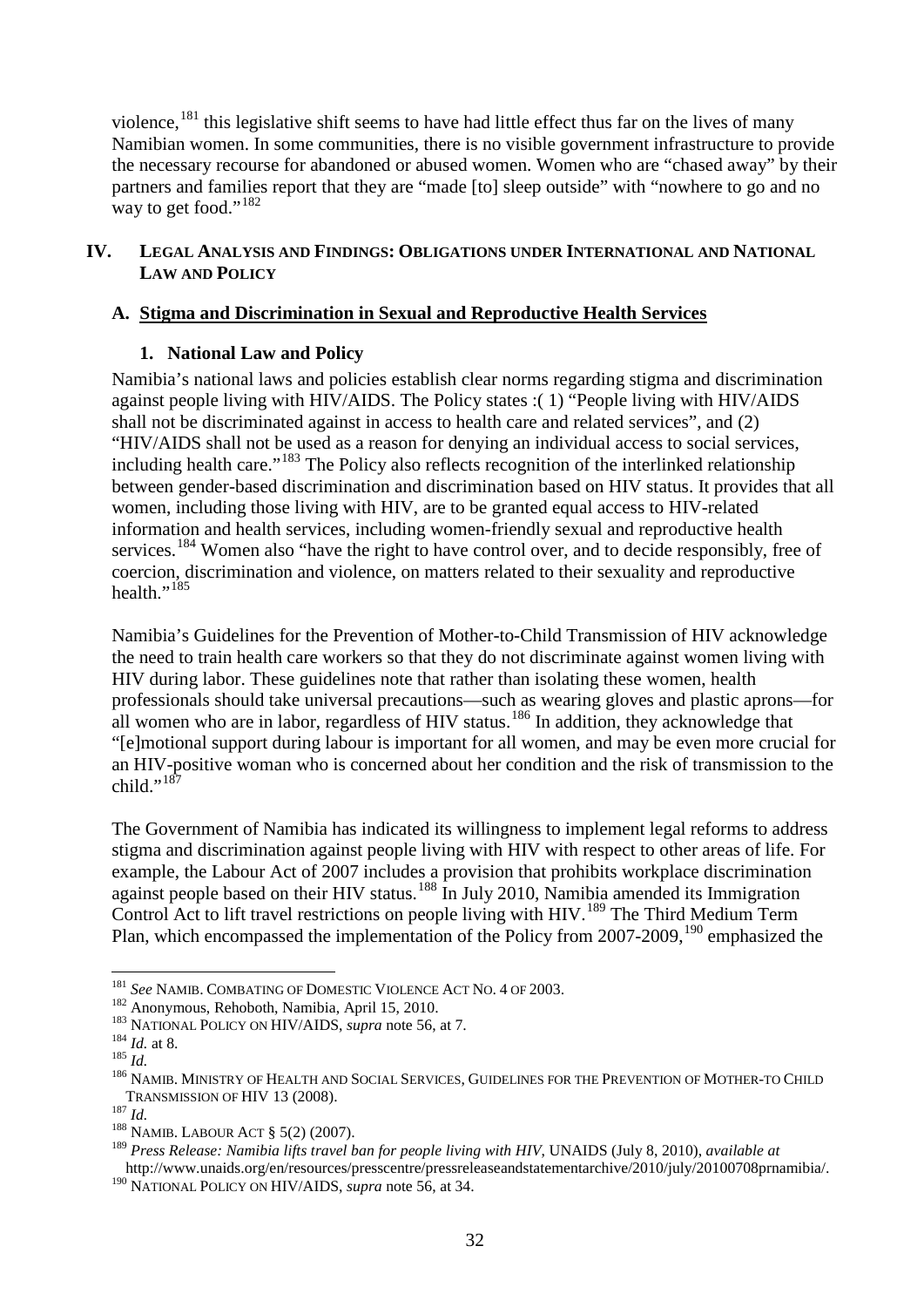violence,<sup>[181](#page-31-0)</sup> this legislative shift seems to have had little effect thus far on the lives of many Namibian women. In some communities, there is no visible government infrastructure to provide the necessary recourse for abandoned or abused women. Women who are "chased away" by their partners and families report that they are "made [to] sleep outside" with "nowhere to go and no way to get food." $182$ 

#### **IV. LEGAL ANALYSIS AND FINDINGS: OBLIGATIONS UNDER INTERNATIONAL AND NATIONAL LAW AND POLICY**

## **A. Stigma and Discrimination in Sexual and Reproductive Health Services**

#### **1. National Law and Policy**

Namibia's national laws and policies establish clear norms regarding stigma and discrimination against people living with HIV/AIDS. The Policy states :( 1) "People living with HIV/AIDS shall not be discriminated against in access to health care and related services", and (2) "HIV/AIDS shall not be used as a reason for denying an individual access to social services, including health care."[183](#page-31-2) The Policy also reflects recognition of the interlinked relationship between gender-based discrimination and discrimination based on HIV status. It provides that all women, including those living with HIV, are to be granted equal access to HIV-related information and health services, including women-friendly sexual and reproductive health services.<sup>[184](#page-31-3)</sup> Women also "have the right to have control over, and to decide responsibly, free of coercion, discrimination and violence, on matters related to their sexuality and reproductive health." $^{185}$  $^{185}$  $^{185}$ 

Namibia's Guidelines for the Prevention of Mother-to-Child Transmission of HIV acknowledge the need to train health care workers so that they do not discriminate against women living with HIV during labor. These guidelines note that rather than isolating these women, health professionals should take universal precautions—such as wearing gloves and plastic aprons—for all women who are in labor, regardless of HIV status.<sup>[186](#page-31-5)</sup> In addition, they acknowledge that "[e]motional support during labour is important for all women, and may be even more crucial for an HIV-positive woman who is concerned about her condition and the risk of transmission to the child." $187$ 

The Government of Namibia has indicated its willingness to implement legal reforms to address stigma and discrimination against people living with HIV with respect to other areas of life. For example, the Labour Act of 2007 includes a provision that prohibits workplace discrimination against people based on their HIV status.<sup>[188](#page-31-7)</sup> In July 2010, Namibia amended its Immigration Control Act to lift travel restrictions on people living with HIV.<sup>[189](#page-31-8)</sup> The Third Medium Term Plan, which encompassed the implementation of the Policy from 2007-2009,<sup>[190](#page-31-9)</sup> emphasized the

<span id="page-31-0"></span><sup>&</sup>lt;sup>181</sup> *See* NAMIB. COMBATING OF DOMESTIC VIOLENCE ACT NO. 4 OF 2003.<br><sup>182</sup> Anonymous, Rehoboth, Namibia, April 15, 2010.

<span id="page-31-5"></span><span id="page-31-4"></span>

<span id="page-31-3"></span><span id="page-31-2"></span><span id="page-31-1"></span><sup>&</sup>lt;sup>183</sup> NATIONAL POLICY ON HIV/AIDS, *supra* note [56,](#page-15-14) at 7.<br><sup>184</sup> *Id.* at 8.<br><sup>185</sup> *Id.*<br><sup>185</sup> NAMIB. MINISTRY OF HEALTH AND SOCIAL SERVICES, GUIDELINES FOR THE PREVENTION OF MOTHER-TO CHILD TRANSMISSION OF HIV 13 (2008).<br><sup>187</sup> *Id.* 188 NAMIB. LABOUR ACT § 5(2) (2007).

<span id="page-31-6"></span>

<span id="page-31-8"></span><span id="page-31-7"></span><sup>189</sup> *Press Release: Namibia lifts travel ban for people living with HIV*, UNAIDS (July 8, 2010), *available at* http://www.unaids.org/en/resources/presscentre/pressreleaseandstatementarchive/2010/july/20100708prnamibia/.

<span id="page-31-9"></span><sup>&</sup>lt;sup>190</sup> NATIONAL POLICY ON HIV/AIDS, *supra* note [56,](#page-15-14) at 34.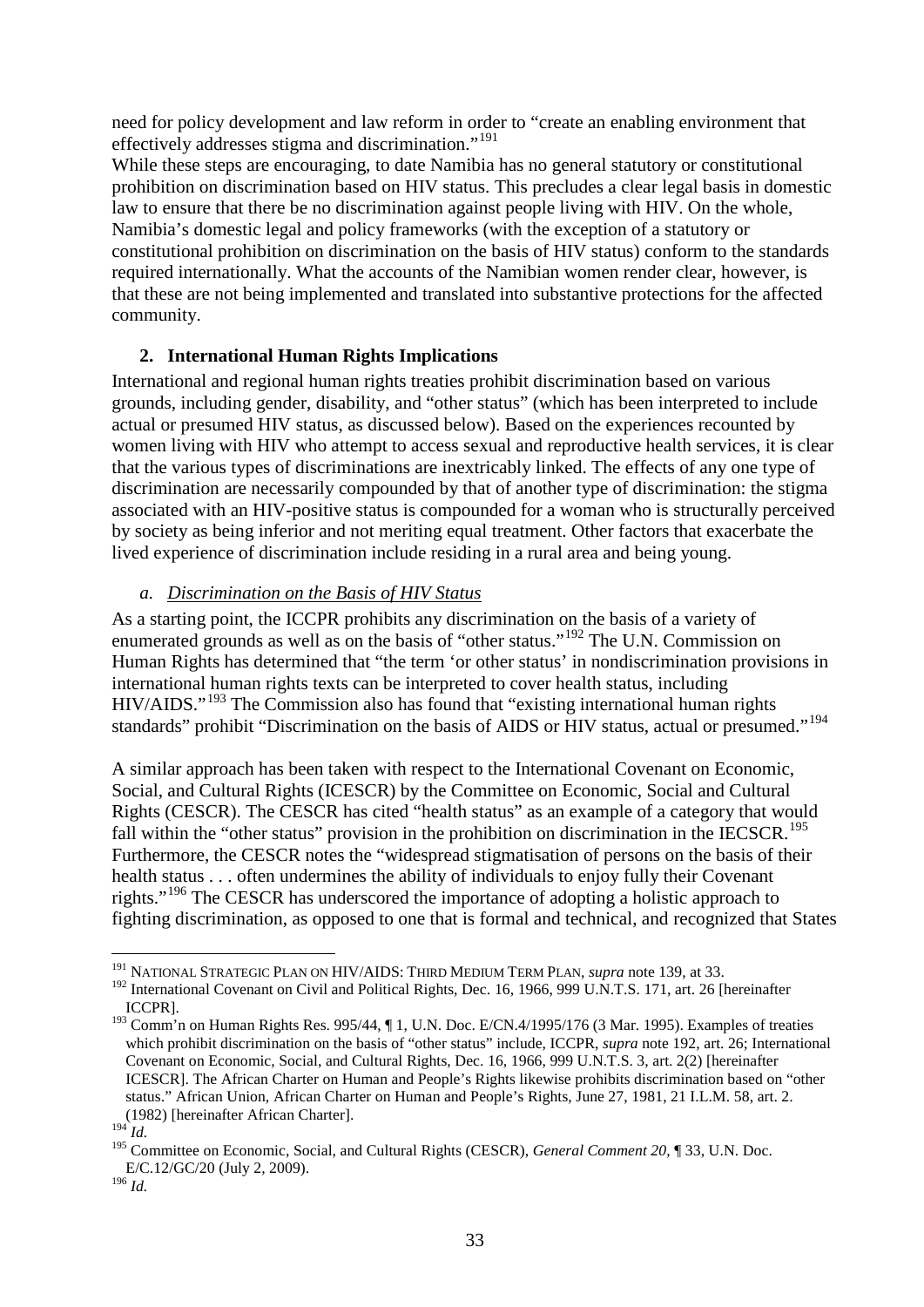need for policy development and law reform in order to "create an enabling environment that effectively addresses stigma and discrimination."<sup>[191](#page-32-1)</sup>

While these steps are encouraging, to date Namibia has no general statutory or constitutional prohibition on discrimination based on HIV status. This precludes a clear legal basis in domestic law to ensure that there be no discrimination against people living with HIV. On the whole, Namibia's domestic legal and policy frameworks (with the exception of a statutory or constitutional prohibition on discrimination on the basis of HIV status) conform to the standards required internationally. What the accounts of the Namibian women render clear, however, is that these are not being implemented and translated into substantive protections for the affected community.

### **2. International Human Rights Implications**

International and regional human rights treaties prohibit discrimination based on various grounds, including gender, disability, and "other status" (which has been interpreted to include actual or presumed HIV status, as discussed below). Based on the experiences recounted by women living with HIV who attempt to access sexual and reproductive health services, it is clear that the various types of discriminations are inextricably linked. The effects of any one type of discrimination are necessarily compounded by that of another type of discrimination: the stigma associated with an HIV-positive status is compounded for a woman who is structurally perceived by society as being inferior and not meriting equal treatment. Other factors that exacerbate the lived experience of discrimination include residing in a rural area and being young.

### <span id="page-32-8"></span><span id="page-32-0"></span>*a. Discrimination on the Basis of HIV Status*

As a starting point, the ICCPR prohibits any discrimination on the basis of a variety of enumerated grounds as well as on the basis of "other status."<sup>[192](#page-32-2)</sup> The U.N. Commission on Human Rights has determined that "the term 'or other status' in nondiscrimination provisions in international human rights texts can be interpreted to cover health status, including HIV/AIDS."<sup>[193](#page-32-3)</sup> The Commission also has found that "existing international human rights standards" prohibit "Discrimination on the basis of AIDS or HIV status, actual or presumed."<sup>[194](#page-32-4)</sup>

<span id="page-32-7"></span>A similar approach has been taken with respect to the International Covenant on Economic, Social, and Cultural Rights (ICESCR) by the Committee on Economic, Social and Cultural Rights (CESCR). The CESCR has cited "health status" as an example of a category that would fall within the "other status" provision in the prohibition on discrimination in the IECSCR.<sup>[195](#page-32-5)</sup> Furthermore, the CESCR notes the "widespread stigmatisation of persons on the basis of their health status . . . often undermines the ability of individuals to enjoy fully their Covenant rights."<sup>[196](#page-32-6)</sup> The CESCR has underscored the importance of adopting a holistic approach to fighting discrimination, as opposed to one that is formal and technical, and recognized that States

 <sup>191</sup> NATIONAL STRATEGIC PLAN ON HIV/AIDS: THIRD MEDIUM TERM PLAN, *supra* note [139,](#page-25-7) at 33.

<span id="page-32-2"></span><span id="page-32-1"></span><sup>&</sup>lt;sup>192</sup> International Covenant on Civil and Political Rights, Dec. 16, 1966, 999 U.N.T.S. 171, art. 26 [hereinafter ICCPR].

<span id="page-32-3"></span><sup>193</sup> Comm'n on Human Rights Res. 995/44, ¶ 1, U.N. Doc. E/CN.4/1995/176 (3 Mar. 1995). Examples of treaties which prohibit discrimination on the basis of "other status" include, ICCPR, *supra* note [192,](#page-32-0) art. 26; International Covenant on Economic, Social, and Cultural Rights, Dec. 16, 1966, 999 U.N.T.S. 3, art. 2(2) [hereinafter ICESCR]. The African Charter on Human and People's Rights likewise prohibits discrimination based on "other status." African Union, African Charter on Human and People's Rights, June 27, 1981, 21 I.L.M. 58, art. 2. (1982) [hereinafter African Charter].

<span id="page-32-4"></span> $^{194}\dot{I}$ .

<span id="page-32-5"></span><sup>195</sup> Committee on Economic, Social, and Cultural Rights (CESCR), *General Comment 20,* ¶ 33, U.N. Doc. E/C.12/GC/20 (July 2, 2009).

<span id="page-32-6"></span> $196$  *Id.*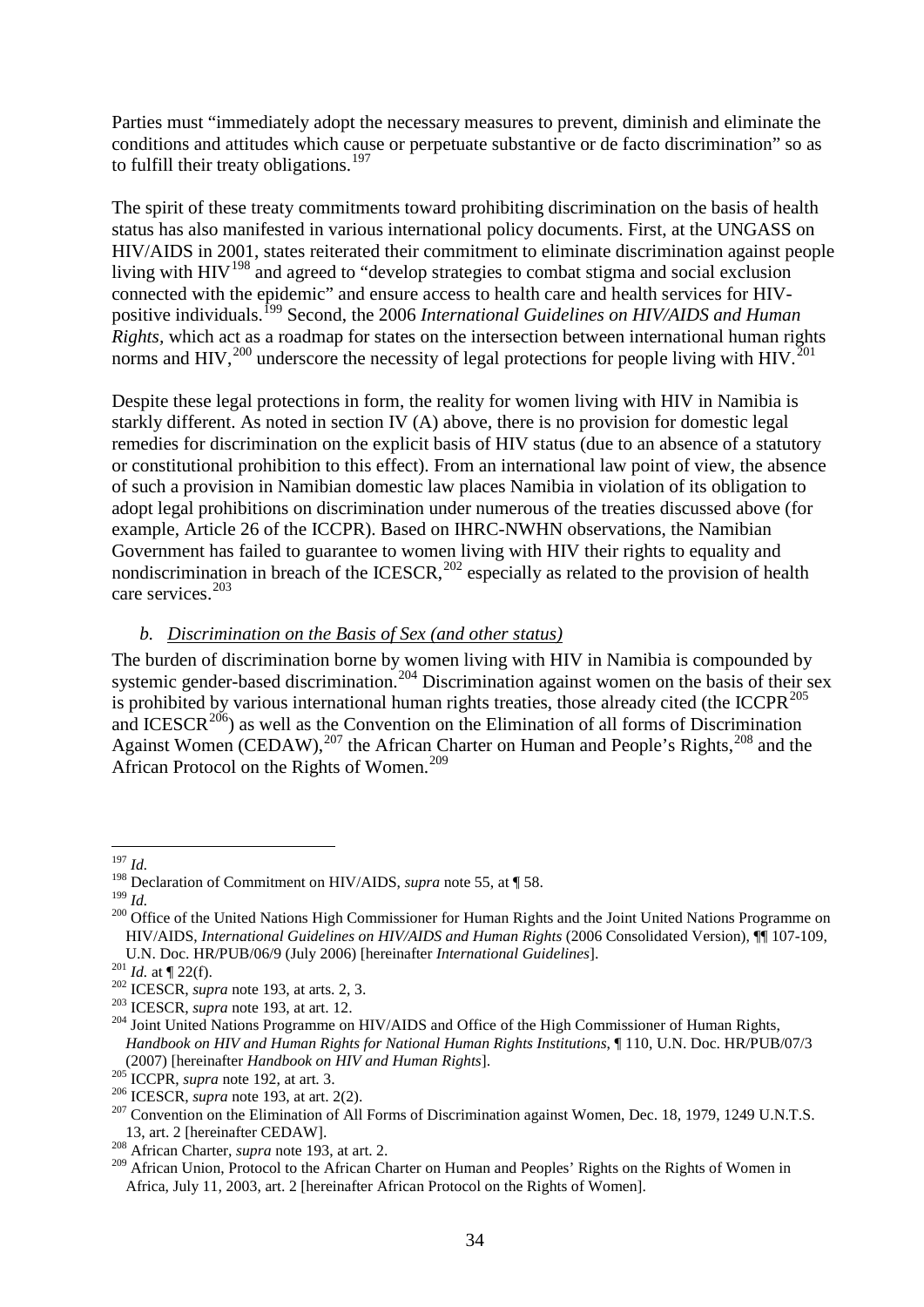Parties must "immediately adopt the necessary measures to prevent, diminish and eliminate the conditions and attitudes which cause or perpetuate substantive or de facto discrimination" so as to fulfill their treaty obligations.<sup>[197](#page-33-0)</sup>

The spirit of these treaty commitments toward prohibiting discrimination on the basis of health status has also manifested in various international policy documents. First, at the UNGASS on HIV/AIDS in 2001, states reiterated their commitment to eliminate discrimination against people living with  $HIV^{198}$  $HIV^{198}$  $HIV^{198}$  and agreed to "develop strategies to combat stigma and social exclusion connected with the epidemic" and ensure access to health care and health services for HIVpositive individuals. [199](#page-33-2) Second, the 2006 *International Guidelines on HIV/AIDS and Human Rights,* which act as a roadmap for states on the intersection between international human rights norms and HIV,<sup>[200](#page-33-3)</sup> underscore the necessity of legal protections for people living with HIV.<sup>[201](#page-33-4)</sup>

<span id="page-33-14"></span>Despite these legal protections in form, the reality for women living with HIV in Namibia is starkly different. As noted in section IV (A) above, there is no provision for domestic legal remedies for discrimination on the explicit basis of HIV status (due to an absence of a statutory or constitutional prohibition to this effect). From an international law point of view, the absence of such a provision in Namibian domestic law places Namibia in violation of its obligation to adopt legal prohibitions on discrimination under numerous of the treaties discussed above (for example, Article 26 of the ICCPR). Based on IHRC-NWHN observations, the Namibian Government has failed to guarantee to women living with HIV their rights to equality and nondiscrimination in breach of the ICESCR, $^{202}$  $^{202}$  $^{202}$  especially as related to the provision of health care services. [203](#page-33-6)

#### <span id="page-33-13"></span>*b. Discrimination on the Basis of Sex (and other status)*

The burden of discrimination borne by women living with HIV in Namibia is compounded by systemic gender-based discrimination.<sup>[204](#page-33-7)</sup> Discrimination against women on the basis of their sex is prohibited by various international human rights treaties, those already cited (the ICCPR $^{205}$  $^{205}$  $^{205}$ and ICESCR<sup>[206](#page-33-9)</sup>) as well as the Convention on the Elimination of all forms of Discrimination Against Women (CEDAW), $^{207}$  $^{207}$  $^{207}$  the African Charter on Human and People's Rights, $^{208}$  $^{208}$  $^{208}$  and the African Protocol on the Rights of Women. [209](#page-33-12)

<span id="page-33-0"></span> <sup>197</sup> *Id.*

<span id="page-33-1"></span><sup>&</sup>lt;sup>198</sup> Declaration of Commitment on HIV/AIDS, *supra* note [55,](#page-15-13) at  $\P$  58.<br><sup>199</sup> *I<sub>J</sub>* 

<span id="page-33-3"></span><span id="page-33-2"></span><sup>&</sup>lt;sup>200</sup> Office of the United Nations High Commissioner for Human Rights and the Joint United Nations Programme on HIV/AIDS, *International Guidelines on HIV/AIDS and Human Rights* (2006 Consolidated Version), ¶¶ 107-109,

<span id="page-33-5"></span>

<span id="page-33-7"></span><span id="page-33-6"></span>

<span id="page-33-4"></span>U.N. Doc. HR/PUB/06/9 (July 2006) [hereinafter *International Guidelines*].<br><sup>201</sup> *Id.* at  $\P$  22(f).<br><sup>202</sup> ICESCR, *supra* note [193,](#page-32-7) at arts. 2, 3.<br><sup>203</sup> ICESCR, *supra* note 193, at art. 12.<br><sup>204</sup> Joint United Nations P *Handbook on HIV and Human Rights for National Human Rights Institutions*, ¶ 110, U.N. Doc. HR/PUB/07/3 (2007) [hereinafter *Handbook on HIV and Human Rights*].<br><sup>205</sup> ICCPR, *supra* note 192, at art. 3.

<span id="page-33-9"></span><span id="page-33-8"></span> $\frac{^{206}}{^{207}}$  ICESCR, *supra* note [193,](#page-32-7) at art. 2(2).<br><sup>207</sup> Convention on the Elimination of All Forms of Discrimination against Women, Dec. 18, 1979, 1249 U.N.T.S.

<span id="page-33-10"></span><sup>13,</sup> art. 2 [hereinafter CEDAW]. 208 African Charter, *supra* note [193,](#page-32-7) at art. 2.

<span id="page-33-12"></span><span id="page-33-11"></span><sup>&</sup>lt;sup>209</sup> African Union, Protocol to the African Charter on Human and Peoples' Rights on the Rights of Women in Africa, July 11, 2003, art. 2 [hereinafter African Protocol on the Rights of Women].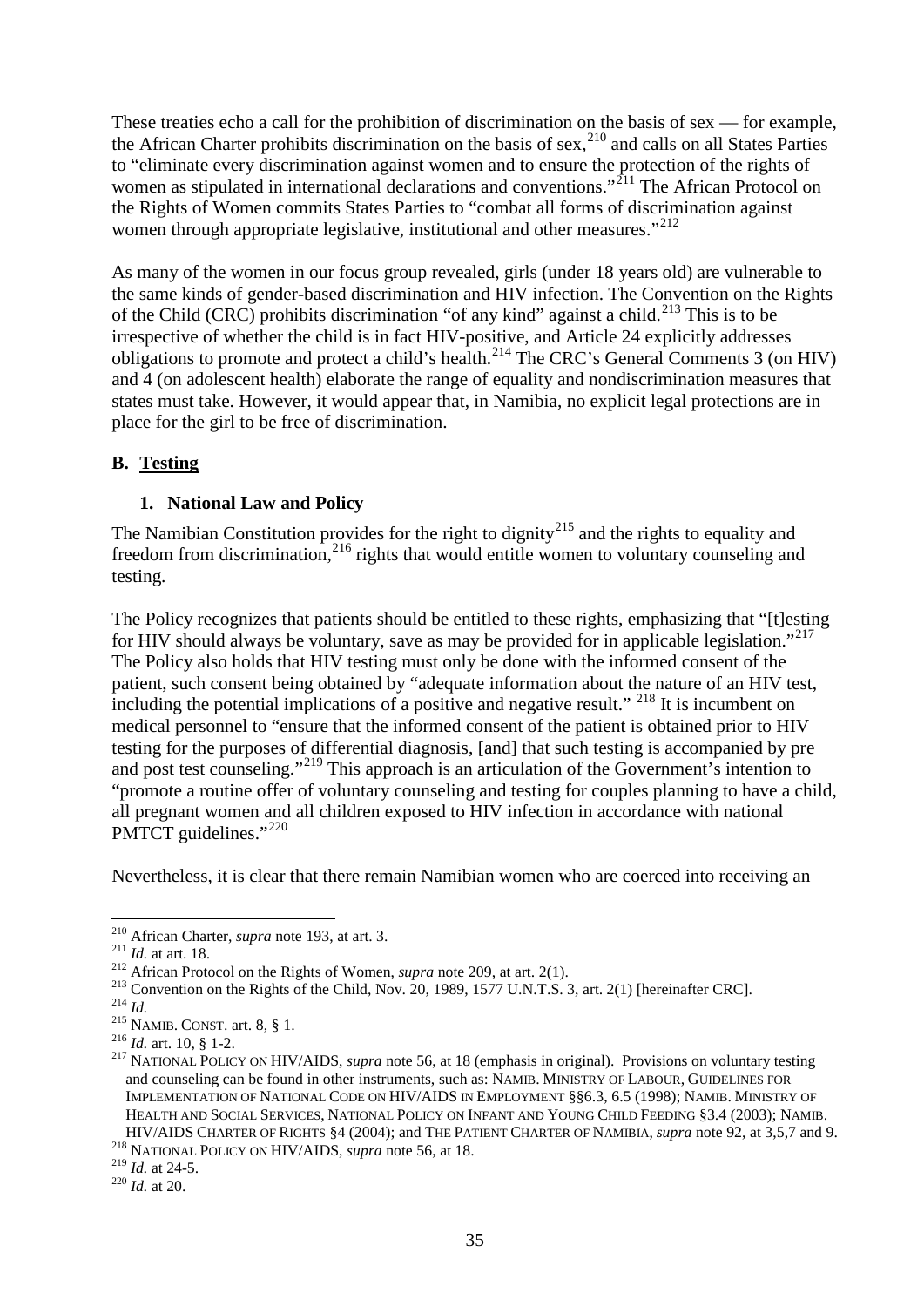These treaties echo a call for the prohibition of discrimination on the basis of sex — for example, the African Charter prohibits discrimination on the basis of sex,<sup>[210](#page-34-0)</sup> and calls on all States Parties to "eliminate every discrimination against women and to ensure the protection of the rights of women as stipulated in international declarations and conventions."<sup>[211](#page-34-1)</sup> The African Protocol on the Rights of Women commits States Parties to "combat all forms of discrimination against women through appropriate legislative, institutional and other measures."<sup>[212](#page-34-2)</sup>

As many of the women in our focus group revealed, girls (under 18 years old) are vulnerable to the same kinds of gender-based discrimination and HIV infection. The Convention on the Rights of the Child (CRC) prohibits discrimination "of any kind" against a child.<sup>[213](#page-34-3)</sup> This is to be irrespective of whether the child is in fact HIV-positive, and Article 24 explicitly addresses obligations to promote and protect a child's health.<sup>[214](#page-34-4)</sup> The CRC's General Comments 3 (on HIV) and 4 (on adolescent health) elaborate the range of equality and nondiscrimination measures that states must take. However, it would appear that, in Namibia, no explicit legal protections are in place for the girl to be free of discrimination.

## **B. Testing**

### **1. National Law and Policy**

The Namibian Constitution provides for the right to dignity<sup>[215](#page-34-5)</sup> and the rights to equality and freedom from discrimination,<sup>[216](#page-34-6)</sup> rights that would entitle women to voluntary counseling and testing.

The Policy recognizes that patients should be entitled to these rights, emphasizing that "[t]esting for HIV should always be voluntary, save as may be provided for in applicable legislation."<sup>217</sup> The Policy also holds that HIV testing must only be done with the informed consent of the patient, such consent being obtained by "adequate information about the nature of an HIV test, including the potential implications of a positive and negative result." <sup>[218](#page-34-8)</sup> It is incumbent on medical personnel to "ensure that the informed consent of the patient is obtained prior to HIV testing for the purposes of differential diagnosis, [and] that such testing is accompanied by pre and post test counseling."<sup>[219](#page-34-9)</sup> This approach is an articulation of the Government's intention to "promote a routine offer of voluntary counseling and testing for couples planning to have a child, all pregnant women and all children exposed to HIV infection in accordance with national PMTCT guidelines."<sup>[220](#page-34-10)</sup>

Nevertheless, it is clear that there remain Namibian women who are coerced into receiving an

<span id="page-34-2"></span>

<span id="page-34-1"></span><span id="page-34-0"></span><sup>&</sup>lt;sup>210</sup> African Charter, *supra* note [193,](#page-32-7) at art. 3.<br><sup>211</sup> *Id.* at art. 18.<br><sup>212</sup> African Protocol on the Rights of Women, *supra* note [209,](#page-33-13) at art. 2(1).<br><sup>213</sup> Convention on the Rights of the Child, Nov. 20, 1989, 1577 U

<span id="page-34-4"></span><span id="page-34-3"></span>

<span id="page-34-5"></span>

<span id="page-34-7"></span><span id="page-34-6"></span>and counseling can be found in other instruments, such as: NAMIB. MINISTRY OF LABOUR, GUIDELINES FOR IMPLEMENTATION OF NATIONAL CODE ON HIV/AIDS IN EMPLOYMENT §§6.3, 6.5 (1998); NAMIB. MINISTRY OF HEALTH AND SOCIAL SERVICES, NATIONAL POLICY ON INFANT AND YOUNG CHILD FEEDING §3.4 (2003); NAMIB. HIV/AIDS CHARTER OF RIGHTS §4 (2004); and THE PATIENT CHARTER OF NAMIBIA, *supra* note [92,](#page-19-13) at 3,5,7 and 9. <sup>218</sup> NATIONAL POLICY ON HIV/AIDS, *supra* note [56,](#page-15-14) at 18.

<span id="page-34-8"></span>

<span id="page-34-10"></span><span id="page-34-9"></span> $^{220}$  *Id.* at 20.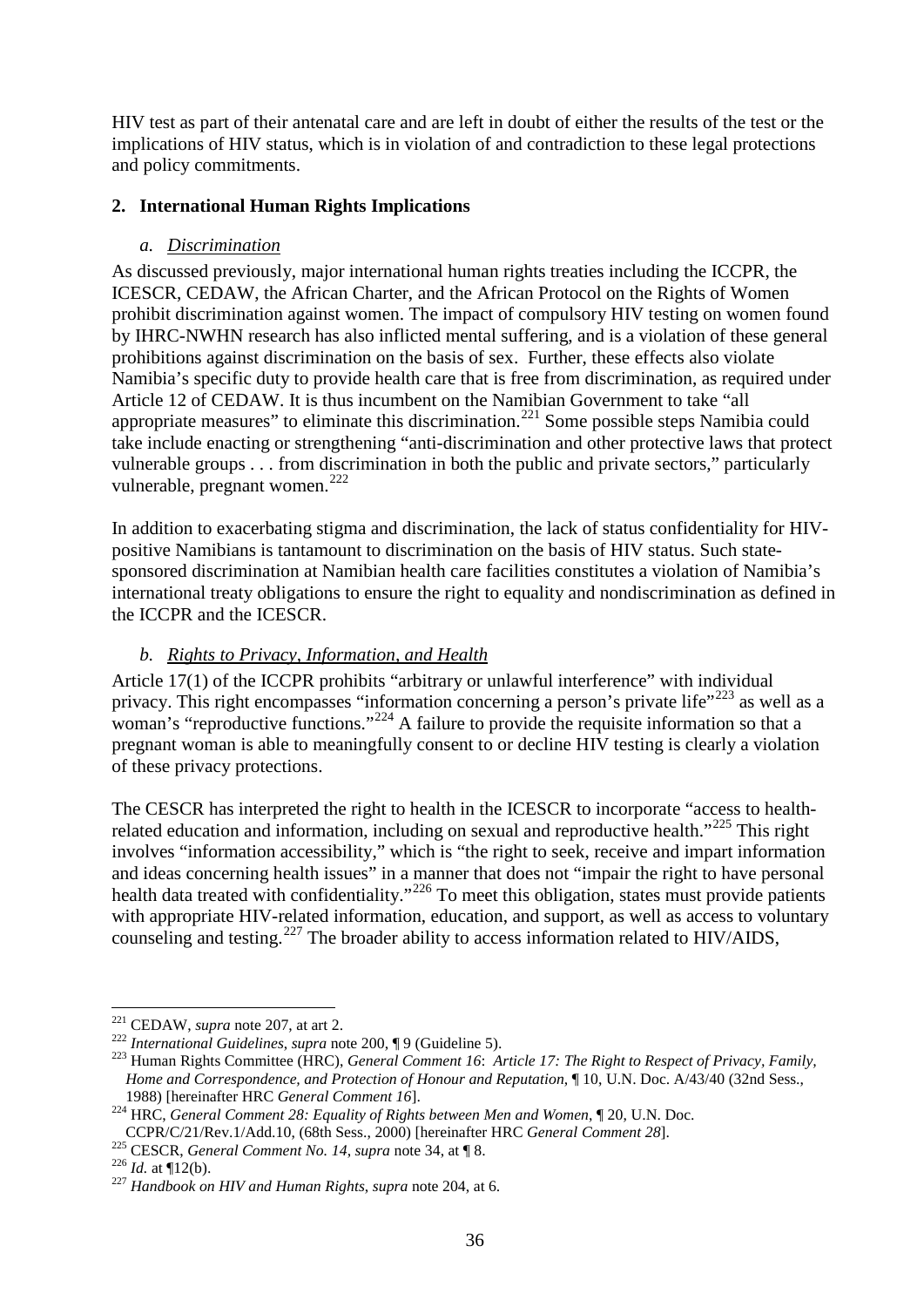HIV test as part of their antenatal care and are left in doubt of either the results of the test or the implications of HIV status, which is in violation of and contradiction to these legal protections and policy commitments.

#### **2. International Human Rights Implications**

#### *a. Discrimination*

As discussed previously, major international human rights treaties including the ICCPR, the ICESCR, CEDAW, the African Charter, and the African Protocol on the Rights of Women prohibit discrimination against women. The impact of compulsory HIV testing on women found by IHRC-NWHN research has also inflicted mental suffering, and is a violation of these general prohibitions against discrimination on the basis of sex. Further, these effects also violate Namibia's specific duty to provide health care that is free from discrimination, as required under Article 12 of CEDAW. It is thus incumbent on the Namibian Government to take "all appropriate measures" to eliminate this discrimination.<sup>[221](#page-35-0)</sup> Some possible steps Namibia could take include enacting or strengthening "anti-discrimination and other protective laws that protect vulnerable groups . . . from discrimination in both the public and private sectors," particularly vulnerable, pregnant women.<sup>[222](#page-35-1)</sup>

In addition to exacerbating stigma and discrimination, the lack of status confidentiality for HIVpositive Namibians is tantamount to discrimination on the basis of HIV status. Such statesponsored discrimination at Namibian health care facilities constitutes a violation of Namibia's international treaty obligations to ensure the right to equality and nondiscrimination as defined in the ICCPR and the ICESCR.

#### *b. Rights to Privacy, Information, and Health*

Article 17(1) of the ICCPR prohibits "arbitrary or unlawful interference" with individual privacy. This right encompasses "information concerning a person's private life"<sup>[223](#page-35-2)</sup> as well as a woman's "reproductive functions."<sup>[224](#page-35-3)</sup> A failure to provide the requisite information so that a pregnant woman is able to meaningfully consent to or decline HIV testing is clearly a violation of these privacy protections.

The CESCR has interpreted the right to health in the ICESCR to incorporate "access to health-related education and information, including on sexual and reproductive health."<sup>[225](#page-35-4)</sup> This right involves "information accessibility," which is "the right to seek, receive and impart information and ideas concerning health issues" in a manner that does not "impair the right to have personal health data treated with confidentiality."<sup>[226](#page-35-5)</sup> To meet this obligation, states must provide patients with appropriate HIV-related information, education, and support, as well as access to voluntary counseling and testing.<sup>[227](#page-35-6)</sup> The broader ability to access information related to HIV/AIDS,

<span id="page-35-0"></span><sup>&</sup>lt;sup>221</sup> CEDAW, *supra* note 207, at art 2.<br><sup>222</sup> International Guidelines, *supra* note 200, ¶ 9 (Guideline 5).

<span id="page-35-2"></span><span id="page-35-1"></span><sup>&</sup>lt;sup>223</sup> Human Rights Committee (HRC), *General Comment 16: Article 17: The Right to Respect of Privacy, Family, Home and Correspondence, and Protection of Honour and Reputation*, ¶ 10, U.N. Doc. A/43/40 (32nd Sess.,

<span id="page-35-3"></span><sup>1988) [</sup>hereinafter HRC *General Comment 16*].<br><sup>224</sup> HRC, *General Comment 28: Equality of Rights between Men and Women*, ¶ 20, U.N. Doc.<br>CCPR/C/21/Rev.1/Add.10, (68th Sess., 2000) [hereinafter HRC *General Comment 28*].

<span id="page-35-6"></span><span id="page-35-5"></span>

<span id="page-35-4"></span><sup>&</sup>lt;sup>225</sup> CESCR, *General Comment No. 14, supra* not[e 34,](#page-13-6) at  $\P$  8.<br><sup>226</sup> *Id.* at  $\P$ 12(b).<br><sup>227</sup> *Handbook on HIV and Human Rights, supra* note 204, at 6.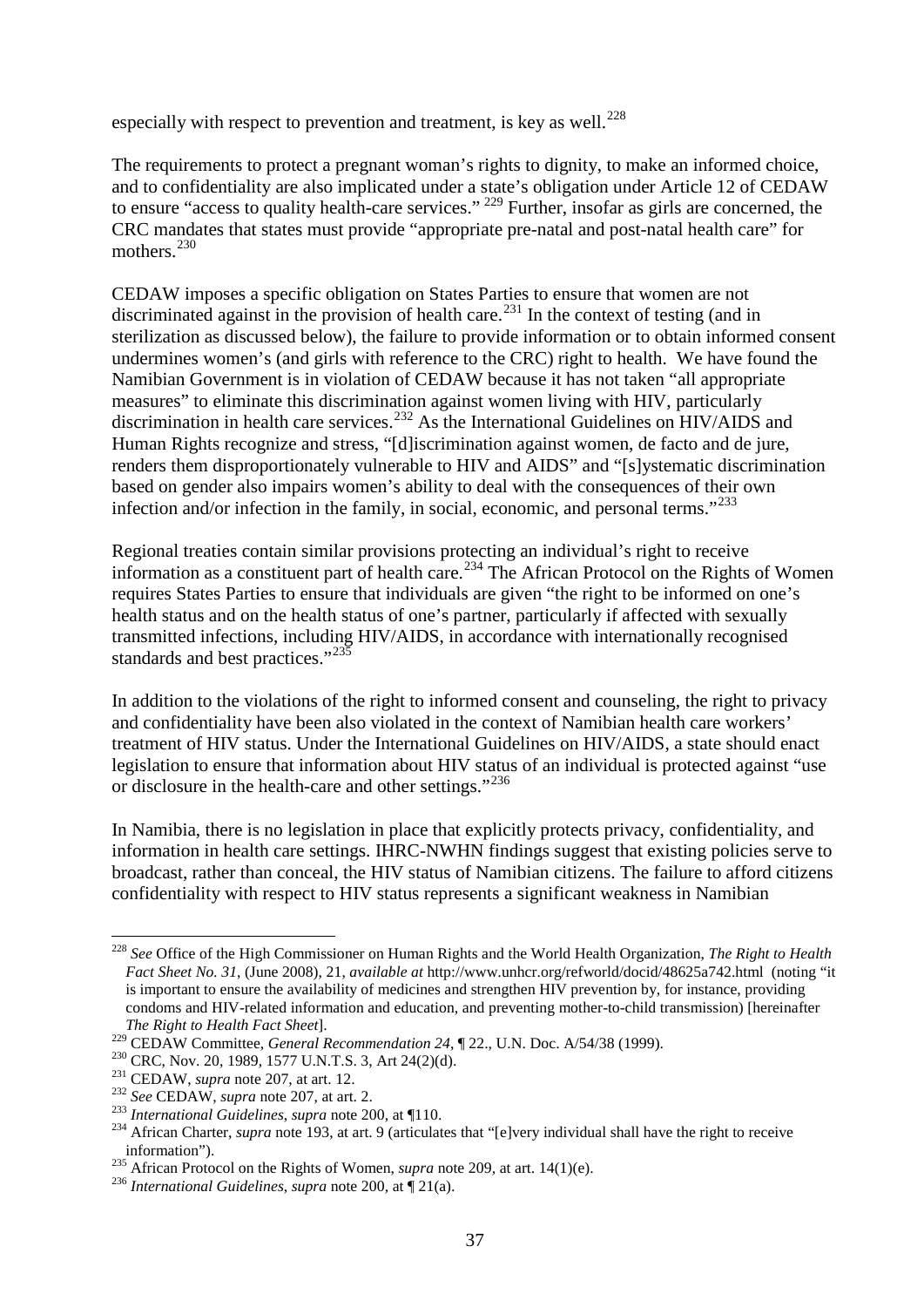<span id="page-36-9"></span>especially with respect to prevention and treatment, is key as well.<sup>[228](#page-36-0)</sup>

<span id="page-36-10"></span>The requirements to protect a pregnant woman's rights to dignity, to make an informed choice, and to confidentiality are also implicated under a state's obligation under Article 12 of CEDAW to ensure "access to quality health-care services." <sup>[229](#page-36-1)</sup> Further, insofar as girls are concerned, the CRC mandates that states must provide "appropriate pre-natal and post-natal health care" for mothers<sup>[230](#page-36-2)</sup>

<span id="page-36-11"></span>CEDAW imposes a specific obligation on States Parties to ensure that women are not discriminated against in the provision of health care.<sup>[231](#page-36-3)</sup> In the context of testing (and in sterilization as discussed below), the failure to provide information or to obtain informed consent undermines women's (and girls with reference to the CRC) right to health. We have found the Namibian Government is in violation of CEDAW because it has not taken "all appropriate measures" to eliminate this discrimination against women living with HIV, particularly discrimination in health care services.<sup>[232](#page-36-4)</sup> As the International Guidelines on HIV/AIDS and Human Rights recognize and stress, "[d]iscrimination against women, de facto and de jure, renders them disproportionately vulnerable to HIV and AIDS" and "[s]ystematic discrimination based on gender also impairs women's ability to deal with the consequences of their own infection and/or infection in the family, in social, economic, and personal terms."<sup>[233](#page-36-5)</sup>

Regional treaties contain similar provisions protecting an individual's right to receive information as a constituent part of health care.<sup>[234](#page-36-6)</sup> The African Protocol on the Rights of Women requires States Parties to ensure that individuals are given "the right to be informed on one's health status and on the health status of one's partner, particularly if affected with sexually transmitted infections, including HIV/AIDS, in accordance with internationally recognised standards and best practices."<sup>[235](#page-36-7)</sup>

In addition to the violations of the right to informed consent and counseling, the right to privacy and confidentiality have been also violated in the context of Namibian health care workers' treatment of HIV status. Under the International Guidelines on HIV/AIDS, a state should enact legislation to ensure that information about HIV status of an individual is protected against "use or disclosure in the health-care and other settings."<sup>[236](#page-36-8)</sup>

In Namibia, there is no legislation in place that explicitly protects privacy, confidentiality, and information in health care settings. IHRC-NWHN findings suggest that existing policies serve to broadcast, rather than conceal, the HIV status of Namibian citizens. The failure to afford citizens confidentiality with respect to HIV status represents a significant weakness in Namibian

<span id="page-36-0"></span> <sup>228</sup> *See* Office of the High Commissioner on Human Rights and the World Health Organization, *The Right to Health Fact Sheet No. 31*, (June 2008), 21, *available at* http://www.unhcr.org/refworld/docid/48625a742.html (noting "it is important to ensure the availability of medicines and strengthen HIV prevention by, for instance, providing condoms and HIV-related information and education, and preventing mother-to-child transmission) [hereinafter

*The Right to Health Fact Sheet*].<br><sup>229</sup> CEDAW Committee, *General Recommendation 24*, ¶ 22., U.N. Doc. A/54/38 (1999).

<span id="page-36-4"></span>

<span id="page-36-6"></span><span id="page-36-5"></span>

<span id="page-36-3"></span><span id="page-36-2"></span><span id="page-36-1"></span><sup>&</sup>lt;sup>230</sup> CRC, Nov. 20, 1989, 1577 U.N.T.S. 3, Art 24(2)(d).<br><sup>231</sup> CEDAW, *supra* note 207, at art. 12.<br><sup>232</sup> See CEDAW, *supra* note 207, at art. 2.<br><sup>232</sup> International Guidelines, *supra* note 200, at 110.<br><sup>234</sup> African Cha information"). <sup>235</sup> African Protocol on the Rights of Women, *supra* note 209, at art. 14(1)(e). <sup>236</sup> *International Guidelines*, *supra* note 200, at ¶ 21(a).

<span id="page-36-7"></span>

<span id="page-36-8"></span>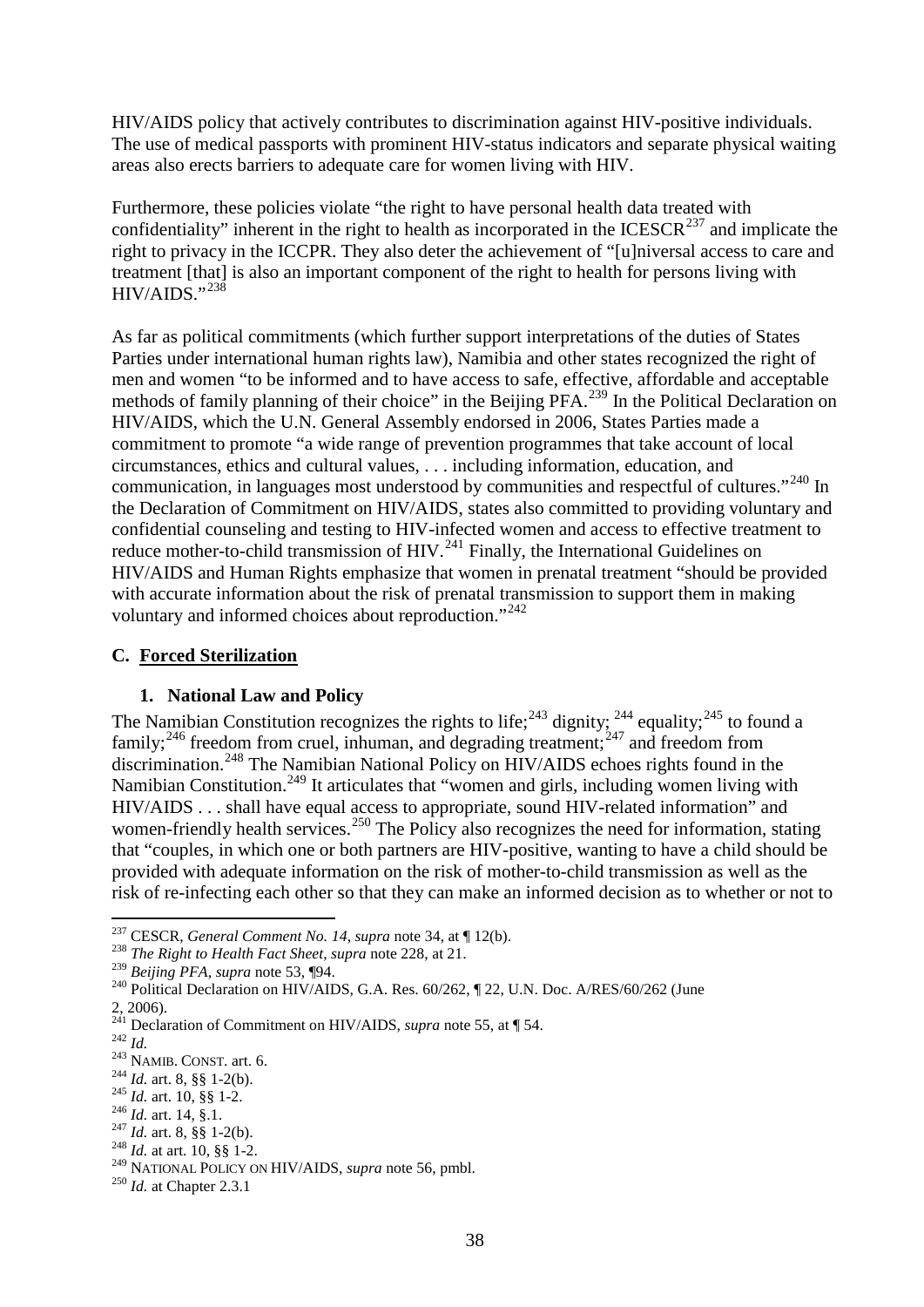HIV/AIDS policy that actively contributes to discrimination against HIV-positive individuals. The use of medical passports with prominent HIV-status indicators and separate physical waiting areas also erects barriers to adequate care for women living with HIV.

Furthermore, these policies violate "the right to have personal health data treated with confidentiality" inherent in the right to health as incorporated in the ICESCR<sup>[237](#page-37-0)</sup> and implicate the right to privacy in the ICCPR. They also deter the achievement of "[u]niversal access to care and treatment [that] is also an important component of the right to health for persons living with HIV/AIDS."[238](#page-37-1)

As far as political commitments (which further support interpretations of the duties of States Parties under international human rights law), Namibia and other states recognized the right of men and women "to be informed and to have access to safe, effective, affordable and acceptable methods of family planning of their choice" in the Beijing PFA.<sup>[239](#page-37-2)</sup> In the Political Declaration on HIV/AIDS, which the U.N. General Assembly endorsed in 2006, States Parties made a commitment to promote "a wide range of prevention programmes that take account of local circumstances, ethics and cultural values, . . . including information, education, and communication, in languages most understood by communities and respectful of cultures."<sup>[240](#page-37-3)</sup> In the Declaration of Commitment on HIV/AIDS, states also committed to providing voluntary and confidential counseling and testing to HIV-infected women and access to effective treatment to reduce mother-to-child transmission of HIV.<sup>[241](#page-37-4)</sup> Finally, the International Guidelines on HIV/AIDS and Human Rights emphasize that women in prenatal treatment "should be provided with accurate information about the risk of prenatal transmission to support them in making voluntary and informed choices about reproduction."<sup>[242](#page-37-5)</sup>

#### **C. Forced Sterilization**

### **1. National Law and Policy**

The Namibian Constitution recognizes the rights to life;<sup>[243](#page-37-6)</sup> dignity;<sup>[244](#page-37-7)</sup> equality;<sup>[245](#page-37-8)</sup> to found a family;<sup>[246](#page-37-9)</sup> freedom from cruel, inhuman, and degrading treatment;<sup>[247](#page-37-10)</sup> and freedom from discrimination.[248](#page-37-11) The Namibian National Policy on HIV/AIDS echoes rights found in the Namibian Constitution.<sup>[249](#page-37-12)</sup> It articulates that "women and girls, including women living with HIV/AIDS . . . shall have equal access to appropriate, sound HIV-related information" and women-friendly health services.<sup>[250](#page-37-13)</sup> The Policy also recognizes the need for information, stating that "couples, in which one or both partners are HIV-positive, wanting to have a child should be provided with adequate information on the risk of mother-to-child transmission as well as the risk of re-infecting each other so that they can make an informed decision as to whether or not to

<span id="page-37-0"></span><sup>&</sup>lt;sup>237</sup> CESCR, *General Comment No. 14, supra* note 34, at ¶ 12(b).

<span id="page-37-1"></span><sup>&</sup>lt;sup>238</sup> *The Right to Health Fact Sheet, supra* note [228,](#page-36-9) at 21.<br><sup>239</sup> *Beijing PFA, supra* note 53, ¶94.

<span id="page-37-3"></span><span id="page-37-2"></span><sup>&</sup>lt;sup>240</sup> Political Declaration on HIV/AIDS, G.A. Res. 60/262, ¶ 22, U.N. Doc. A/RES/60/262 (June

<sup>2, 2006).</sup>

<span id="page-37-4"></span><sup>&</sup>lt;sup>241</sup> Declaration of Commitment on HIV/AIDS, *supra* note [55,](#page-15-13) at ¶ 54.<br><sup>242</sup> *Id.*<br><sup>243</sup> NAMIB. CONST. art. 6.<br><sup>243</sup> MAMIB. CONST. art. 6.<br><sup>244</sup> *Id.* art. 8, §§ 1-2(b).<br><sup>245</sup> *Id.* art. 14, §.1.<br><sup>246</sup> *Id.* art. 8, §§ 1-

<span id="page-37-5"></span>

<span id="page-37-6"></span>

<span id="page-37-7"></span>

<span id="page-37-8"></span>

<span id="page-37-9"></span>

<span id="page-37-12"></span><span id="page-37-11"></span><span id="page-37-10"></span><sup>&</sup>lt;sup>248</sup> *Id.* at art. 10, §§ 1-2.<br><sup>249</sup> NATIONAL POLICY ON HIV/AIDS, *supra* note [56,](#page-15-14) pmbl.<br><sup>250</sup> *Id.* at Chapter 2.3.1

<span id="page-37-13"></span>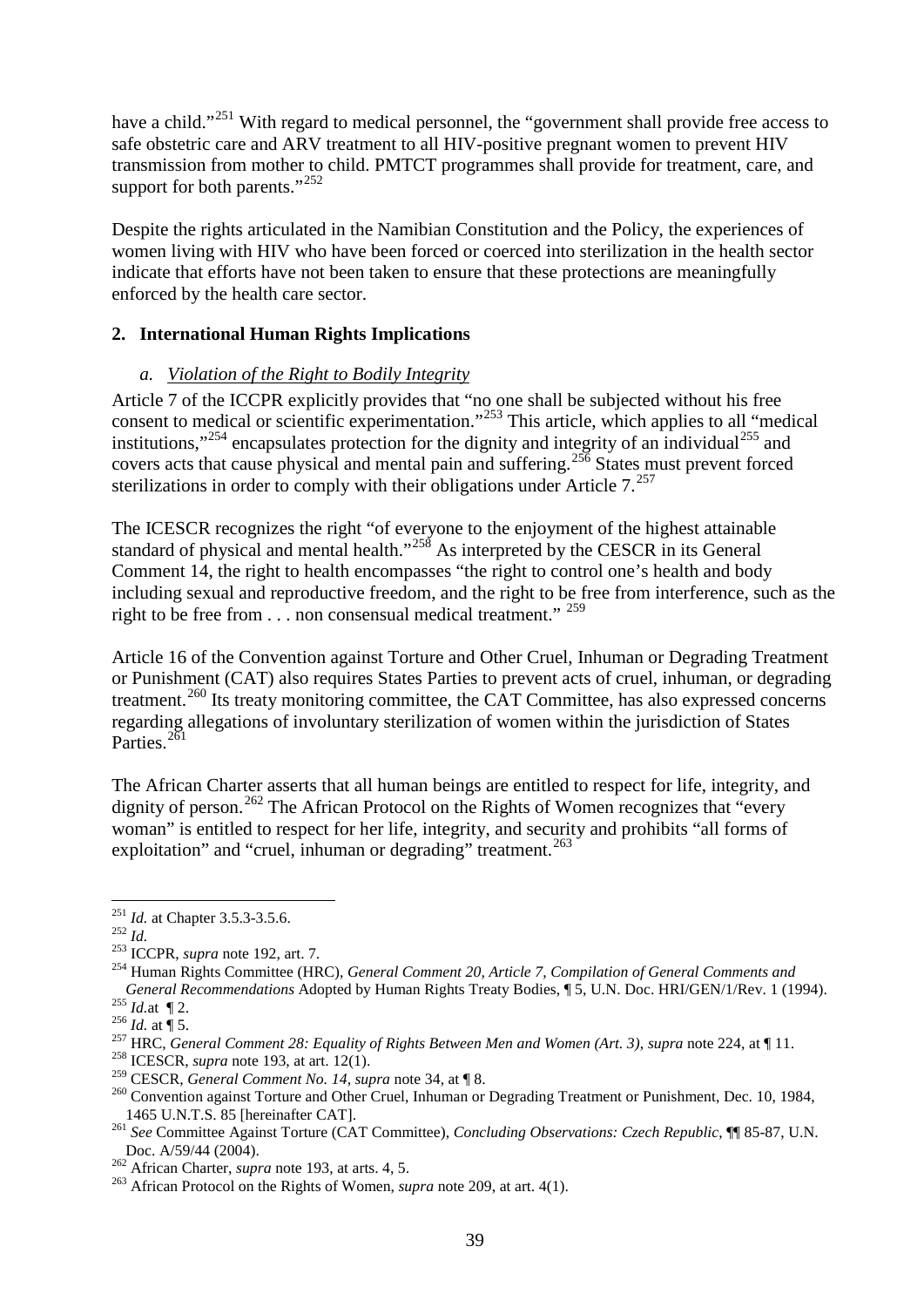have a child."<sup>[251](#page-38-0)</sup> With regard to medical personnel, the "government shall provide free access to safe obstetric care and ARV treatment to all HIV-positive pregnant women to prevent HIV transmission from mother to child. PMTCT programmes shall provide for treatment, care, and support for both parents."<sup>[252](#page-38-1)</sup>

Despite the rights articulated in the Namibian Constitution and the Policy, the experiences of women living with HIV who have been forced or coerced into sterilization in the health sector indicate that efforts have not been taken to ensure that these protections are meaningfully enforced by the health care sector.

#### **2. International Human Rights Implications**

#### <span id="page-38-13"></span>*a. Violation of the Right to Bodily Integrity*

Article 7 of the ICCPR explicitly provides that "no one shall be subjected without his free consent to medical or scientific experimentation."<sup>[253](#page-38-2)</sup> This article, which applies to all "medical institutions,"<sup>[254](#page-38-3)</sup> encapsulates protection for the dignity and integrity of an individual<sup>[255](#page-38-4)</sup> and covers acts that cause physical and mental pain and suffering.[256](#page-38-5) States must prevent forced sterilizations in order to comply with their obligations under Article  $7^{257}$  $7^{257}$  $7^{257}$ 

The ICESCR recognizes the right "of everyone to the enjoyment of the highest attainable standard of physical and mental health."<sup>[258](#page-38-7)</sup> As interpreted by the CESCR in its General Comment 14, the right to health encompasses "the right to control one's health and body including sexual and reproductive freedom, and the right to be free from interference, such as the right to be free from . . . non consensual medical treatment." <sup>[259](#page-38-8)</sup>

Article 16 of the Convention against Torture and Other Cruel, Inhuman or Degrading Treatment or Punishment (CAT) also requires States Parties to prevent acts of cruel, inhuman, or degrading treatment.<sup>[260](#page-38-9)</sup> Its treaty monitoring committee, the CAT Committee, has also expressed concerns regarding allegations of involuntary sterilization of women within the jurisdiction of States Parties.<sup>[261](#page-38-10)</sup>

The African Charter asserts that all human beings are entitled to respect for life, integrity, and dignity of person.<sup>[262](#page-38-11)</sup> The African Protocol on the Rights of Women recognizes that "every woman" is entitled to respect for her life, integrity, and security and prohibits "all forms of exploitation" and "cruel, inhuman or degrading" treatment.<sup>[263](#page-38-12)</sup>

<span id="page-38-3"></span><span id="page-38-2"></span>

<span id="page-38-1"></span><span id="page-38-0"></span><sup>&</sup>lt;sup>251</sup> *Id.* at Chapter 3.5.3-3.5.6.<br><sup>252</sup> *Id.* 253 ICCPR, *supra* note [192,](#page-32-0) art. 7. 254 Human Rights Committee (HRC), *General Comment 20, Article 7, Compilation of General Comments and* General Recommendations Adopted by Human Rights Treaty Bodies, ¶ 5, U.N. Doc. HRI/GEN/1/Rev. 1 (1994).<br>
<sup>255</sup> *Id.* at ¶ 2.<br>
<sup>256</sup> *Id.* at ¶ 5.<br>
<sup>257</sup> HRC, General Comment 28: Equality of Rights Between Men and Women (Ar

<span id="page-38-5"></span><span id="page-38-4"></span>

<span id="page-38-6"></span>

<span id="page-38-7"></span>

<span id="page-38-9"></span><span id="page-38-8"></span><sup>&</sup>lt;sup>260</sup> Convention against Torture and Other Cruel, Inhuman or Degrading Treatment or Punishment, Dec. 10, 1984, 1465 U.N.T.S. 85 [hereinafter CAT].

<span id="page-38-10"></span><sup>&</sup>lt;sup>261</sup> See Committee Against Torture (CAT Committee), *Concluding Observations: Czech Republic*, ¶ 85-87, U.N. Doc. A/59/44 (2004). <sup>262</sup> African Charter, *supra* note [193,](#page-32-7) at arts. 4, 5. <sup>263</sup> African Protocol on the Rights of Women, *supra* note [209,](#page-33-13) at art. 4(1).

<span id="page-38-11"></span>

<span id="page-38-12"></span>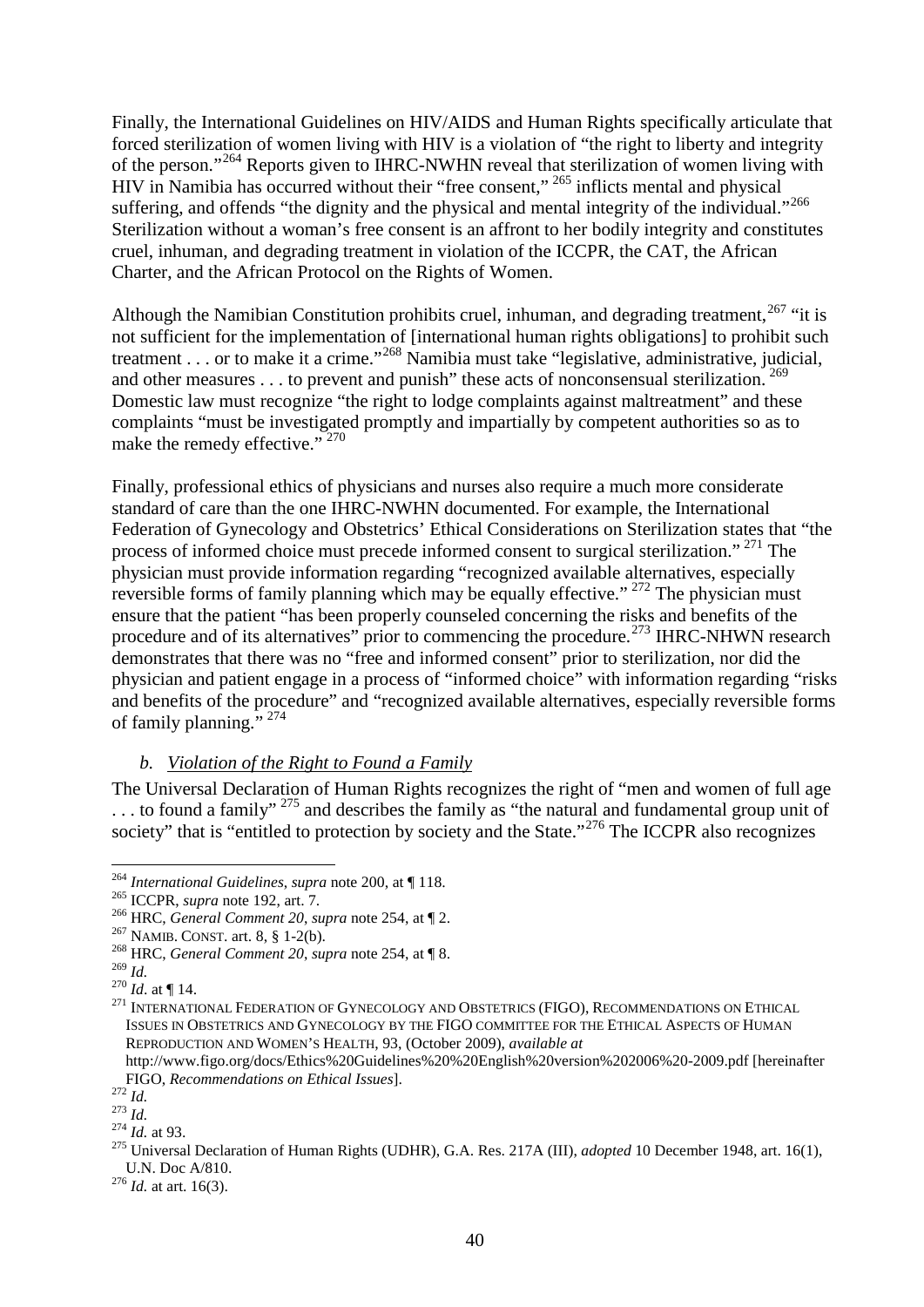Finally, the International Guidelines on HIV/AIDS and Human Rights specifically articulate that forced sterilization of women living with HIV is a violation of "the right to liberty and integrity of the person."[264](#page-39-0) Reports given to IHRC-NWHN reveal that sterilization of women living with HIV in Namibia has occurred without their "free consent," [265](#page-39-1) inflicts mental and physical suffering, and offends "the dignity and the physical and mental integrity of the individual."<sup>[266](#page-39-2)</sup> Sterilization without a woman's free consent is an affront to her bodily integrity and constitutes cruel, inhuman, and degrading treatment in violation of the ICCPR, the CAT, the African Charter, and the African Protocol on the Rights of Women.

Although the Namibian Constitution prohibits cruel, inhuman, and degrading treatment,  $267$  "it is not sufficient for the implementation of [international human rights obligations] to prohibit such treatment . . . or to make it a crime."[268](#page-39-4) Namibia must take "legislative, administrative, judicial, and other measures  $\dots$  to prevent and punish" these acts of nonconsensual sterilization. <sup>[269](#page-39-5)</sup> Domestic law must recognize "the right to lodge complaints against maltreatment" and these complaints "must be investigated promptly and impartially by competent authorities so as to make the remedy effective."<sup>[270](#page-39-6)</sup>

Finally, professional ethics of physicians and nurses also require a much more considerate standard of care than the one IHRC-NWHN documented. For example, the International Federation of Gynecology and Obstetrics' Ethical Considerations on Sterilization states that "the process of informed choice must precede informed consent to surgical sterilization." [271](#page-39-7) The physician must provide information regarding "recognized available alternatives, especially reversible forms of family planning which may be equally effective."  $272$  The physician must ensure that the patient "has been properly counseled concerning the risks and benefits of the procedure and of its alternatives" prior to commencing the procedure.<sup>[273](#page-39-9)</sup> IHRC-NHWN research demonstrates that there was no "free and informed consent" prior to sterilization, nor did the physician and patient engage in a process of "informed choice" with information regarding "risks and benefits of the procedure" and "recognized available alternatives, especially reversible forms of family planning." [274](#page-39-10)

#### *b. Violation of the Right to Found a Family*

The Universal Declaration of Human Rights recognizes the right of "men and women of full age ... to found a family"<sup>[275](#page-39-11)</sup> and describes the family as "the natural and fundamental group unit of society" that is "entitled to protection by society and the State."<sup>[276](#page-39-12)</sup> The ICCPR also recognizes

<span id="page-39-0"></span><sup>&</sup>lt;sup>264</sup> *International Guidelines, supra* note 200, at ¶ 118.<br><sup>265</sup> ICCPR, *supra* note 192, art. 7.

<span id="page-39-3"></span><span id="page-39-2"></span><span id="page-39-1"></span><sup>&</sup>lt;sup>266</sup> HRC, *General Comment 20, supra* note [254,](#page-38-13) at  $\P$  2.<br><sup>267</sup> NAMIB. CONST. art. 8, § 1-2(b).<br><sup>268</sup> HRC, *General Comment 20, supra* note 254, at  $\P$  8.<br><sup>269</sup> *L* 

<span id="page-39-4"></span>

<span id="page-39-7"></span><span id="page-39-6"></span><span id="page-39-5"></span><sup>&</sup>lt;sup>270</sup> *Id.* at ¶ 14.<br><sup>271</sup> INTERNATIONAL FEDERATION OF GYNECOLOGY AND OBSTETRICS (FIGO), RECOMMENDATIONS ON ETHICAL ISSUES IN OBSTETRICS AND GYNECOLOGY BY THE FIGO COMMITTEE FOR THE ETHICAL ASPECTS OF HUMAN REPRODUCTION AND WOMEN'S HEALTH, 93, (October 2009), *available at*

http://www.figo.org/docs/Ethics%20Guidelines%20%20English%20version%202006%20-2009.pdf [hereinafter

<span id="page-39-9"></span>

<span id="page-39-11"></span><span id="page-39-10"></span>

<span id="page-39-8"></span>FIGO, *Recommendations on Ethical Issues*].<br>
<sup>272</sup> *Id.*<br>
<sup>274</sup> *Id.* at 93.<br>
<sup>275</sup> Universal Declaration of Human Rights (UDHR), G.A. Res. 217A (III), *adopted* 10 December 1948, art. 16(1),<br>
U.N. Doc A/810.

<span id="page-39-12"></span><sup>&</sup>lt;sup>276</sup> *Id.* at art. 16(3).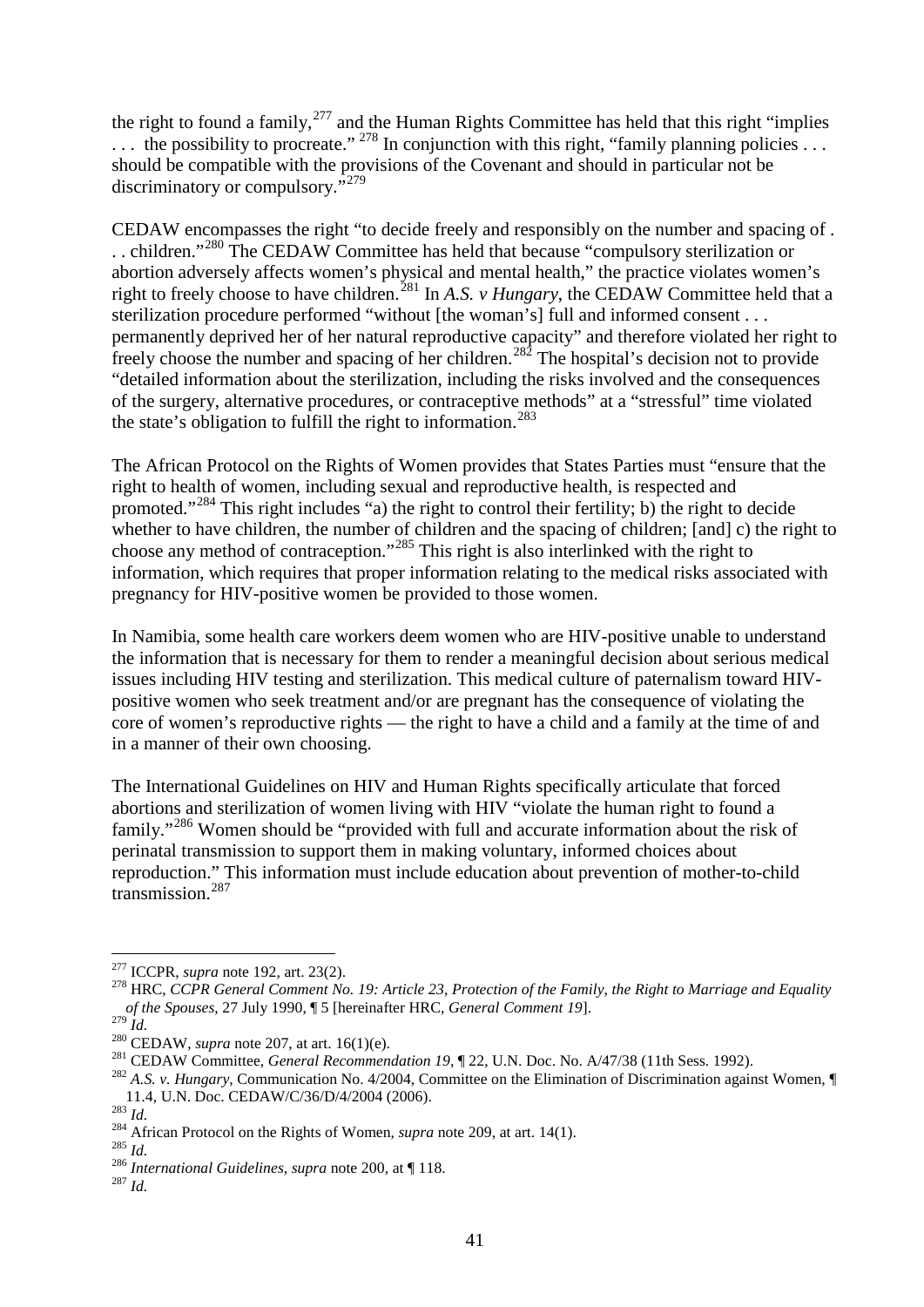the right to found a family, $277$  and the Human Rights Committee has held that this right "implies  $\ldots$  the possibility to procreate." <sup>[278](#page-40-1)</sup> In conjunction with this right, "family planning policies  $\ldots$ should be compatible with the provisions of the Covenant and should in particular not be discriminatory or compulsory.<sup>5[279](#page-40-2)</sup>

<span id="page-40-11"></span>CEDAW encompasses the right "to decide freely and responsibly on the number and spacing of . . . children."[280](#page-40-3) The CEDAW Committee has held that because "compulsory sterilization or abortion adversely affects women's physical and mental health," the practice violates women's right to freely choose to have children.<sup>[281](#page-40-4)</sup> In *A.S. v Hungary*, the CEDAW Committee held that a sterilization procedure performed "without [the woman's] full and informed consent . . . permanently deprived her of her natural reproductive capacity" and therefore violated her right to freely choose the number and spacing of her children.<sup>[282](#page-40-5)</sup> The hospital's decision not to provide "detailed information about the sterilization, including the risks involved and the consequences of the surgery, alternative procedures, or contraceptive methods" at a "stressful" time violated the state's obligation to fulfill the right to information.<sup>[283](#page-40-6)</sup>

The African Protocol on the Rights of Women provides that States Parties must "ensure that the right to health of women, including sexual and reproductive health, is respected and promoted."<sup>[284](#page-40-7)</sup> This right includes "a) the right to control their fertility; b) the right to decide whether to have children, the number of children and the spacing of children; [and] c) the right to choose any method of contraception."<sup>[285](#page-40-8)</sup> This right is also interlinked with the right to information, which requires that proper information relating to the medical risks associated with pregnancy for HIV-positive women be provided to those women.

In Namibia, some health care workers deem women who are HIV-positive unable to understand the information that is necessary for them to render a meaningful decision about serious medical issues including HIV testing and sterilization. This medical culture of paternalism toward HIVpositive women who seek treatment and/or are pregnant has the consequence of violating the core of women's reproductive rights — the right to have a child and a family at the time of and in a manner of their own choosing.

The International Guidelines on HIV and Human Rights specifically articulate that forced abortions and sterilization of women living with HIV "violate the human right to found a family."[286](#page-40-9) Women should be "provided with full and accurate information about the risk of perinatal transmission to support them in making voluntary, informed choices about reproduction." This information must include education about prevention of mother-to-child transmission.[287](#page-40-10)

<span id="page-40-1"></span><span id="page-40-0"></span><sup>&</sup>lt;sup>277</sup> ICCPR, *supra* note [192,](#page-32-0) art. 23(2).<br><sup>278</sup> HRC, *CCPR General Comment No. 19: Article 23, Protection of the Family, the Right to Marriage and Equality of the Spouses*, 27 July 1990, ¶ 5 [hereinafter HRC, *General Comment 19*].<br><sup>279</sup> *Id.* 

<span id="page-40-4"></span>

<span id="page-40-3"></span><span id="page-40-2"></span><sup>&</sup>lt;sup>280</sup> CEDAW, *supra* note 207, at art. 16(1)(e).<br><sup>281</sup> CEDAW Committee, *General Recommendation 19*,  $\parallel$  22, U.N. Doc. No. A/47/38 (11th Sess. 1992).<br><sup>282</sup> A.S. *v. Hungary*, Communication No. 4/2004, Committee on the El

<span id="page-40-7"></span><span id="page-40-6"></span><span id="page-40-5"></span><sup>&</sup>lt;sup>283</sup> *Id.*<br><sup>284</sup> African Protocol on the Rights of Women, *supra* note [209,](#page-33-13) at art. 14(1).<br><sup>285</sup> *Id.*<br><sup>286</sup> International Guidelines, supra note [200,](#page-33-14) at ¶ 118.<br><sup>286</sup> *International Guidelines, supra* note 200, at ¶ 118.

<span id="page-40-9"></span><span id="page-40-8"></span>

<span id="page-40-10"></span>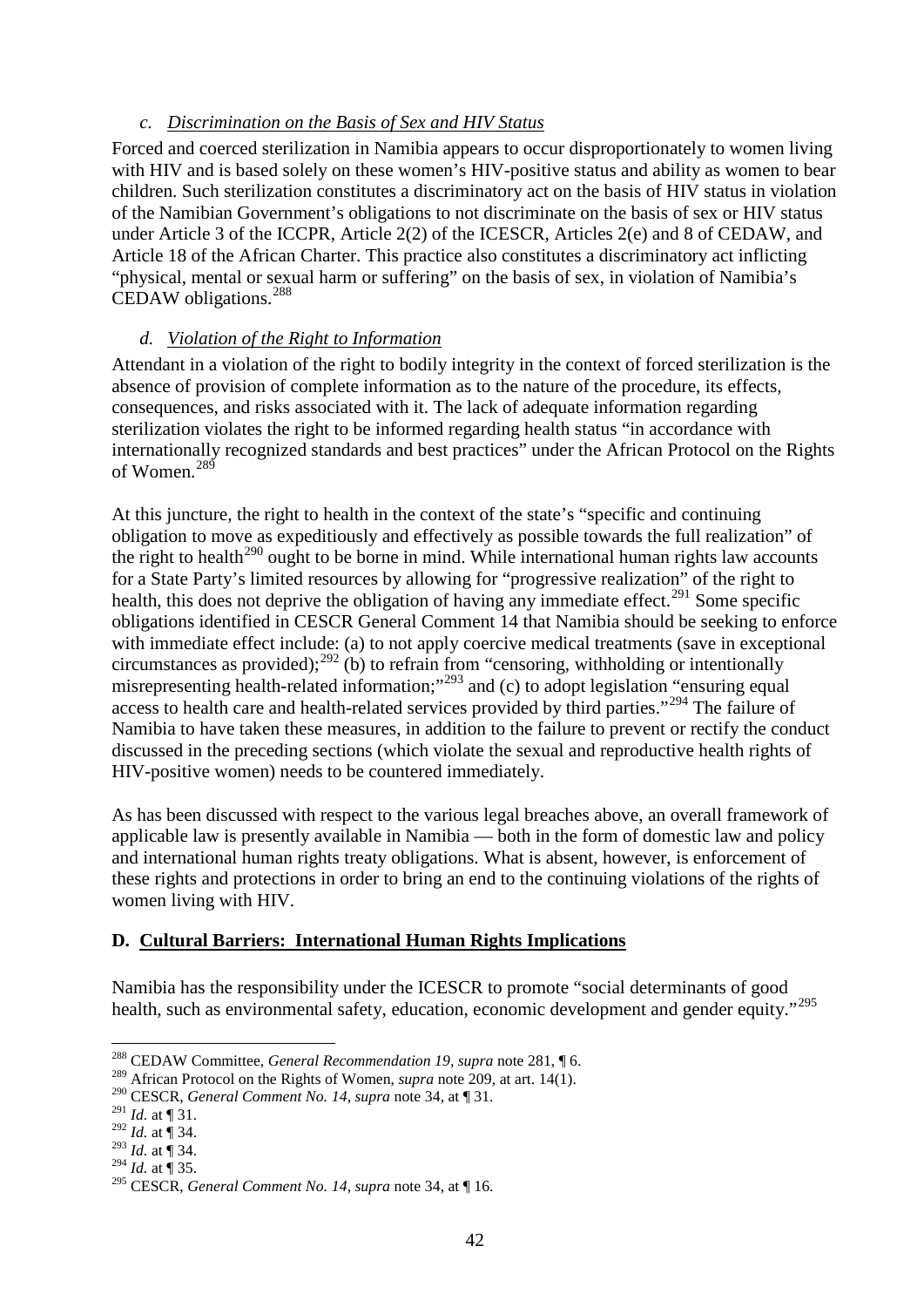## *c. Discrimination on the Basis of Sex and HIV Status*

Forced and coerced sterilization in Namibia appears to occur disproportionately to women living with HIV and is based solely on these women's HIV-positive status and ability as women to bear children. Such sterilization constitutes a discriminatory act on the basis of HIV status in violation of the Namibian Government's obligations to not discriminate on the basis of sex or HIV status under Article 3 of the ICCPR, Article 2(2) of the ICESCR, Articles 2(e) and 8 of CEDAW, and Article 18 of the African Charter. This practice also constitutes a discriminatory act inflicting "physical, mental or sexual harm or suffering" on the basis of sex, in violation of Namibia's CEDAW obligations. [288](#page-41-0)

## *d. Violation of the Right to Information*

Attendant in a violation of the right to bodily integrity in the context of forced sterilization is the absence of provision of complete information as to the nature of the procedure, its effects, consequences, and risks associated with it. The lack of adequate information regarding sterilization violates the right to be informed regarding health status "in accordance with internationally recognized standards and best practices" under the African Protocol on the Rights of Women.<sup>289</sup>

At this juncture, the right to health in the context of the state's "specific and continuing obligation to move as expeditiously and effectively as possible towards the full realization" of the right to health<sup>[290](#page-41-2)</sup> ought to be borne in mind. While international human rights law accounts for a State Party's limited resources by allowing for "progressive realization" of the right to health, this does not deprive the obligation of having any immediate effect.<sup>[291](#page-41-3)</sup> Some specific obligations identified in CESCR General Comment 14 that Namibia should be seeking to enforce with immediate effect include: (a) to not apply coercive medical treatments (save in exceptional circumstances as provided);<sup>[292](#page-41-4)</sup> (b) to refrain from "censoring, withholding or intentionally misrepresenting health-related information;"<sup>[293](#page-41-5)</sup> and (c) to adopt legislation "ensuring equal" access to health care and health-related services provided by third parties."<sup>[294](#page-41-6)</sup> The failure of Namibia to have taken these measures, in addition to the failure to prevent or rectify the conduct discussed in the preceding sections (which violate the sexual and reproductive health rights of HIV-positive women) needs to be countered immediately.

As has been discussed with respect to the various legal breaches above, an overall framework of applicable law is presently available in Namibia — both in the form of domestic law and policy and international human rights treaty obligations. What is absent, however, is enforcement of these rights and protections in order to bring an end to the continuing violations of the rights of women living with HIV.

## **D. Cultural Barriers: International Human Rights Implications**

Namibia has the responsibility under the ICESCR to promote "social determinants of good health, such as environmental safety, education, economic development and gender equity."<sup>[295](#page-41-7)</sup>

<span id="page-41-0"></span><sup>288</sup> CEDAW Committee, *General Recommendation 19*, *supra* note [281,](#page-40-11) ¶ 6. <sup>289</sup> African Protocol on the Rights of Women, *supra* note [209,](#page-33-13) at art. 14(1).

<span id="page-41-2"></span><span id="page-41-1"></span><sup>290</sup> CESCR, *General Comment No. 14*, *supra* not[e 34,](#page-13-6) at ¶ 31.

<span id="page-41-3"></span> $^{291}$  *Id.* at ¶ 31.

<sup>292</sup> *Id.* at ¶ 34.

<span id="page-41-5"></span><span id="page-41-4"></span> $^{293}$  *Id.* at  $\frac{1}{3}$  34.

<span id="page-41-6"></span> $^{294}$  *Id.* at  $\int$  35.

<span id="page-41-7"></span><sup>295</sup> CESCR, *General Comment No. 14*, *supra* not[e 34,](#page-13-6) at ¶ 16.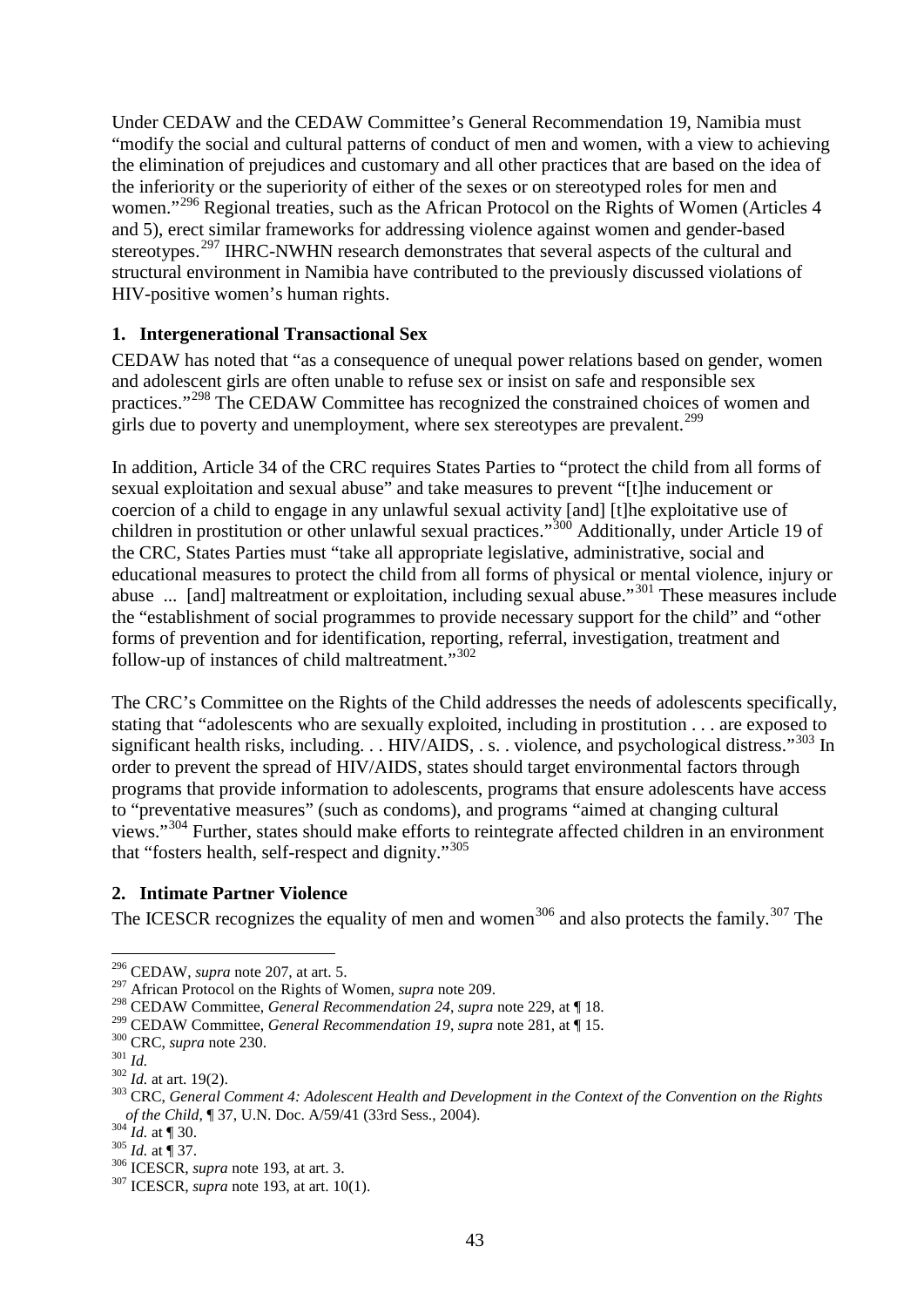Under CEDAW and the CEDAW Committee's General Recommendation 19, Namibia must "modify the social and cultural patterns of conduct of men and women, with a view to achieving the elimination of prejudices and customary and all other practices that are based on the idea of the inferiority or the superiority of either of the sexes or on stereotyped roles for men and women."<sup>[296](#page-42-0)</sup> Regional treaties, such as the African Protocol on the Rights of Women (Articles 4) and 5), erect similar frameworks for addressing violence against women and gender-based stereotypes.<sup>[297](#page-42-1)</sup> IHRC-NWHN research demonstrates that several aspects of the cultural and structural environment in Namibia have contributed to the previously discussed violations of HIV-positive women's human rights.

#### **1. Intergenerational Transactional Sex**

CEDAW has noted that "as a consequence of unequal power relations based on gender, women and adolescent girls are often unable to refuse sex or insist on safe and responsible sex practices."[298](#page-42-2) The CEDAW Committee has recognized the constrained choices of women and girls due to poverty and unemployment, where sex stereotypes are prevalent.<sup>[299](#page-42-3)</sup>

In addition, Article 34 of the CRC requires States Parties to "protect the child from all forms of sexual exploitation and sexual abuse" and take measures to prevent "[t]he inducement or coercion of a child to engage in any unlawful sexual activity [and] [t]he exploitative use of children in prostitution or other unlawful sexual practices."<sup>[300](#page-42-4)</sup> Additionally, under Article 19 of the CRC, States Parties must "take all appropriate legislative, administrative, social and educational measures to protect the child from all forms of physical or mental violence, injury or abuse ... [and] maltreatment or exploitation, including sexual abuse."[301](#page-42-5) These measures include the "establishment of social programmes to provide necessary support for the child" and "other forms of prevention and for identification, reporting, referral, investigation, treatment and follow-up of instances of child maltreatment."[302](#page-42-6)

The CRC's Committee on the Rights of the Child addresses the needs of adolescents specifically, stating that "adolescents who are sexually exploited, including in prostitution . . . are exposed to significant health risks, including. . . HIV/AIDS, . s. . violence, and psychological distress."<sup>[303](#page-42-7)</sup> In order to prevent the spread of HIV/AIDS, states should target environmental factors through programs that provide information to adolescents, programs that ensure adolescents have access to "preventative measures" (such as condoms), and programs "aimed at changing cultural views."<sup>[304](#page-42-8)</sup> Further, states should make efforts to reintegrate affected children in an environment that "fosters health, self-respect and dignity."[305](#page-42-9)

### **2. Intimate Partner Violence**

The ICESCR recognizes the equality of men and women<sup>[306](#page-42-10)</sup> and also protects the family.<sup>[307](#page-42-11)</sup> The

<span id="page-42-0"></span><sup>&</sup>lt;sup>296</sup> CEDAW, *supra* note 207, at art. 5.<br><sup>297</sup> African Protocol on the Rights of Women, *supra* note 209.

<span id="page-42-2"></span><span id="page-42-1"></span><sup>&</sup>lt;sup>298</sup> CEDAW Committee, *General Recommendation 24, supra* note [229,](#page-36-10) at ¶ 18.<br><sup>299</sup> CEDAW Committee, *General Recommendation 19, supra* note 281, at ¶ 15.

<span id="page-42-7"></span><span id="page-42-6"></span>

<span id="page-42-5"></span><span id="page-42-4"></span><span id="page-42-3"></span><sup>&</sup>lt;sup>300</sup> CRC, *supra* note [230.](#page-36-11)<br><sup>301</sup> Id.<br><sup>302</sup> Id. at art. 19(2).<br><sup>303</sup> CRC, *General Comment 4: Adolescent Health and Development in the Context of the Convention on the Rights of the Child*, ¶ 37, U.N. Doc. A/59/41 (33rd Sess., 2004).<br><sup>304</sup> *Id.* at ¶ 30.<br><sup>305</sup> *Id.* at ¶ 37.<br><sup>306</sup> ICESCR, *supra* note [193,](#page-32-7) at art. 3.<br><sup>307</sup> ICESCR, *supra* note 193, at art. 10(1).

<span id="page-42-8"></span>

<span id="page-42-9"></span>

<span id="page-42-10"></span>

<span id="page-42-11"></span>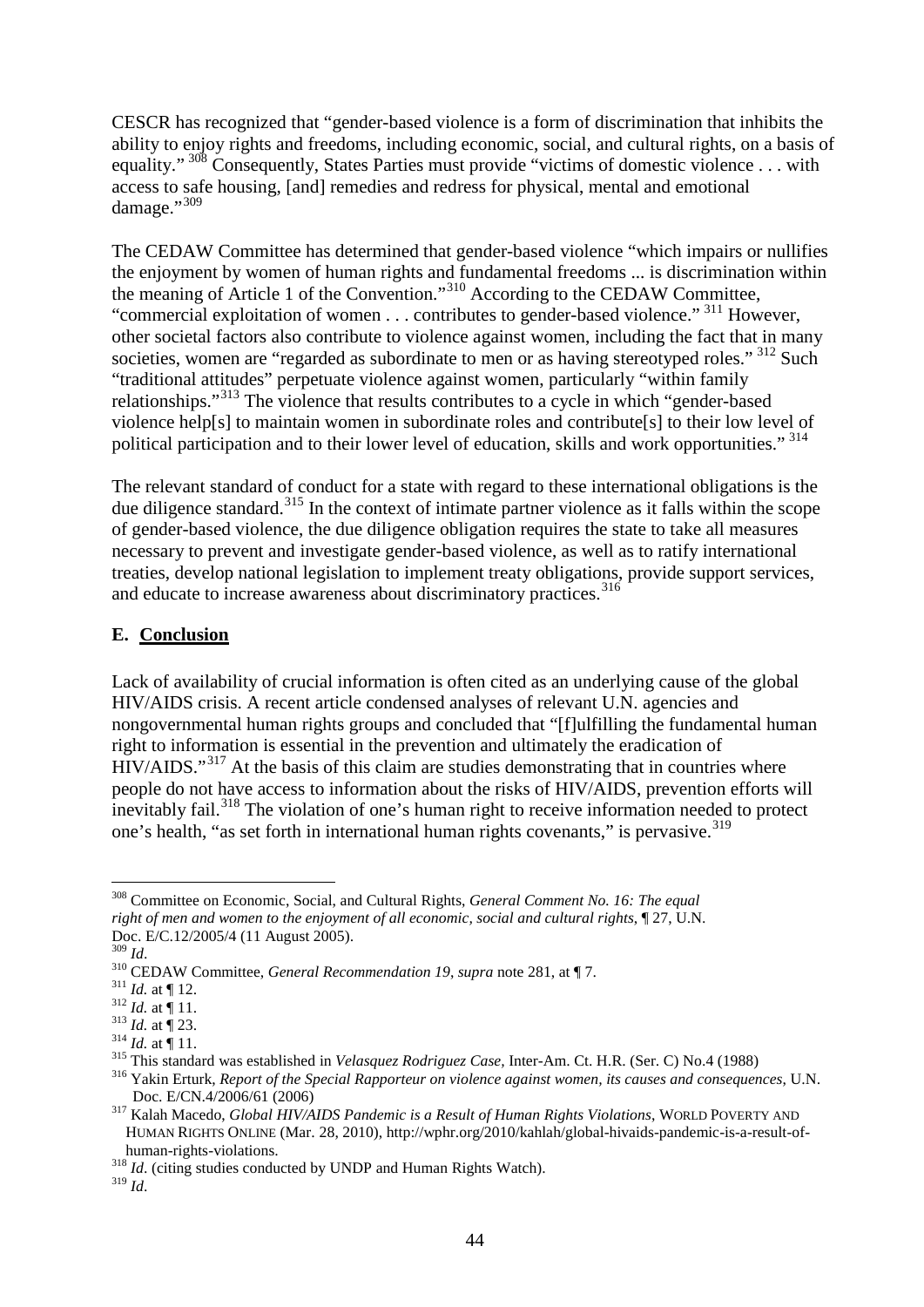CESCR has recognized that "gender-based violence is a form of discrimination that inhibits the ability to enjoy rights and freedoms, including economic, social, and cultural rights, on a basis of equality." <sup>[308](#page-43-0)</sup> Consequently, States Parties must provide "victims of domestic violence . . . with access to safe housing, [and] remedies and redress for physical, mental and emotional damage."<sup>[309](#page-43-1)</sup>

The CEDAW Committee has determined that gender-based violence "which impairs or nullifies the enjoyment by women of human rights and fundamental freedoms ... is discrimination within the meaning of Article 1 of the Convention."<sup>[310](#page-43-2)</sup> According to the CEDAW Committee, "commercial exploitation of women  $\dots$  contributes to gender-based violence." <sup>[311](#page-43-3)</sup> However, other societal factors also contribute to violence against women, including the fact that in many societies, women are "regarded as subordinate to men or as having stereotyped roles." <sup>[312](#page-43-4)</sup> Such "traditional attitudes" perpetuate violence against women, particularly "within family relationships."[313](#page-43-5) The violence that results contributes to a cycle in which "gender-based violence help[s] to maintain women in subordinate roles and contribute[s] to their low level of political participation and to their lower level of education, skills and work opportunities." [314](#page-43-6) 

The relevant standard of conduct for a state with regard to these international obligations is the due diligence standard.<sup>[315](#page-43-7)</sup> In the context of intimate partner violence as it falls within the scope of gender-based violence, the due diligence obligation requires the state to take all measures necessary to prevent and investigate gender-based violence, as well as to ratify international treaties, develop national legislation to implement treaty obligations, provide support services, and educate to increase awareness about discriminatory practices. [316](#page-43-8)

### **E. Conclusion**

Lack of availability of crucial information is often cited as an underlying cause of the global HIV/AIDS crisis. A recent article condensed analyses of relevant U.N. agencies and nongovernmental human rights groups and concluded that "[f]ulfilling the fundamental human right to information is essential in the prevention and ultimately the eradication of HIV/AIDS."<sup>[317](#page-43-9)</sup> At the basis of this claim are studies demonstrating that in countries where people do not have access to information about the risks of HIV/AIDS, prevention efforts will inevitably fail.<sup>[318](#page-43-10)</sup> The violation of one's human right to receive information needed to protect one's health, "as set forth in international human rights covenants," is pervasive.<sup>[319](#page-43-11)</sup>

<span id="page-43-0"></span> <sup>308</sup> Committee on Economic, Social, and Cultural Rights, *General Comment No. 16: The equal right of men and women to the enjoyment of all economic, social and cultural rights*,  $\mathbb{I}$  27, U.N.

<span id="page-43-2"></span>

<span id="page-43-3"></span>

<span id="page-43-4"></span>

<span id="page-43-5"></span>

<span id="page-43-6"></span>

<span id="page-43-8"></span><span id="page-43-7"></span>

<span id="page-43-1"></span>Doc. E/C.12/2005/4 (11 August 2005).<br>
<sup>309</sup> *Id.*<br>
<sup>310</sup> CEDAW Committee, *General Recommendation 19*, *supra* note [281,](#page-40-11) at ¶ 7.<br>
<sup>311</sup> *Id.* at ¶ 12.<br>
<sup>312</sup> *Id.* at ¶ 11.<br>
<sup>312</sup> *Id.* at ¶ 11.<br>
<sup>313</sup> *Id.* at ¶ 11.<br>
<sup>31</sup>

<span id="page-43-9"></span><sup>&</sup>lt;sup>317</sup> Kalah Macedo, *Global HIV/AIDS Pandemic is a Result of Human Rights Violations*, WORLD POVERTY AND HUMAN RIGHTS ONLINE (Mar. 28, 2010), http://wphr.org/2010/kahlah/global-hivaids-pandemic-is-a-result-of-

human-rights-violations. <sup>318</sup> *Id*. (citing studies conducted by UNDP and Human Rights Watch).

<span id="page-43-11"></span><span id="page-43-10"></span> $^{319}$  *Id.*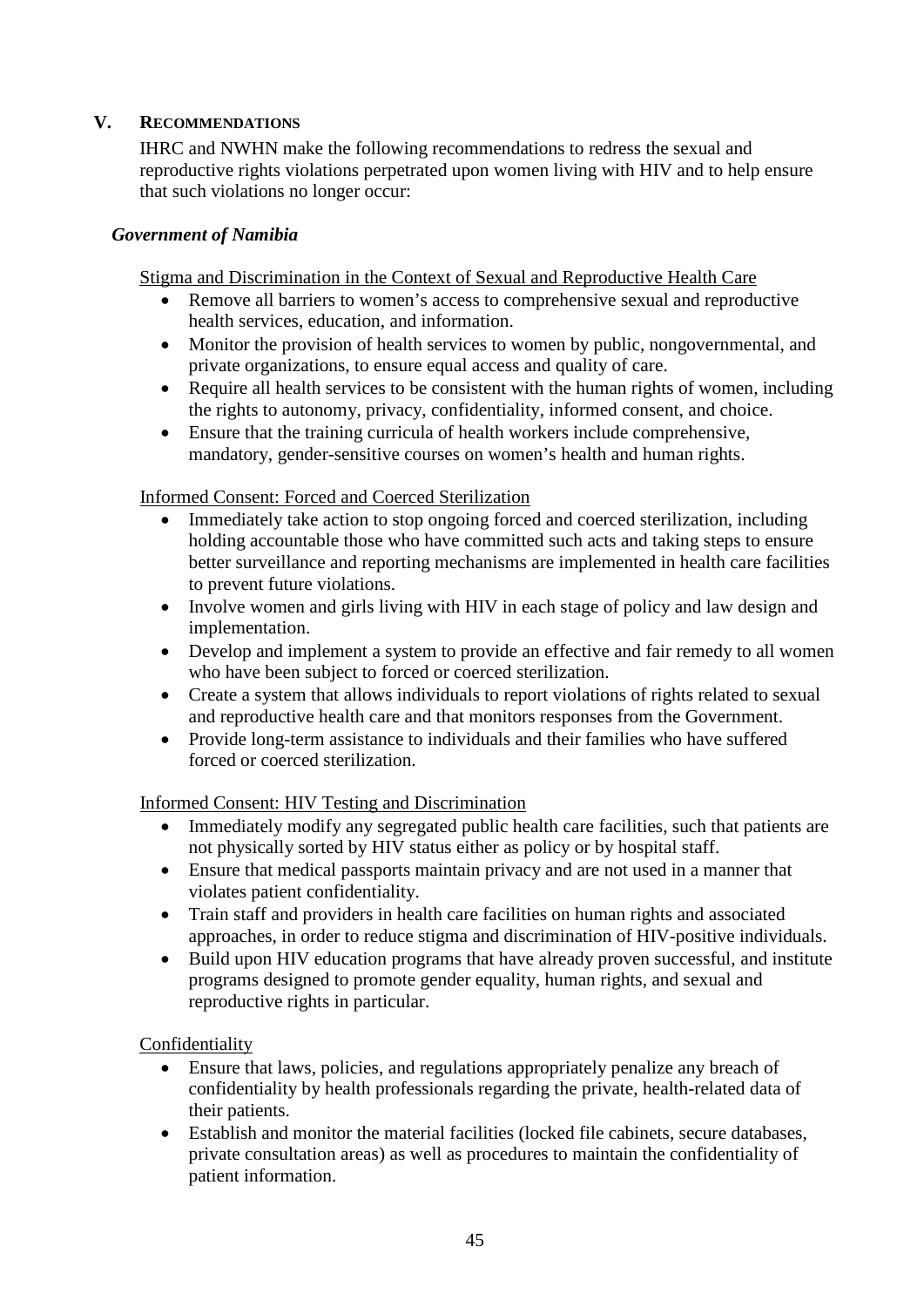## **V. RECOMMENDATIONS**

IHRC and NWHN make the following recommendations to redress the sexual and reproductive rights violations perpetrated upon women living with HIV and to help ensure that such violations no longer occur:

#### *Government of Namibia*

Stigma and Discrimination in the Context of Sexual and Reproductive Health Care

- Remove all barriers to women's access to comprehensive sexual and reproductive health services, education, and information.
- Monitor the provision of health services to women by public, nongovernmental, and private organizations, to ensure equal access and quality of care.
- Require all health services to be consistent with the human rights of women, including the rights to autonomy, privacy, confidentiality, informed consent, and choice.
- Ensure that the training curricula of health workers include comprehensive, mandatory, gender-sensitive courses on women's health and human rights.

#### Informed Consent: Forced and Coerced Sterilization

- Immediately take action to stop ongoing forced and coerced sterilization, including holding accountable those who have committed such acts and taking steps to ensure better surveillance and reporting mechanisms are implemented in health care facilities to prevent future violations.
- Involve women and girls living with HIV in each stage of policy and law design and implementation.
- Develop and implement a system to provide an effective and fair remedy to all women who have been subject to forced or coerced sterilization.
- Create a system that allows individuals to report violations of rights related to sexual and reproductive health care and that monitors responses from the Government.
- Provide long-term assistance to individuals and their families who have suffered forced or coerced sterilization.

#### Informed Consent: HIV Testing and Discrimination

- Immediately modify any segregated public health care facilities, such that patients are not physically sorted by HIV status either as policy or by hospital staff.
- Ensure that medical passports maintain privacy and are not used in a manner that violates patient confidentiality.
- Train staff and providers in health care facilities on human rights and associated approaches, in order to reduce stigma and discrimination of HIV-positive individuals.
- Build upon HIV education programs that have already proven successful, and institute programs designed to promote gender equality, human rights, and sexual and reproductive rights in particular.

Confidentiality

- Ensure that laws, policies, and regulations appropriately penalize any breach of confidentiality by health professionals regarding the private, health-related data of their patients.
- Establish and monitor the material facilities (locked file cabinets, secure databases, private consultation areas) as well as procedures to maintain the confidentiality of patient information.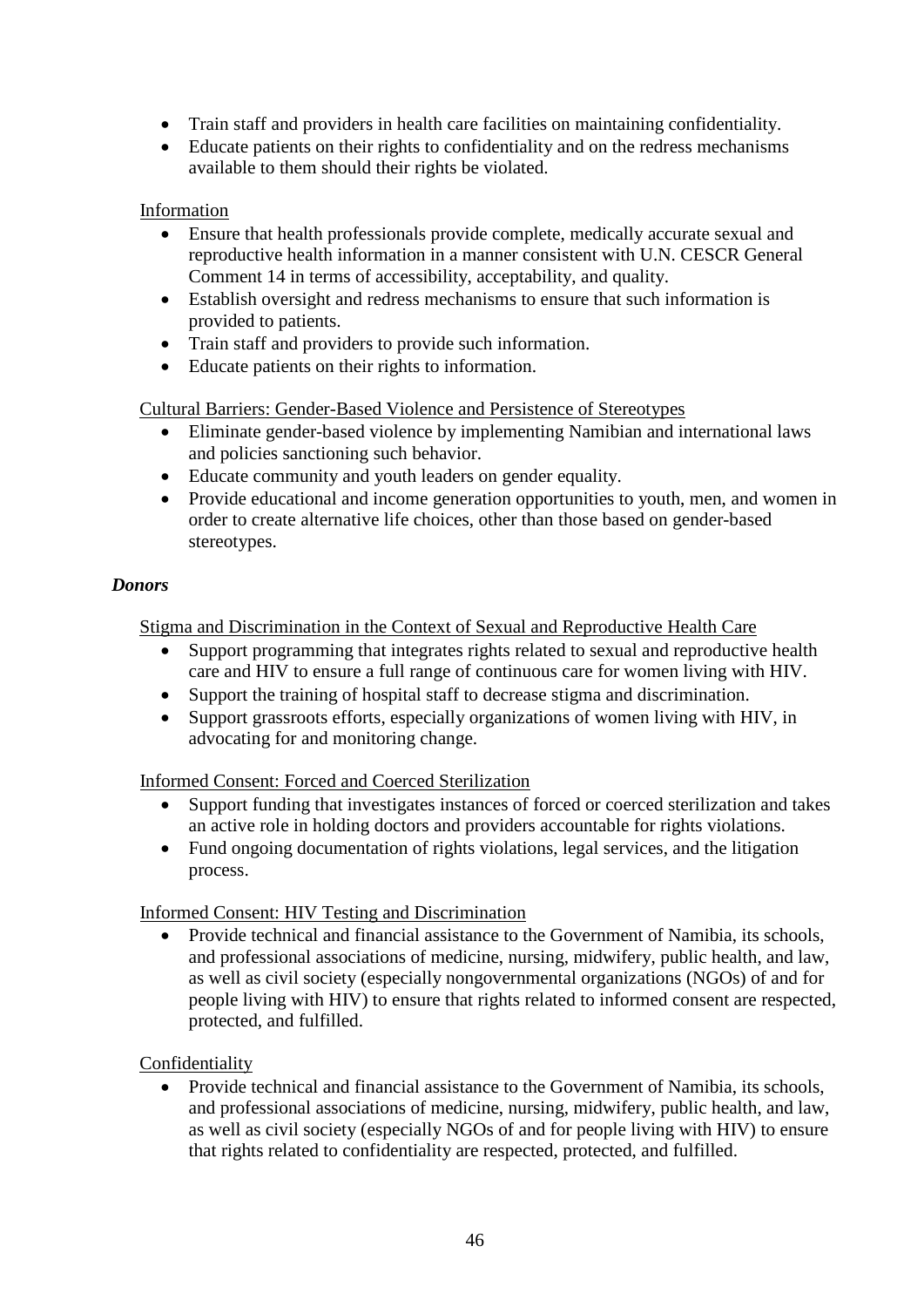- Train staff and providers in health care facilities on maintaining confidentiality.
- Educate patients on their rights to confidentiality and on the redress mechanisms available to them should their rights be violated.

## Information

- Ensure that health professionals provide complete, medically accurate sexual and reproductive health information in a manner consistent with U.N. CESCR General Comment 14 in terms of accessibility, acceptability, and quality.
- Establish oversight and redress mechanisms to ensure that such information is provided to patients.
- Train staff and providers to provide such information.
- Educate patients on their rights to information.

Cultural Barriers: Gender-Based Violence and Persistence of Stereotypes

- Eliminate gender-based violence by implementing Namibian and international laws and policies sanctioning such behavior.
- Educate community and youth leaders on gender equality.
- Provide educational and income generation opportunities to youth, men, and women in order to create alternative life choices, other than those based on gender-based stereotypes.

### *Donors*

Stigma and Discrimination in the Context of Sexual and Reproductive Health Care

- Support programming that integrates rights related to sexual and reproductive health care and HIV to ensure a full range of continuous care for women living with HIV.
- Support the training of hospital staff to decrease stigma and discrimination.
- Support grassroots efforts, especially organizations of women living with HIV, in advocating for and monitoring change.

Informed Consent: Forced and Coerced Sterilization

- Support funding that investigates instances of forced or coerced sterilization and takes an active role in holding doctors and providers accountable for rights violations.
- Fund ongoing documentation of rights violations, legal services, and the litigation process.

### Informed Consent: HIV Testing and Discrimination

• Provide technical and financial assistance to the Government of Namibia, its schools, and professional associations of medicine, nursing, midwifery, public health, and law, as well as civil society (especially nongovernmental organizations (NGOs) of and for people living with HIV) to ensure that rights related to informed consent are respected, protected, and fulfilled.

### Confidentiality

• Provide technical and financial assistance to the Government of Namibia, its schools, and professional associations of medicine, nursing, midwifery, public health, and law, as well as civil society (especially NGOs of and for people living with HIV) to ensure that rights related to confidentiality are respected, protected, and fulfilled.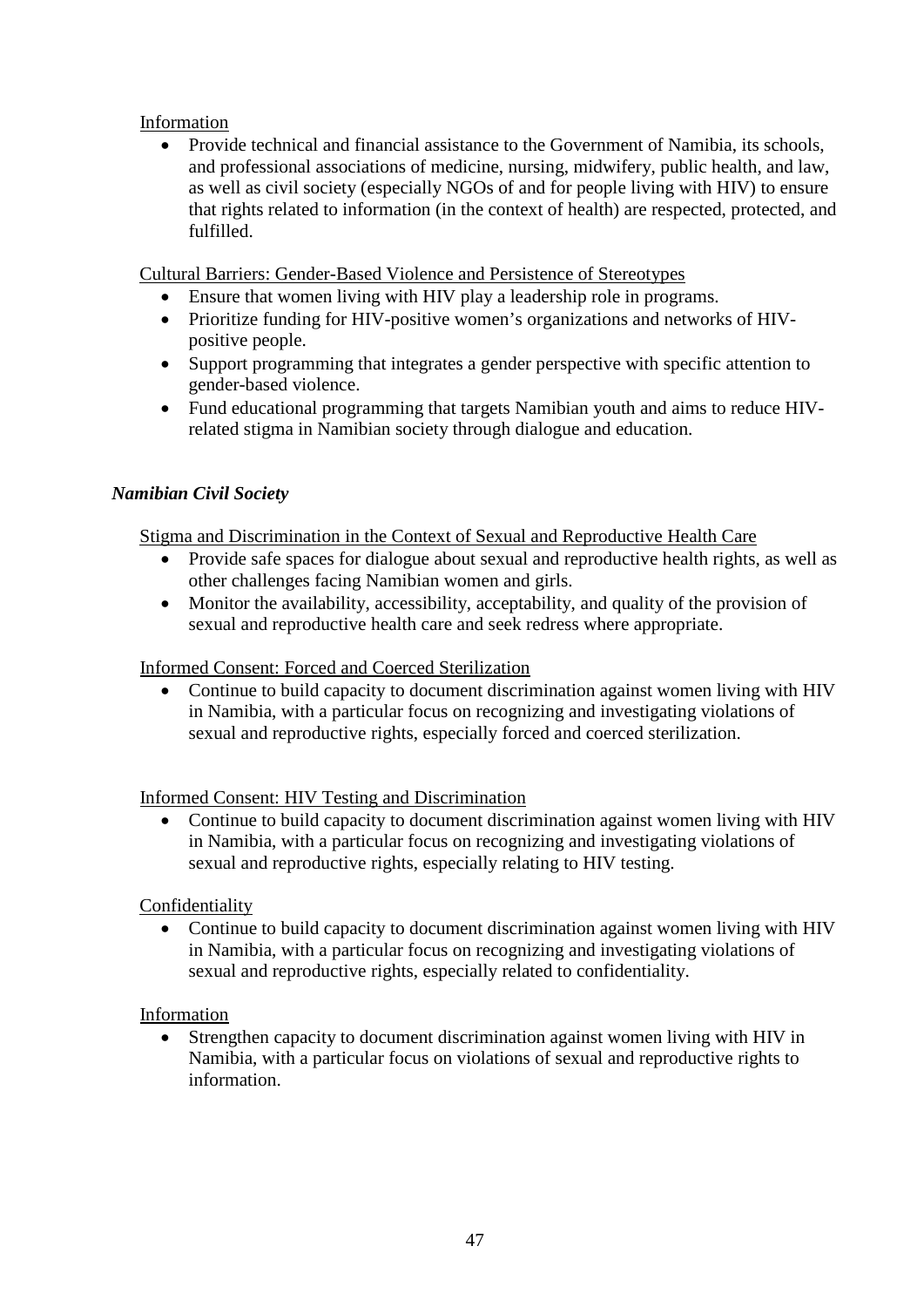## Information

• Provide technical and financial assistance to the Government of Namibia, its schools, and professional associations of medicine, nursing, midwifery, public health, and law, as well as civil society (especially NGOs of and for people living with HIV) to ensure that rights related to information (in the context of health) are respected, protected, and fulfilled.

Cultural Barriers: Gender-Based Violence and Persistence of Stereotypes

- Ensure that women living with HIV play a leadership role in programs.
- Prioritize funding for HIV-positive women's organizations and networks of HIVpositive people.
- Support programming that integrates a gender perspective with specific attention to gender-based violence.
- Fund educational programming that targets Namibian youth and aims to reduce HIVrelated stigma in Namibian society through dialogue and education.

## *Namibian Civil Society*

Stigma and Discrimination in the Context of Sexual and Reproductive Health Care

- Provide safe spaces for dialogue about sexual and reproductive health rights, as well as other challenges facing Namibian women and girls.
- Monitor the availability, accessibility, acceptability, and quality of the provision of sexual and reproductive health care and seek redress where appropriate.

### Informed Consent: Forced and Coerced Sterilization

• Continue to build capacity to document discrimination against women living with HIV in Namibia, with a particular focus on recognizing and investigating violations of sexual and reproductive rights, especially forced and coerced sterilization.

### Informed Consent: HIV Testing and Discrimination

• Continue to build capacity to document discrimination against women living with HIV in Namibia, with a particular focus on recognizing and investigating violations of sexual and reproductive rights, especially relating to HIV testing.

### Confidentiality

• Continue to build capacity to document discrimination against women living with HIV in Namibia, with a particular focus on recognizing and investigating violations of sexual and reproductive rights, especially related to confidentiality.

### Information

• Strengthen capacity to document discrimination against women living with HIV in Namibia, with a particular focus on violations of sexual and reproductive rights to information.